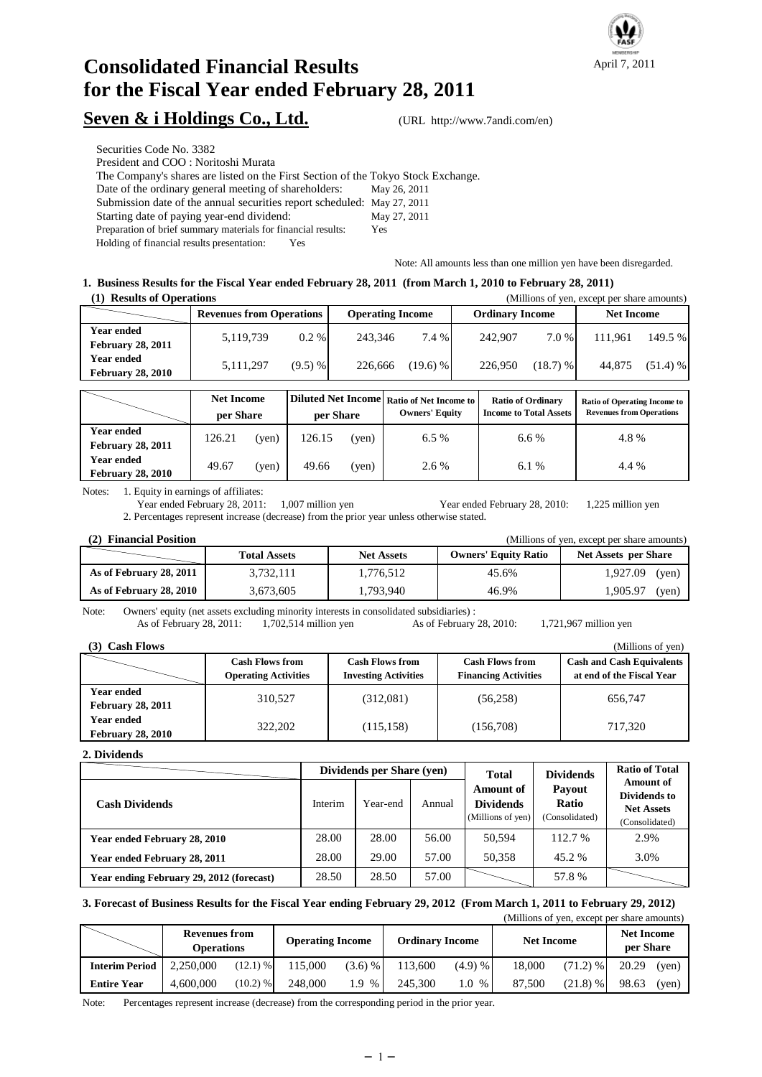

# **Consolidated Financial Results for the Fiscal Year ended February 28, 2011**

## Seven & i Holdings Co., Ltd. (URL http://www.7andi.com/en)

Securities Code No. 3382

President and COO : Noritoshi Murata

The Company's shares are listed on the First Section of the Tokyo Stock Exchange.

Date of the ordinary general meeting of shareholders: May 26, 2011

Submission date of the annual securities report scheduled: May 27, 2011

Starting date of paying year-end dividend: May 27, 2011

Preparation of brief summary materials for financial results: Yes

Holding of financial results presentation: Yes

Note: All amounts less than one million yen have been disregarded.

#### **1. Business Results for the Fiscal Year ended February 28, 2011 (from March 1, 2010 to February 28, 2011) (1) Results of Operations** (Millions of yen, except per share amounts)

| (1) Results of Operations                     |                                 |           |                         |            |                        |            | $($ ivertified is of year, except per strate amounts) |            |
|-----------------------------------------------|---------------------------------|-----------|-------------------------|------------|------------------------|------------|-------------------------------------------------------|------------|
|                                               | <b>Revenues from Operations</b> |           | <b>Operating Income</b> |            | <b>Ordinary Income</b> |            | <b>Net Income</b>                                     |            |
| Year ended<br><b>February 28, 2011</b>        | 5.119.739                       | $0.2 \%$  | 243.346                 | $7.4\%$    | 242.907                | 7.0 %      | 111.961                                               | 149.5 %    |
| <b>Year ended</b><br><b>February 28, 2010</b> | 5,111,297                       | $(9.5)$ % | 226,666                 | $(19.6)$ % | 226,950                | $(18.7)$ % | 44,875                                                | $(51.4)$ % |

|                                               | <b>Net Income</b><br>per Share |       | per Share |       | <b>IDiluted Net Income Ratio of Net Income to I</b><br><b>Owners' Equity</b> | <b>Ratio of Ordinary</b><br><b>Income to Total Assets</b> | <b>Ratio of Operating Income to</b><br><b>Revenues from Operations</b> |
|-----------------------------------------------|--------------------------------|-------|-----------|-------|------------------------------------------------------------------------------|-----------------------------------------------------------|------------------------------------------------------------------------|
| Year ended<br><b>February 28, 2011</b>        | 126.21                         | (yen) | 126.15    | (yen) | 6.5%                                                                         | 6.6%                                                      | 4.8%                                                                   |
| <b>Year ended</b><br><b>February 28, 2010</b> | 49.67                          | (yen) | 49.66     | (yen) | 2.6 %                                                                        | 6.1 %                                                     | 4.4 %                                                                  |

Notes: 1. Equity in earnings of affiliates:

Year ended February 28, 2011: 1,007 million yen Year ended February 28, 2010: 1,225 million yen 2. Percentages represent increase (decrease) from the prior year unless otherwise stated.

| (2) Financial Position  |                     |                   |                             | (Millions of yen, except per share amounts) |
|-------------------------|---------------------|-------------------|-----------------------------|---------------------------------------------|
|                         | <b>Total Assets</b> | <b>Net Assets</b> | <b>Owners' Equity Ratio</b> | <b>Net Assets per Share</b>                 |
| As of February 28, 2011 | 3,732,111           | 1,776,512         | 45.6%                       | 1,927.09<br>(yen)                           |
| As of February 28, 2010 | 3,673,605           | 1,793,940         | 46.9%                       | 1.905.97<br>(ven)                           |

Note: Owners' equity (net assets excluding minority interests in consolidated subsidiaries) :

As of February 28, 2011: 1,702,514 million yen As of February 28, 2010: 1,721,967 million yen

| <b>Cash Flows</b>                             |                                                       |                                                       |                                                       | (Millions of yen)                                             |
|-----------------------------------------------|-------------------------------------------------------|-------------------------------------------------------|-------------------------------------------------------|---------------------------------------------------------------|
|                                               | <b>Cash Flows from</b><br><b>Operating Activities</b> | <b>Cash Flows from</b><br><b>Investing Activities</b> | <b>Cash Flows from</b><br><b>Financing Activities</b> | <b>Cash and Cash Equivalents</b><br>at end of the Fiscal Year |
| <b>Year ended</b><br><b>February 28, 2011</b> | 310.527                                               | (312,081)                                             | (56, 258)                                             | 656,747                                                       |
| <b>Year ended</b><br><b>February 28, 2010</b> | 322,202                                               | (115, 158)                                            | (156, 708)                                            | 717.320                                                       |

**2. Dividends**

|                                          |         | Dividends per Share (yen) |        | <b>Total</b>                                              | <b>Dividends</b>                                | <b>Ratio of Total</b>                                                   |
|------------------------------------------|---------|---------------------------|--------|-----------------------------------------------------------|-------------------------------------------------|-------------------------------------------------------------------------|
| <b>Cash Dividends</b>                    | Interim | Year-end                  | Annual | <b>Amount of</b><br><b>Dividends</b><br>(Millions of yen) | <b>Payout</b><br><b>Ratio</b><br>(Consolidated) | <b>Amount of</b><br>Dividends to<br><b>Net Assets</b><br>(Consolidated) |
| Year ended February 28, 2010             | 28.00   | 28.00                     | 56.00  | 50.594                                                    | 112.7 %                                         | 2.9%                                                                    |
| Year ended February 28, 2011             | 28.00   | 29.00                     | 57.00  | 50.358                                                    | 45.2 %                                          | 3.0%                                                                    |
| Year ending February 29, 2012 (forecast) | 28.50   | 28.50                     | 57.00  |                                                           | 57.8%                                           |                                                                         |

## **3. Forecast of Business Results for the Fiscal Year ending February 29, 2012 (From March 1, 2011 to February 29, 2012)**

|                       |                                                                                                |            |         |             |                   |            |                                | (Millions of yen, except per share amounts) |       |       |
|-----------------------|------------------------------------------------------------------------------------------------|------------|---------|-------------|-------------------|------------|--------------------------------|---------------------------------------------|-------|-------|
|                       | <b>Revenues from</b><br><b>Operating Income</b><br><b>Ordinary Income</b><br><b>Operations</b> |            |         |             | <b>Net Income</b> |            | <b>Net Income</b><br>per Share |                                             |       |       |
| <b>Interim Period</b> | 2.250,000                                                                                      | $(12.1)$ % | 115,000 | $(3.6)$ %   | 113,600           | $(4.9) \%$ | 18,000                         | $(71.2)$ %                                  | 20.29 | (ven) |
| <b>Entire Year</b>    | 4.600,000                                                                                      | $(10.2)$ % | 248,000 | 1.9<br>$\%$ | 245,300           | 1.0 %      | 87,500                         | $(21.8)$ %                                  | 98.63 | (ven) |

Note: Percentages represent increase (decrease) from the corresponding period in the prior year.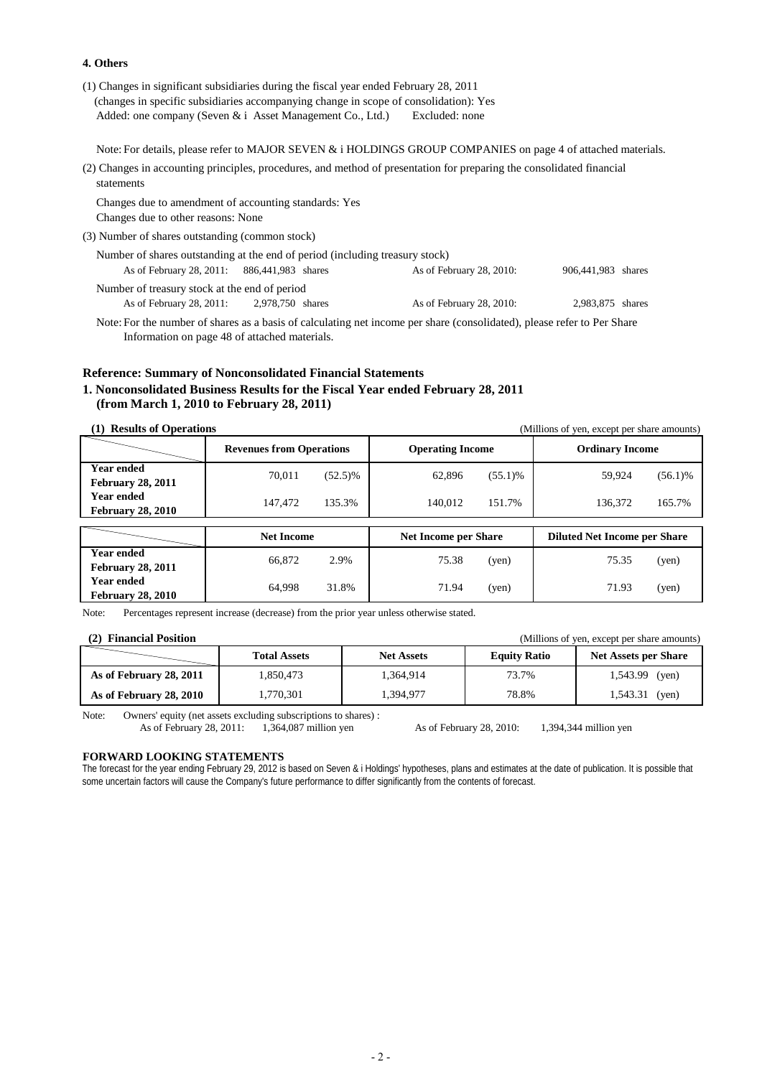#### **4. Others**

| (1) Changes in significant subsidiaries during the fiscal year ended February 28, 2011 |                |
|----------------------------------------------------------------------------------------|----------------|
| (changes in specific subsidiaries accompanying change in scope of consolidation): Yes  |                |
| Added: one company (Seven $\&\,$ i Asset Management Co., Ltd.)                         | Excluded: none |

Note: For details, please refer to MAJOR SEVEN & i HOLDINGS GROUP COMPANIES on page 4 of attached materials.

(2) Changes in accounting principles, procedures, and method of presentation for preparing the consolidated financial statements

Changes due to amendment of accounting standards: Yes Changes due to other reasons: None

(3) Number of shares outstanding (common stock)

| Number of shares outstanding at the end of period (including treasury stock) |                  |                                                |  |
|------------------------------------------------------------------------------|------------------|------------------------------------------------|--|
| As of February 28, 2011: 886, 441, 983 shares                                |                  | 906,441,983 shares<br>As of February 28, 2010: |  |
| Number of treasury stock at the end of period                                |                  |                                                |  |
| As of February 28, 2011:                                                     | 2,978,750 shares | 2.983.875 shares<br>As of February 28, 2010:   |  |

Note: For the number of shares as a basis of calculating net income per share (consolidated), please refer to Per Share Information on page 48 of attached materials.

### **Reference: Summary of Nonconsolidated Financial Statements 1. Nonconsolidated Business Results for the Fiscal Year ended February 28, 2011 (from March 1, 2010 to February 28, 2011)**

**(1) Results of Operations** (Millions of yen, except per share amounts)

|                                               | <b>Revenues from Operations</b> |            | <b>Operating Income</b>     |            | <b>Ordinary Income</b>              |            |
|-----------------------------------------------|---------------------------------|------------|-----------------------------|------------|-------------------------------------|------------|
| <b>Year ended</b><br><b>February 28, 2011</b> | 70.011                          | $(52.5)\%$ | 62,896                      | $(55.1)$ % | 59.924                              | $(56.1)\%$ |
| Year ended<br><b>February 28, 2010</b>        | 147,472                         | 135.3%     | 140.012                     | 151.7%     | 136,372                             | 165.7%     |
|                                               |                                 |            |                             |            |                                     |            |
|                                               | <b>Net Income</b>               |            | <b>Net Income per Share</b> |            | <b>Diluted Net Income per Share</b> |            |
| <b>Year ended</b><br><b>February 28, 2011</b> | 66,872                          | 2.9%       | 75.38                       | (yen)      | 75.35                               | (yen)      |

Note: Percentages represent increase (decrease) from the prior year unless otherwise stated.

| (2) Financial Position  |                     |                   |                     | (Millions of yen, except per share amounts) |
|-------------------------|---------------------|-------------------|---------------------|---------------------------------------------|
|                         | <b>Total Assets</b> | <b>Net Assets</b> | <b>Equity Ratio</b> | <b>Net Assets per Share</b>                 |
| As of February 28, 2011 | 1.850.473           | 1.364.914         | 73.7%               | $1,543.99$ (yen)                            |
| As of February 28, 2010 | 1.770.301           | 1.394.977         | 78.8%               | $1,543.31$ (yen)                            |

Note: Owners' equity (net assets excluding subscriptions to shares) :

As of February 28, 2011: 1,364,087 million yen As of February 28, 2010: 1,394,344 million yen

#### **FORWARD LOOKING STATEMENTS**

The forecast for the year ending February 29, 2012 is based on Seven & i Holdings' hypotheses, plans and estimates at the date of publication. It is possible that some uncertain factors will cause the Company's future performance to differ significantly from the contents of forecast.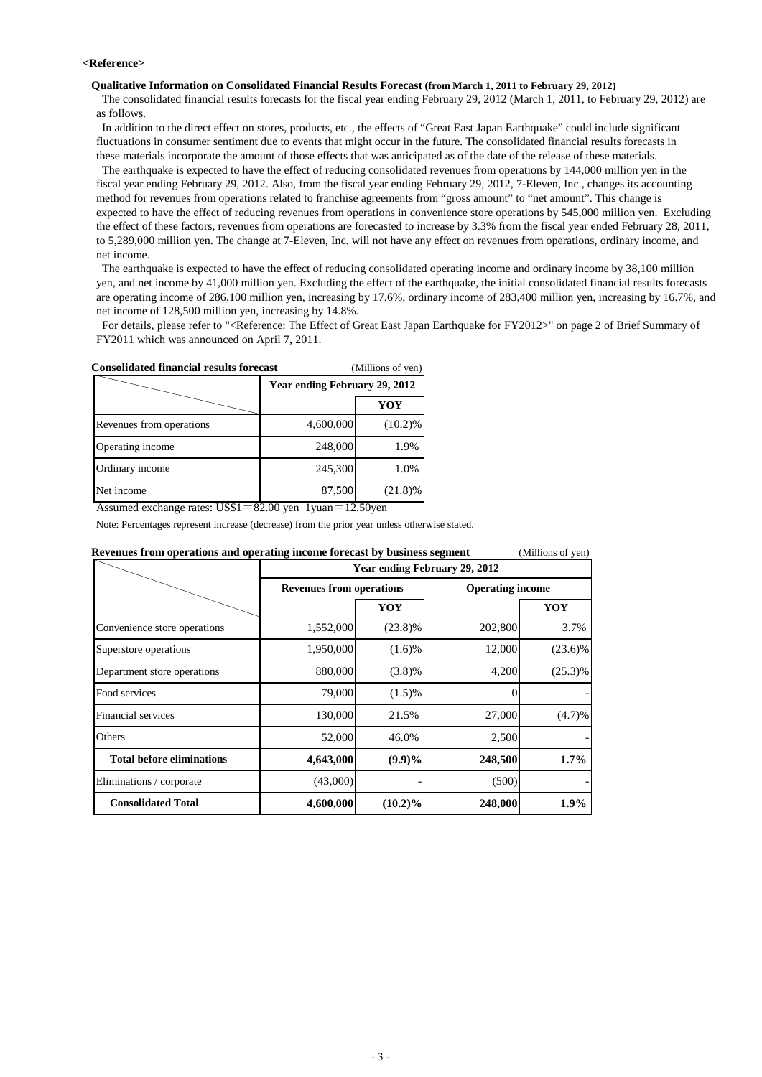#### **<Reference>**

#### **Qualitative Information on Consolidated Financial Results Forecast (from March 1, 2011 to February 29, 2012)**

 The consolidated financial results forecasts for the fiscal year ending February 29, 2012 (March 1, 2011, to February 29, 2012) are as follows.

 In addition to the direct effect on stores, products, etc., the effects of "Great East Japan Earthquake" could include significant fluctuations in consumer sentiment due to events that might occur in the future. The consolidated financial results forecasts in these materials incorporate the amount of those effects that was anticipated as of the date of the release of these materials.

 The earthquake is expected to have the effect of reducing consolidated revenues from operations by 144,000 million yen in the fiscal year ending February 29, 2012. Also, from the fiscal year ending February 29, 2012, 7-Eleven, Inc., changes its accounting method for revenues from operations related to franchise agreements from "gross amount" to "net amount". This change is expected to have the effect of reducing revenues from operations in convenience store operations by 545,000 million yen. Excluding the effect of these factors, revenues from operations are forecasted to increase by 3.3% from the fiscal year ended February 28, 2011, to 5,289,000 million yen. The change at 7-Eleven, Inc. will not have any effect on revenues from operations, ordinary income, and net income.

 The earthquake is expected to have the effect of reducing consolidated operating income and ordinary income by 38,100 million yen, and net income by 41,000 million yen. Excluding the effect of the earthquake, the initial consolidated financial results forecasts are operating income of 286,100 million yen, increasing by 17.6%, ordinary income of 283,400 million yen, increasing by 16.7%, and net income of 128,500 million yen, increasing by 14.8%.

For details, please refer to "<Reference: The Effect of Great East Japan Earthquake for FY2012>" on page 2 of Brief Summary of FY2011 which was announced on April 7, 2011.

| <b>Consolidated financial results forecast</b> |                               | (Millions of yen) |
|------------------------------------------------|-------------------------------|-------------------|
|                                                | Year ending February 29, 2012 |                   |
|                                                |                               | YOY               |
| Revenues from operations                       | 4,600,000                     | $(10.2)\%$        |
| Operating income                               | 248,000                       | 1.9%              |
| Ordinary income                                | 245,300                       | 1.0%              |
| Net income                                     | 87,500                        | $(21.8)\%$        |

| Net income                                                                                   | 87,500                          | $(21.8)\%$                    |                         |                   |
|----------------------------------------------------------------------------------------------|---------------------------------|-------------------------------|-------------------------|-------------------|
| Assumed exchange rates: $US$1 = 82.00$ yen $1$ yuan $= 12.50$ yen                            |                                 |                               |                         |                   |
| Note: Percentages represent increase (decrease) from the prior year unless otherwise stated. |                                 |                               |                         |                   |
| Revenues from operations and operating income forecast by business segment                   |                                 |                               |                         | (Millions of yen) |
|                                                                                              |                                 | Year ending February 29, 2012 |                         |                   |
|                                                                                              | <b>Revenues from operations</b> |                               | <b>Operating income</b> |                   |
|                                                                                              |                                 | YOY                           |                         | YOY               |
| Convenience store operations                                                                 | 1,552,000                       | $(23.8)\%$                    | 202,800                 | 3.7%              |
| Superstore operations                                                                        | 1,950,000                       | $(1.6)\%$                     | 12,000                  | $(23.6)\%$        |
| Department store operations                                                                  | 880,000                         | $(3.8)\%$                     | 4,200                   | $(25.3)\%$        |
| Food services                                                                                | 79,000                          | $(1.5)\%$                     |                         |                   |
| Financial services                                                                           | 130,000                         | 21.5%                         | 27,000                  | (4.7)%            |
| Others                                                                                       | 52,000                          | 46.0%                         | 2,500                   |                   |
| <b>Total before eliminations</b>                                                             | 4,643,000                       | $(9.9)\%$                     | 248,500                 | 1.7%              |
| Eliminations / corporate                                                                     | (43,000)                        |                               | (500)                   |                   |
| <b>Consolidated Total</b>                                                                    | 4,600,000                       | $(10.2)\%$                    | 248,000                 | $1.9\%$           |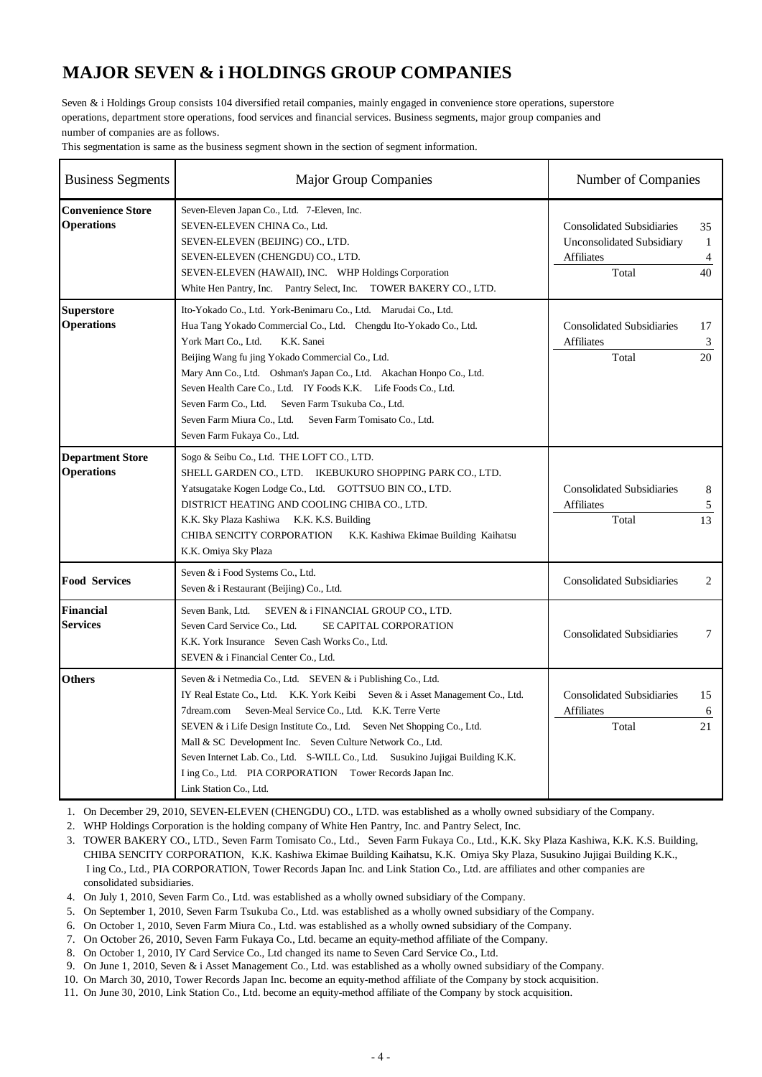## **MAJOR SEVEN & i HOLDINGS GROUP COMPANIES**

Seven & i Holdings Group consists 104 diversified retail companies, mainly engaged in convenience store operations, superstore operations, department store operations, food services and financial services. Business segments, major group companies and number of companies are as follows.

This segmentation is same as the business segment shown in the section of segment information.

| <b>Business Segments</b>                      | <b>Major Group Companies</b>                                                                                                                                                                                                                                                                                                                                                                                                                                                                                               |                                                                                                    | Number of Companies |  |
|-----------------------------------------------|----------------------------------------------------------------------------------------------------------------------------------------------------------------------------------------------------------------------------------------------------------------------------------------------------------------------------------------------------------------------------------------------------------------------------------------------------------------------------------------------------------------------------|----------------------------------------------------------------------------------------------------|---------------------|--|
| <b>Convenience Store</b><br><b>Operations</b> | Seven-Eleven Japan Co., Ltd. 7-Eleven, Inc.<br>SEVEN-ELEVEN CHINA Co., Ltd.<br>SEVEN-ELEVEN (BEIJING) CO., LTD.<br>SEVEN-ELEVEN (CHENGDU) CO., LTD.<br>SEVEN-ELEVEN (HAWAII), INC. WHP Holdings Corporation<br>White Hen Pantry, Inc. Pantry Select, Inc. TOWER BAKERY CO., LTD.                                                                                                                                                                                                                                           | <b>Consolidated Subsidiaries</b><br><b>Unconsolidated Subsidiary</b><br><b>Affiliates</b><br>Total | 35<br>1<br>4<br>40  |  |
| <b>Superstore</b><br><b>Operations</b>        | Ito-Yokado Co., Ltd. York-Benimaru Co., Ltd. Marudai Co., Ltd.<br>Hua Tang Yokado Commercial Co., Ltd. Chengdu Ito-Yokado Co., Ltd.<br>York Mart Co., Ltd.<br>K.K. Sanei<br>Beijing Wang fu jing Yokado Commercial Co., Ltd.<br>Mary Ann Co., Ltd. Oshman's Japan Co., Ltd. Akachan Honpo Co., Ltd.<br>Seven Health Care Co., Ltd. IY Foods K.K. Life Foods Co., Ltd.<br>Seven Farm Co., Ltd. Seven Farm Tsukuba Co., Ltd.<br>Seven Farm Miura Co., Ltd.<br>Seven Farm Tomisato Co., Ltd.<br>Seven Farm Fukaya Co., Ltd.   | <b>Consolidated Subsidiaries</b><br><b>Affiliates</b><br>Total                                     | 17<br>3<br>20       |  |
| <b>Department Store</b><br><b>Operations</b>  | Sogo & Seibu Co., Ltd. THE LOFT CO., LTD.<br>SHELL GARDEN CO., LTD. IKEBUKURO SHOPPING PARK CO., LTD.<br>Yatsugatake Kogen Lodge Co., Ltd. GOTTSUO BIN CO., LTD.<br>DISTRICT HEATING AND COOLING CHIBA CO., LTD.<br>K.K. Sky Plaza Kashiwa K.K. K.S. Building<br>CHIBA SENCITY CORPORATION<br>K.K. Kashiwa Ekimae Building Kaihatsu<br>K.K. Omiya Sky Plaza                                                                                                                                                                | <b>Consolidated Subsidiaries</b><br><b>Affiliates</b><br>Total                                     | 8<br>5<br>13        |  |
| <b>Food Services</b>                          | Seven & i Food Systems Co., Ltd.<br>Seven & i Restaurant (Beijing) Co., Ltd.                                                                                                                                                                                                                                                                                                                                                                                                                                               | <b>Consolidated Subsidiaries</b>                                                                   | 2                   |  |
| <b>Financial</b><br><b>Services</b>           | Seven Bank, Ltd.<br>SEVEN & i FINANCIAL GROUP CO., LTD.<br>Seven Card Service Co., Ltd.<br>SE CAPITAL CORPORATION<br>K.K. York Insurance Seven Cash Works Co., Ltd.<br>SEVEN & i Financial Center Co., Ltd.                                                                                                                                                                                                                                                                                                                | <b>Consolidated Subsidiaries</b>                                                                   | 7                   |  |
| <b>Others</b>                                 | Seven & i Netmedia Co., Ltd. SEVEN & i Publishing Co., Ltd.<br>IY Real Estate Co., Ltd. K.K. York Keibi Seven & i Asset Management Co., Ltd.<br>7dream.com<br>Seven-Meal Service Co., Ltd. K.K. Terre Verte<br>SEVEN & i Life Design Institute Co., Ltd. Seven Net Shopping Co., Ltd.<br>Mall & SC Development Inc. Seven Culture Network Co., Ltd.<br>Seven Internet Lab. Co., Ltd. S-WILL Co., Ltd. Susukino Jujigai Building K.K.<br>I ing Co., Ltd. PIA CORPORATION Tower Records Japan Inc.<br>Link Station Co., Ltd. | <b>Consolidated Subsidiaries</b><br><b>Affiliates</b><br>Total                                     | 15<br>6<br>21       |  |

1. On December 29, 2010, SEVEN-ELEVEN (CHENGDU) CO., LTD. was established as a wholly owned subsidiary of the Company.

2. WHP Holdings Corporation is the holding company of White Hen Pantry, Inc. and Pantry Select, Inc.

3. TOWER BAKERY CO., LTD., Seven Farm Tomisato Co., Ltd., Seven Farm Fukaya Co., Ltd., K.K. Sky Plaza Kashiwa, K.K. K.S. Building, CHIBA SENCITY CORPORATION, K.K. Kashiwa Ekimae Building Kaihatsu, K.K*.* Omiya Sky Plaza, Susukino Jujigai Building K.K., I ing Co., Ltd., PIA CORPORATION, Tower Records Japan Inc. and Link Station Co., Ltd. are affiliates and other companies are consolidated subsidiaries.

4. On July 1, 2010, Seven Farm Co., Ltd. was established as a wholly owned subsidiary of the Company.

5. On September 1, 2010, Seven Farm Tsukuba Co., Ltd. was established as a wholly owned subsidiary of the Company.

6. On October 1, 2010, Seven Farm Miura Co., Ltd. was established as a wholly owned subsidiary of the Company.

7. On October 26, 2010, Seven Farm Fukaya Co., Ltd. became an equity-method affiliate of the Company.

8. On October 1, 2010, IY Card Service Co., Ltd changed its name to Seven Card Service Co., Ltd.

9. On June 1, 2010, Seven & i Asset Management Co., Ltd. was established as a wholly owned subsidiary of the Company.

10. On March 30, 2010, Tower Records Japan Inc. become an equity-method affiliate of the Company by stock acquisition.

11. On June 30, 2010, Link Station Co., Ltd. become an equity-method affiliate of the Company by stock acquisition.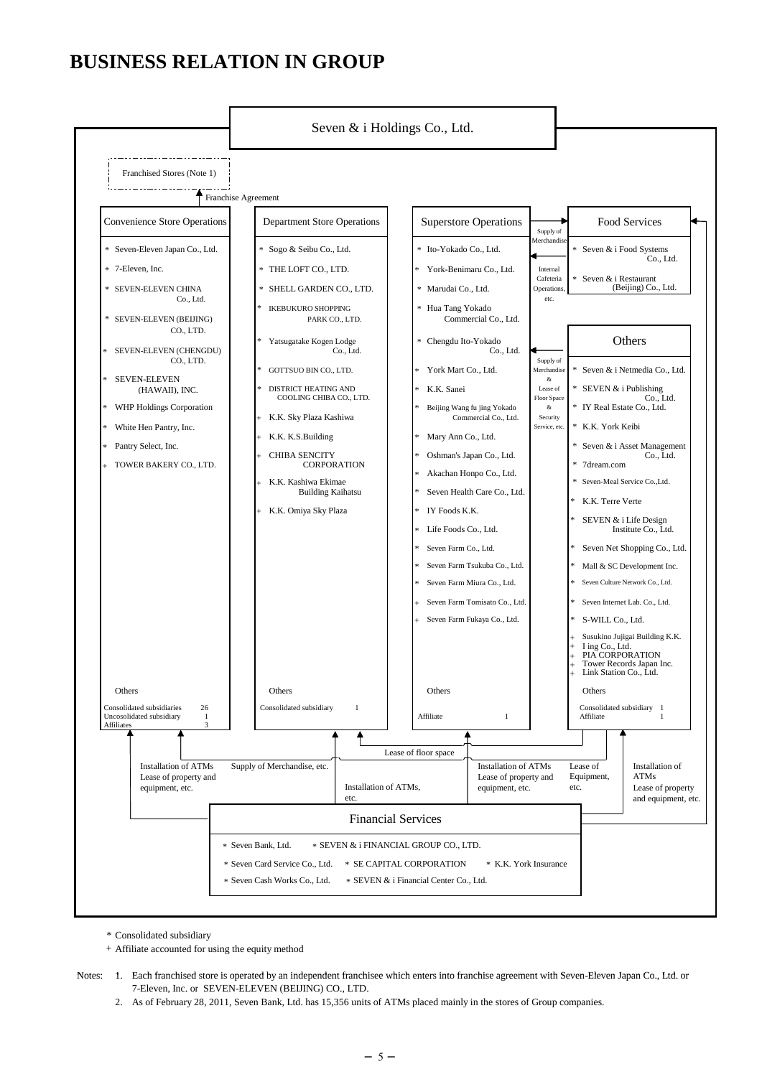## **BUSINESS RELATION IN GROUP**



Consolidated subsidiary \*

Affiliate accounted for using the equity method +

- Notes: 1. Each franchised store is operated by an independent franchisee which enters into franchise agreement with Seven-Eleven Japan Co., Ltd. or<br>7-Eleven, Inc. or SEVEN-ELEVEN (BEIJING) CO., LTD.
	- 2. As of February 28, 2011, Seven Bank, Ltd. has 15,356 units of ATMs placed mainly in the stores of Group companies.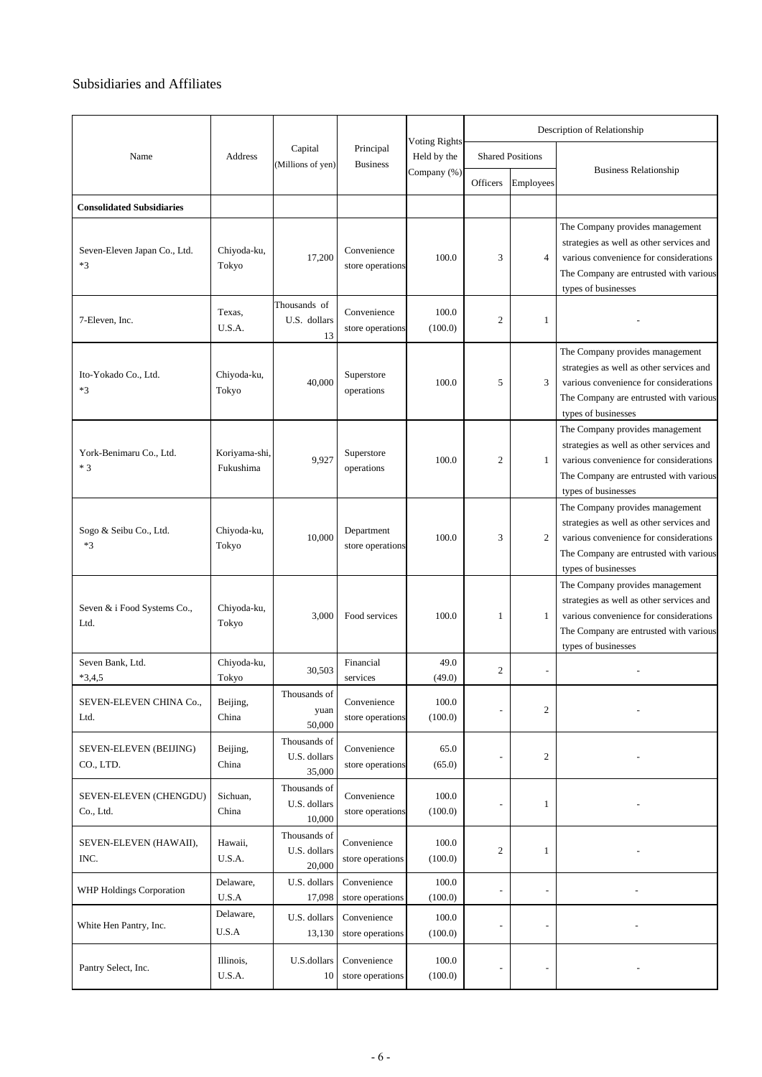## Subsidiaries and Affiliates

|                                      |                            |                                        |                                 |                                     | Description of Relationship |                          |                                                                                                                                                                                        |
|--------------------------------------|----------------------------|----------------------------------------|---------------------------------|-------------------------------------|-----------------------------|--------------------------|----------------------------------------------------------------------------------------------------------------------------------------------------------------------------------------|
| Name                                 | Address                    | Capital<br>(Millions of yen)           | Principal<br><b>Business</b>    | <b>Voting Rights</b><br>Held by the |                             | <b>Shared Positions</b>  | <b>Business Relationship</b>                                                                                                                                                           |
|                                      |                            |                                        |                                 | Company (%)                         | Officers                    | Employees                |                                                                                                                                                                                        |
| <b>Consolidated Subsidiaries</b>     |                            |                                        |                                 |                                     |                             |                          |                                                                                                                                                                                        |
| Seven-Eleven Japan Co., Ltd.<br>$*3$ | Chiyoda-ku,<br>Tokyo       | 17,200                                 | Convenience<br>store operations | 100.0                               | 3                           | $\overline{4}$           | The Company provides management<br>strategies as well as other services and<br>various convenience for considerations<br>The Company are entrusted with various<br>types of businesses |
| 7-Eleven, Inc.                       | Texas,<br>U.S.A.           | Thousands of<br>U.S. dollars<br>13     | Convenience<br>store operations | 100.0<br>(100.0)                    | $\mathfrak{2}$              | 1                        |                                                                                                                                                                                        |
| Ito-Yokado Co., Ltd.<br>$*3$         | Chiyoda-ku,<br>Tokyo       | 40,000                                 | Superstore<br>operations        | 100.0                               | 5                           | 3                        | The Company provides management<br>strategies as well as other services and<br>various convenience for considerations<br>The Company are entrusted with various<br>types of businesses |
| York-Benimaru Co., Ltd.<br>$*3$      | Koriyama-shi,<br>Fukushima | 9,927                                  | Superstore<br>operations        | 100.0                               | $\overline{2}$              | 1                        | The Company provides management<br>strategies as well as other services and<br>various convenience for considerations<br>The Company are entrusted with various<br>types of businesses |
| Sogo & Seibu Co., Ltd.<br>$*3$       | Chiyoda-ku,<br>Tokyo       | 10,000                                 | Department<br>store operations  | 100.0                               | 3                           | $\mathfrak{2}$           | The Company provides management<br>strategies as well as other services and<br>various convenience for considerations<br>The Company are entrusted with various<br>types of businesses |
| Seven & i Food Systems Co.,<br>Ltd.  | Chiyoda-ku,<br>Tokyo       | 3,000                                  | Food services                   | 100.0                               | 1                           | 1                        | The Company provides management<br>strategies as well as other services and<br>various convenience for considerations<br>The Company are entrusted with various<br>types of businesses |
| Seven Bank, Ltd.<br>$*3,4,5$         | Chiyoda-ku,<br>Tokyo       | 30,503                                 | Financial<br>services           | 49.0<br>(49.0)                      | 2                           | $\overline{\phantom{m}}$ |                                                                                                                                                                                        |
| SEVEN-ELEVEN CHINA Co.,<br>Ltd.      | Beijing,<br>China          | Thousands of<br>yuan<br>50,000         | Convenience<br>store operations | 100.0<br>(100.0)                    |                             | $\boldsymbol{2}$         |                                                                                                                                                                                        |
| SEVEN-ELEVEN (BEIJING)<br>CO., LTD.  | Beijing,<br>China          | Thousands of<br>U.S. dollars<br>35,000 | Convenience<br>store operations | 65.0<br>(65.0)                      |                             | $\boldsymbol{2}$         |                                                                                                                                                                                        |
| SEVEN-ELEVEN (CHENGDU)<br>Co., Ltd.  | Sichuan,<br>China          | Thousands of<br>U.S. dollars<br>10,000 | Convenience<br>store operations | 100.0<br>(100.0)                    |                             | $\mathbf{1}$             |                                                                                                                                                                                        |
| SEVEN-ELEVEN (HAWAII),<br>INC.       | Hawaii,<br>U.S.A.          | Thousands of<br>U.S. dollars<br>20,000 | Convenience<br>store operations | 100.0<br>(100.0)                    | $\mathfrak{2}$              | $\mathbf{1}$             |                                                                                                                                                                                        |
| WHP Holdings Corporation             | Delaware,<br>$U.S.A$       | U.S. dollars<br>17,098                 | Convenience<br>store operations | 100.0<br>(100.0)                    |                             |                          |                                                                                                                                                                                        |
| White Hen Pantry, Inc.               | Delaware,<br>U.S.A         | U.S. dollars<br>13,130                 | Convenience<br>store operations | 100.0<br>(100.0)                    |                             | -                        |                                                                                                                                                                                        |
| Pantry Select, Inc.                  | Illinois,<br>U.S.A.        | U.S.dollars<br>10                      | Convenience<br>store operations | 100.0<br>(100.0)                    |                             |                          |                                                                                                                                                                                        |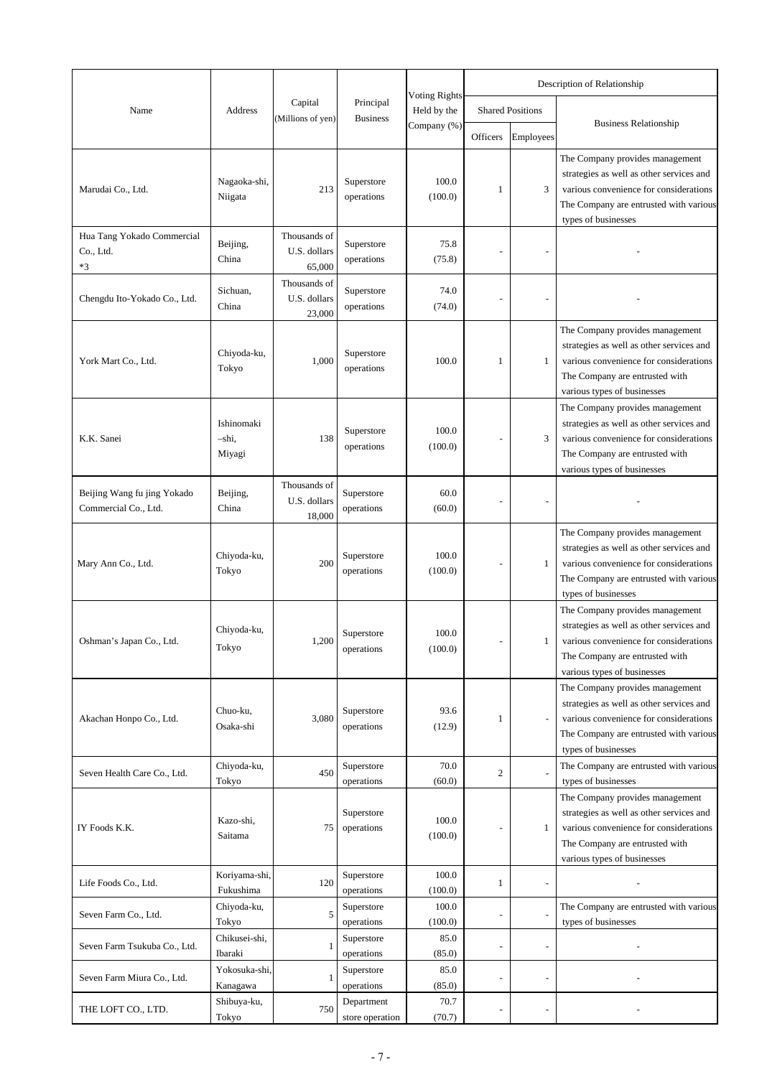|                                                     |                               |                                        |                               |                                     |                |                         | Description of Relationship                                                                                                                                                            |
|-----------------------------------------------------|-------------------------------|----------------------------------------|-------------------------------|-------------------------------------|----------------|-------------------------|----------------------------------------------------------------------------------------------------------------------------------------------------------------------------------------|
| Name                                                | Address                       | Capital<br>(Millions of yen)           | Principal<br><b>Business</b>  | <b>Voting Rights</b><br>Held by the |                | <b>Shared Positions</b> |                                                                                                                                                                                        |
|                                                     |                               |                                        |                               | Company (%)                         | Officers       | Employees               | <b>Business Relationship</b>                                                                                                                                                           |
| Marudai Co., Ltd.                                   | Nagaoka-shi,<br>Niigata       | 213                                    | Superstore<br>operations      | 100.0<br>(100.0)                    | 1              | 3                       | The Company provides management<br>strategies as well as other services and<br>various convenience for considerations<br>The Company are entrusted with various<br>types of businesses |
| Hua Tang Yokado Commercial<br>Co., Ltd.<br>*3       | Beijing,<br>China             | Thousands of<br>U.S. dollars<br>65,000 | Superstore<br>operations      | 75.8<br>(75.8)                      |                |                         |                                                                                                                                                                                        |
| Chengdu Ito-Yokado Co., Ltd.                        | Sichuan,<br>China             | Thousands of<br>U.S. dollars<br>23,000 | Superstore<br>operations      | 74.0<br>(74.0)                      |                |                         |                                                                                                                                                                                        |
| York Mart Co., Ltd.                                 | Chiyoda-ku,<br>Tokyo          | 1,000                                  | Superstore<br>operations      | 100.0                               | 1              | 1                       | The Company provides management<br>strategies as well as other services and<br>various convenience for considerations<br>The Company are entrusted with<br>various types of businesses |
| K.K. Sanei                                          | Ishinomaki<br>-shi,<br>Miyagi | 138                                    | Superstore<br>operations      | 100.0<br>(100.0)                    |                | 3                       | The Company provides management<br>strategies as well as other services and<br>various convenience for considerations<br>The Company are entrusted with<br>various types of businesses |
| Beijing Wang fu jing Yokado<br>Commercial Co., Ltd. | Beijing,<br>China             | Thousands of<br>U.S. dollars<br>18,000 | Superstore<br>operations      | 60.0<br>(60.0)                      |                |                         |                                                                                                                                                                                        |
| Mary Ann Co., Ltd.                                  | Chiyoda-ku,<br>Tokyo          | 200                                    | Superstore<br>operations      | 100.0<br>(100.0)                    |                | 1                       | The Company provides management<br>strategies as well as other services and<br>various convenience for considerations<br>The Company are entrusted with various<br>types of businesses |
| Oshman's Japan Co., Ltd.                            | Chiyoda-ku,<br>Tokyo          | 1.200                                  | Superstore<br>operations      | 100.0<br>(100.0)                    |                |                         | The Company provides management<br>strategies as well as other services and<br>various convenience for considerations<br>The Company are entrusted with<br>various types of businesses |
| Akachan Honpo Co., Ltd.                             | Chuo-ku,<br>Osaka-shi         | 3,080                                  | Superstore<br>operations      | 93.6<br>(12.9)                      | 1              |                         | The Company provides management<br>strategies as well as other services and<br>various convenience for considerations<br>The Company are entrusted with various<br>types of businesses |
| Seven Health Care Co., Ltd.                         | Chiyoda-ku,<br>Tokyo          | 450                                    | Superstore<br>operations      | 70.0<br>(60.0)                      | $\mathfrak{2}$ |                         | The Company are entrusted with various<br>types of businesses                                                                                                                          |
| IY Foods K.K.                                       | Kazo-shi,<br>Saitama          | 75                                     | Superstore<br>operations      | 100.0<br>(100.0)                    |                | 1                       | The Company provides management<br>strategies as well as other services and<br>various convenience for considerations<br>The Company are entrusted with<br>various types of businesses |
| Life Foods Co., Ltd.                                | Koriyama-shi,<br>Fukushima    | 120                                    | Superstore<br>operations      | 100.0<br>(100.0)                    | 1              |                         |                                                                                                                                                                                        |
| Seven Farm Co., Ltd.                                | Chiyoda-ku,<br>Tokyo          | 5                                      | Superstore<br>operations      | 100.0<br>(100.0)                    | ÷,             |                         | The Company are entrusted with various<br>types of businesses                                                                                                                          |
| Seven Farm Tsukuba Co., Ltd.                        | Chikusei-shi,<br>Ibaraki      | 1                                      | Superstore<br>operations      | 85.0<br>(85.0)                      | $\overline{a}$ |                         |                                                                                                                                                                                        |
| Seven Farm Miura Co., Ltd.                          | Yokosuka-shi,<br>Kanagawa     | 1                                      | Superstore<br>operations      | 85.0<br>(85.0)                      | ÷,             |                         |                                                                                                                                                                                        |
| THE LOFT CO., LTD.                                  | Shibuya-ku,<br>Tokyo          | 750                                    | Department<br>store operation | 70.7<br>(70.7)                      | $\overline{a}$ |                         |                                                                                                                                                                                        |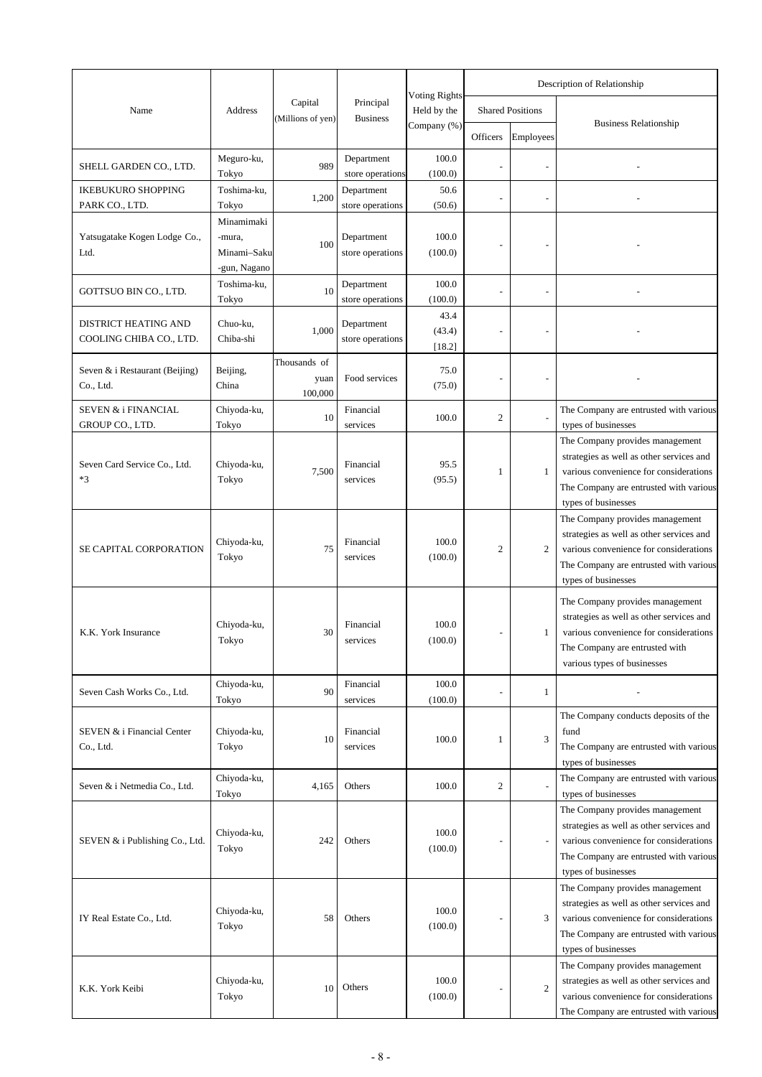|                                                 |                                       |                                 |                                |                                     | Description of Relationship |                         |                                                                                                                                                                                        |
|-------------------------------------------------|---------------------------------------|---------------------------------|--------------------------------|-------------------------------------|-----------------------------|-------------------------|----------------------------------------------------------------------------------------------------------------------------------------------------------------------------------------|
| Name                                            | <b>Address</b>                        | Capital                         | Principal                      | <b>Voting Rights</b><br>Held by the |                             | <b>Shared Positions</b> |                                                                                                                                                                                        |
|                                                 |                                       | (Millions of yen)               | <b>Business</b>                | Company (%)                         | Officers                    | Employees               | <b>Business Relationship</b>                                                                                                                                                           |
| SHELL GARDEN CO., LTD.                          | Meguro-ku,<br>Tokyo                   | 989                             | Department<br>store operations | 100.0<br>(100.0)                    |                             |                         |                                                                                                                                                                                        |
| <b>IKEBUKURO SHOPPING</b>                       | Toshima-ku,                           | 1,200                           | Department                     | 50.6                                |                             |                         |                                                                                                                                                                                        |
| PARK CO., LTD.                                  | Tokyo<br>Minamimaki                   |                                 | store operations               | (50.6)                              |                             |                         |                                                                                                                                                                                        |
| Yatsugatake Kogen Lodge Co.,<br>Ltd.            | -mura,<br>Minami-Saku<br>-gun, Nagano | 100                             | Department<br>store operations | 100.0<br>(100.0)                    |                             |                         |                                                                                                                                                                                        |
| GOTTSUO BIN CO., LTD.                           | Toshima-ku,<br>Tokyo                  | 10                              | Department<br>store operations | 100.0<br>(100.0)                    |                             |                         |                                                                                                                                                                                        |
| DISTRICT HEATING AND<br>COOLING CHIBA CO., LTD. | Chuo-ku,<br>Chiba-shi                 | 1,000                           | Department<br>store operations | 43.4<br>(43.4)<br>[18.2]            |                             |                         |                                                                                                                                                                                        |
| Seven & i Restaurant (Beijing)<br>Co., Ltd.     | Beijing,<br>China                     | Thousands of<br>yuan<br>100,000 | Food services                  | 75.0<br>(75.0)                      |                             |                         |                                                                                                                                                                                        |
| SEVEN & i FINANCIAL<br>GROUP CO., LTD.          | Chiyoda-ku,<br>Tokyo                  | 10                              | Financial<br>services          | 100.0                               | $\mathfrak{2}$              |                         | The Company are entrusted with various<br>types of businesses                                                                                                                          |
| Seven Card Service Co., Ltd.<br>$*3$            | Chiyoda-ku,<br>Tokyo                  | 7,500                           | Financial<br>services          | 95.5<br>(95.5)                      | 1                           | 1                       | The Company provides management<br>strategies as well as other services and<br>various convenience for considerations<br>The Company are entrusted with various<br>types of businesses |
| SE CAPITAL CORPORATION                          | Chiyoda-ku,<br>Tokyo                  | 75                              | Financial<br>services          | 100.0<br>(100.0)                    | 2                           | 2                       | The Company provides management<br>strategies as well as other services and<br>various convenience for considerations<br>The Company are entrusted with various<br>types of businesses |
| K.K. York Insurance                             | Chiyoda-ku,<br>Tokyo                  | 30                              | Financial<br>services          | 100.0<br>(100.0)                    | $\overline{a}$              | 1                       | The Company provides management<br>strategies as well as other services and<br>various convenience for considerations<br>The Company are entrusted with<br>various types of businesses |
| Seven Cash Works Co., Ltd.                      | Chiyoda-ku,<br>Tokyo                  | 90                              | Financial<br>services          | 100.0<br>(100.0)                    |                             | 1                       |                                                                                                                                                                                        |
| SEVEN & i Financial Center<br>Co., Ltd.         | Chiyoda-ku,<br>Tokyo                  | 10                              | Financial<br>services          | 100.0                               | 1                           | 3                       | The Company conducts deposits of the<br>fund<br>The Company are entrusted with various<br>types of businesses                                                                          |
| Seven & i Netmedia Co., Ltd.                    | Chiyoda-ku,<br>Tokyo                  | 4,165                           | Others                         | 100.0                               | $\overline{c}$              |                         | The Company are entrusted with various<br>types of businesses                                                                                                                          |
| SEVEN & i Publishing Co., Ltd.                  | Chiyoda-ku,<br>Tokyo                  | 242                             | Others                         | 100.0<br>(100.0)                    |                             |                         | The Company provides management<br>strategies as well as other services and<br>various convenience for considerations<br>The Company are entrusted with various<br>types of businesses |
| IY Real Estate Co., Ltd.                        | Chiyoda-ku,<br>Tokyo                  | 58                              | Others                         | 100.0<br>(100.0)                    |                             | 3                       | The Company provides management<br>strategies as well as other services and<br>various convenience for considerations<br>The Company are entrusted with various<br>types of businesses |
| K.K. York Keibi                                 | Chiyoda-ku,<br>Tokyo                  | 10                              | Others                         | 100.0<br>(100.0)                    |                             | $\mathfrak{2}$          | The Company provides management<br>strategies as well as other services and<br>various convenience for considerations<br>The Company are entrusted with various                        |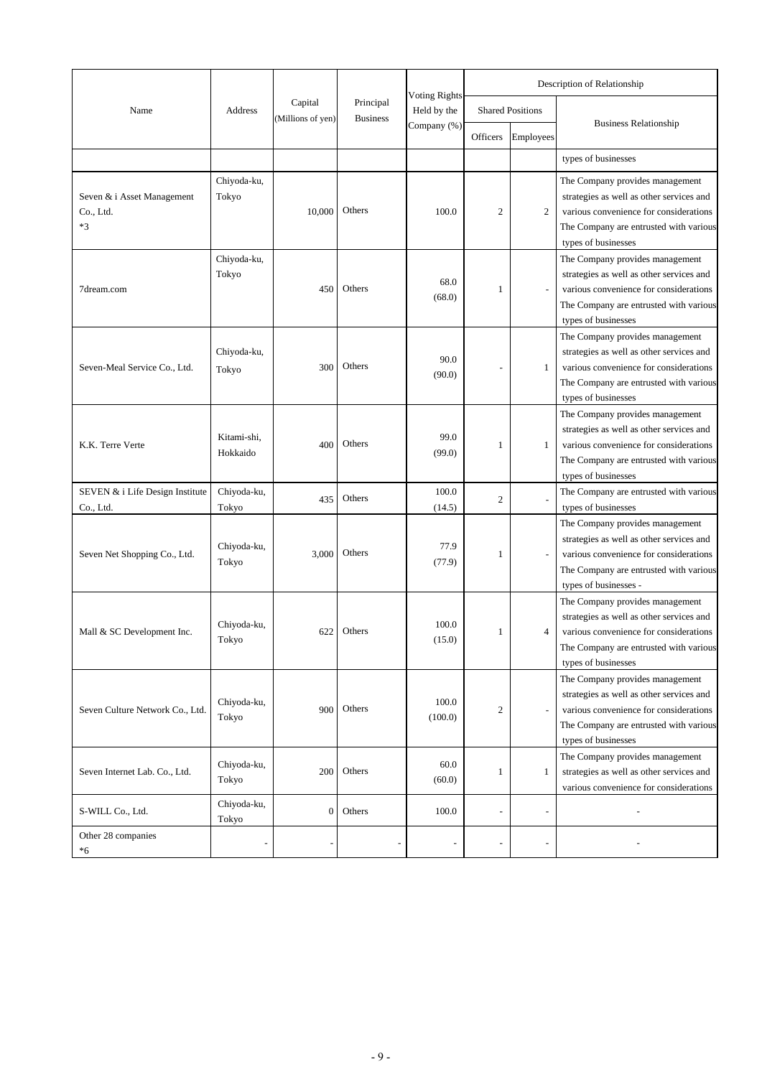|                                               |                         |                              |                              | <b>Voting Rights</b> |                |                         | Description of Relationship                                                                                                                                                              |
|-----------------------------------------------|-------------------------|------------------------------|------------------------------|----------------------|----------------|-------------------------|------------------------------------------------------------------------------------------------------------------------------------------------------------------------------------------|
| Name                                          | Address                 | Capital<br>(Millions of yen) | Principal<br><b>Business</b> | Held by the          |                | <b>Shared Positions</b> |                                                                                                                                                                                          |
|                                               |                         |                              |                              | Company (%)          | Officers       | Employees               | <b>Business Relationship</b>                                                                                                                                                             |
|                                               |                         |                              |                              |                      |                |                         | types of businesses                                                                                                                                                                      |
| Seven & i Asset Management<br>Co., Ltd.<br>*3 | Chiyoda-ku,<br>Tokyo    | 10,000                       | Others                       | 100.0                | $\mathfrak{2}$ | 2                       | The Company provides management<br>strategies as well as other services and<br>various convenience for considerations<br>The Company are entrusted with various<br>types of businesses   |
| 7dream.com                                    | Chiyoda-ku,<br>Tokyo    | 450                          | Others                       | 68.0<br>(68.0)       | 1              |                         | The Company provides management<br>strategies as well as other services and<br>various convenience for considerations<br>The Company are entrusted with various<br>types of businesses   |
| Seven-Meal Service Co., Ltd.                  | Chiyoda-ku,<br>Tokyo    | 300                          | Others                       | 90.0<br>(90.0)       |                | 1                       | The Company provides management<br>strategies as well as other services and<br>various convenience for considerations<br>The Company are entrusted with various<br>types of businesses   |
| K.K. Terre Verte                              | Kitami-shi,<br>Hokkaido | 400                          | Others                       | 99.0<br>(99.0)       | 1              | 1                       | The Company provides management<br>strategies as well as other services and<br>various convenience for considerations<br>The Company are entrusted with various<br>types of businesses   |
| SEVEN & i Life Design Institute<br>Co., Ltd.  | Chiyoda-ku,<br>Tokyo    | 435                          | Others                       | 100.0<br>(14.5)      | $\mathfrak{2}$ |                         | The Company are entrusted with various<br>types of businesses                                                                                                                            |
| Seven Net Shopping Co., Ltd.                  | Chiyoda-ku,<br>Tokyo    | 3,000                        | Others                       | 77.9<br>(77.9)       | 1              |                         | The Company provides management<br>strategies as well as other services and<br>various convenience for considerations<br>The Company are entrusted with various<br>types of businesses - |
| Mall & SC Development Inc.                    | Chiyoda-ku,<br>Tokyo    | 622                          | Others                       | 100.0<br>(15.0)      | 1              | 4                       | The Company provides management<br>strategies as well as other services and<br>various convenience for considerations<br>The Company are entrusted with various<br>types of businesses   |
| Seven Culture Network Co., Ltd.               | Chiyoda-ku,<br>Tokyo    | 900                          | Others                       | 100.0<br>(100.0)     | 2              |                         | The Company provides management<br>strategies as well as other services and<br>various convenience for considerations<br>The Company are entrusted with various<br>types of businesses   |
| Seven Internet Lab. Co., Ltd.                 | Chiyoda-ku,<br>Tokyo    | 200                          | Others                       | 60.0<br>(60.0)       | 1              | 1                       | The Company provides management<br>strategies as well as other services and<br>various convenience for considerations                                                                    |
| S-WILL Co., Ltd.                              | Chiyoda-ku,<br>Tokyo    | $\boldsymbol{0}$             | Others                       | 100.0                | ÷,             |                         |                                                                                                                                                                                          |
| Other 28 companies<br>*6                      | $\overline{a}$          |                              | $\overline{a}$               | $\overline{a}$       | $\frac{1}{2}$  |                         |                                                                                                                                                                                          |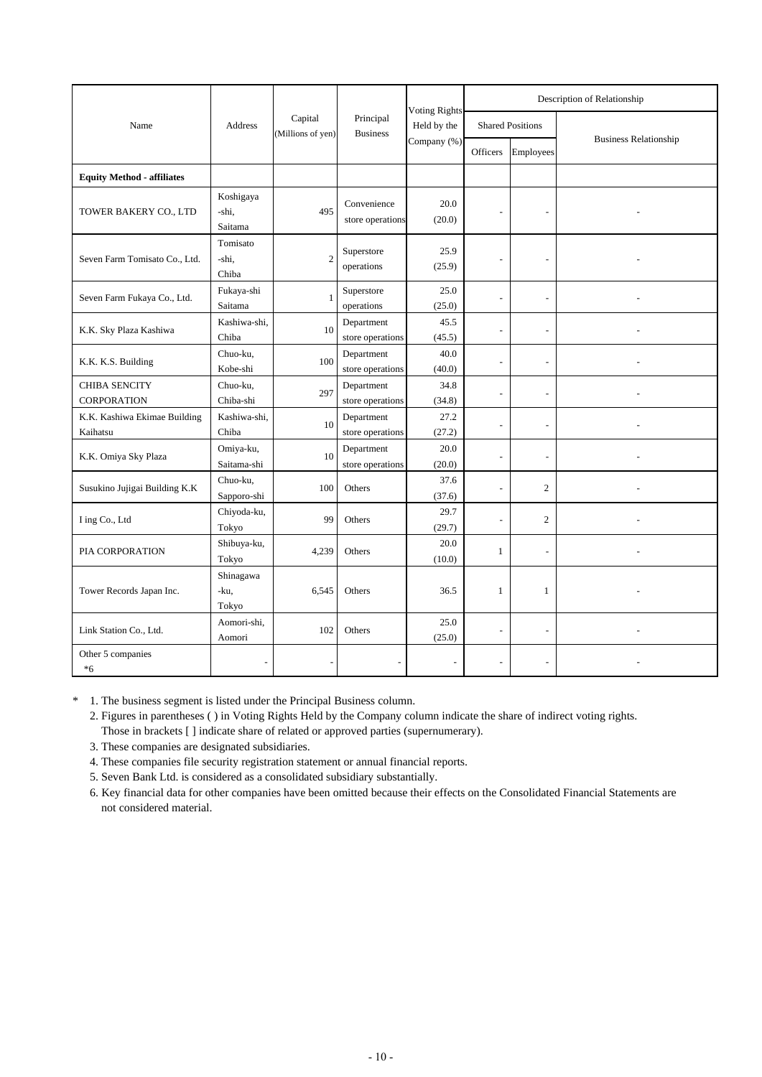|                                          |                               |                              |                                 | <b>Voting Rights</b> |                         |                          | Description of Relationship  |  |
|------------------------------------------|-------------------------------|------------------------------|---------------------------------|----------------------|-------------------------|--------------------------|------------------------------|--|
| Name                                     | Address                       | Capital<br>(Millions of yen) | Principal<br><b>Business</b>    | Held by the          | <b>Shared Positions</b> |                          |                              |  |
|                                          |                               |                              |                                 | Company (%)          | Officers                | Employees                | <b>Business Relationship</b> |  |
| <b>Equity Method - affiliates</b>        |                               |                              |                                 |                      |                         |                          |                              |  |
| TOWER BAKERY CO., LTD                    | Koshigaya<br>-shi,<br>Saitama | 495                          | Convenience<br>store operations | 20.0<br>(20.0)       | ٠                       | $\overline{\phantom{a}}$ |                              |  |
| Seven Farm Tomisato Co., Ltd.            | Tomisato<br>-shi,<br>Chiba    | $\overline{2}$               | Superstore<br>operations        | 25.9<br>(25.9)       | ÷,                      |                          |                              |  |
| Seven Farm Fukaya Co., Ltd.              | Fukaya-shi<br>Saitama         | 1                            | Superstore<br>operations        | 25.0<br>(25.0)       | $\overline{a}$          | $\overline{a}$           |                              |  |
| K.K. Sky Plaza Kashiwa                   | Kashiwa-shi,<br>Chiba         | 10                           | Department<br>store operations  | 45.5<br>(45.5)       | ÷,                      |                          |                              |  |
| K.K. K.S. Building                       | Chuo-ku,<br>Kobe-shi          | 100                          | Department<br>store operations  | 40.0<br>(40.0)       | ÷,                      | $\overline{a}$           |                              |  |
| CHIBA SENCITY<br>CORPORATION             | Chuo-ku,<br>Chiba-shi         | 297                          | Department<br>store operations  | 34.8<br>(34.8)       | ÷,                      | $\overline{\phantom{a}}$ |                              |  |
| K.K. Kashiwa Ekimae Building<br>Kaihatsu | Kashiwa-shi.<br>Chiba         | 10                           | Department<br>store operations  | 27.2<br>(27.2)       | ÷,                      |                          |                              |  |
| K.K. Omiya Sky Plaza                     | Omiya-ku,<br>Saitama-shi      | 10                           | Department<br>store operations  | 20.0<br>(20.0)       | ÷,                      |                          |                              |  |
| Susukino Jujigai Building K.K            | Chuo-ku,<br>Sapporo-shi       | 100                          | Others                          | 37.6<br>(37.6)       | $\overline{a}$          | $\overline{c}$           |                              |  |
| I ing Co., Ltd                           | Chiyoda-ku,<br>Tokyo          | 99                           | Others                          | 29.7<br>(29.7)       | ÷,                      | $\overline{2}$           |                              |  |
| PIA CORPORATION                          | Shibuya-ku,<br>Tokyo          | 4,239                        | Others                          | 20.0<br>(10.0)       | $\mathbf{1}$            | $\overline{a}$           |                              |  |
| Tower Records Japan Inc.                 | Shinagawa<br>-ku,<br>Tokyo    | 6,545                        | Others                          | 36.5                 | $\mathbf{1}$            | $\mathbf{1}$             |                              |  |
| Link Station Co., Ltd.                   | Aomori-shi,<br>Aomori         | 102                          | Others                          | 25.0<br>(25.0)       | $\overline{a}$          |                          |                              |  |
| Other 5 companies<br>$*6$                |                               |                              |                                 |                      | ÷,                      |                          |                              |  |

\* 1. The business segment is listed under the Principal Business column.

2. Figures in parentheses ( ) in Voting Rights Held by the Company column indicate the share of indirect voting rights. Those in brackets [ ] indicate share of related or approved parties (supernumerary).

- 3. These companies are designated subsidiaries.
- 4. These companies file security registration statement or annual financial reports.
- 5. Seven Bank Ltd. is considered as a consolidated subsidiary substantially.

6. Key financial data for other companies have been omitted because their effects on the Consolidated Financial Statements are not considered material.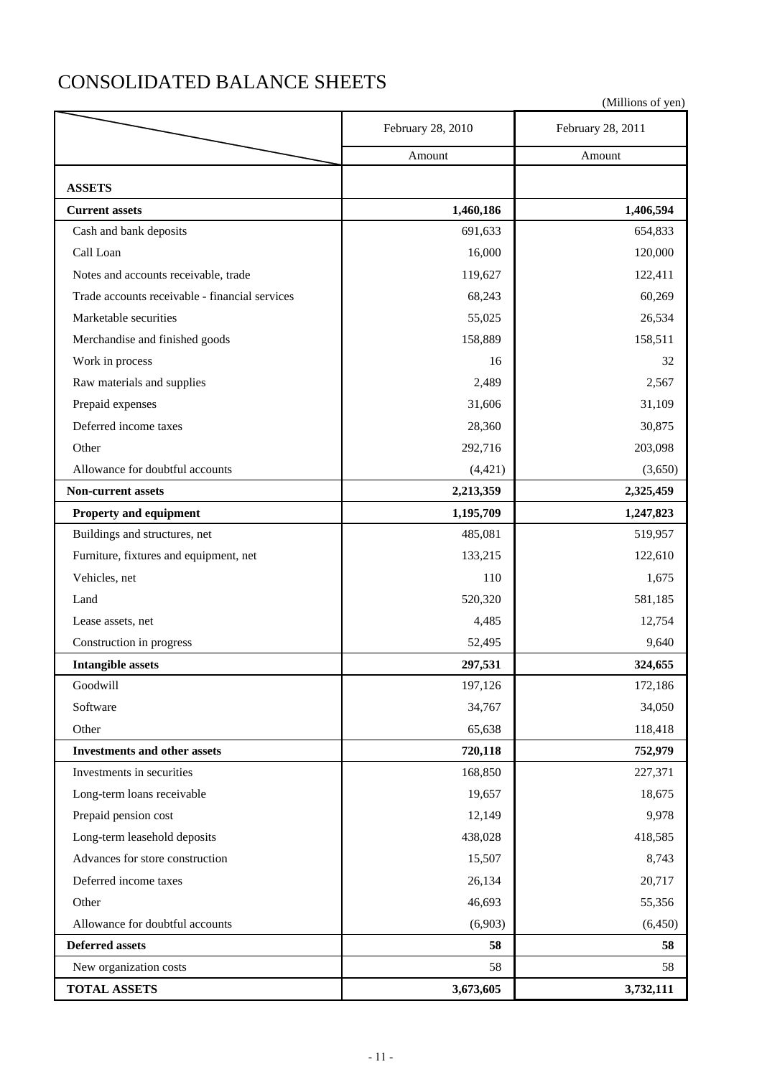# CONSOLIDATED BALANCE SHEETS

| (Millions of yen) |
|-------------------|
|-------------------|

|                                                | February 28, 2010 | February 28, 2011 |
|------------------------------------------------|-------------------|-------------------|
|                                                | Amount            | Amount            |
| <b>ASSETS</b>                                  |                   |                   |
| <b>Current assets</b>                          | 1,460,186         | 1,406,594         |
| Cash and bank deposits                         | 691,633           | 654,833           |
| Call Loan                                      | 16,000            | 120,000           |
| Notes and accounts receivable, trade           | 119,627           | 122,411           |
| Trade accounts receivable - financial services | 68,243            | 60,269            |
| Marketable securities                          | 55,025            | 26,534            |
| Merchandise and finished goods                 | 158,889           | 158,511           |
| Work in process                                | 16                | 32                |
| Raw materials and supplies                     | 2,489             | 2,567             |
| Prepaid expenses                               | 31,606            | 31,109            |
| Deferred income taxes                          | 28,360            | 30,875            |
| Other                                          | 292,716           | 203,098           |
| Allowance for doubtful accounts                | (4, 421)          | (3,650)           |
| <b>Non-current assets</b>                      | 2,213,359         | 2,325,459         |
| Property and equipment                         | 1,195,709         | 1,247,823         |
| Buildings and structures, net                  | 485,081           | 519,957           |
| Furniture, fixtures and equipment, net         | 133,215           | 122,610           |
| Vehicles, net                                  | 110               | 1,675             |
| Land                                           | 520,320           | 581,185           |
| Lease assets, net                              | 4,485             | 12,754            |
| Construction in progress                       | 52,495            | 9,640             |
| <b>Intangible assets</b>                       | 297,531           | 324,655           |
| Goodwill                                       | 197,126           | 172,186           |
| Software                                       | 34,767            | 34,050            |
| Other                                          | 65,638            | 118,418           |
| <b>Investments and other assets</b>            | 720,118           | 752,979           |
| Investments in securities                      | 168,850           | 227,371           |
| Long-term loans receivable                     | 19,657            | 18,675            |
| Prepaid pension cost                           | 12,149            | 9,978             |
| Long-term leasehold deposits                   | 438,028           | 418,585           |
| Advances for store construction                | 15,507            | 8,743             |
| Deferred income taxes                          | 26,134            | 20,717            |
| Other                                          | 46,693            | 55,356            |
| Allowance for doubtful accounts                | (6,903)           | (6, 450)          |
| <b>Deferred assets</b>                         | 58                | 58                |
| New organization costs                         | 58                | 58                |
| <b>TOTAL ASSETS</b>                            | 3,673,605         | 3,732,111         |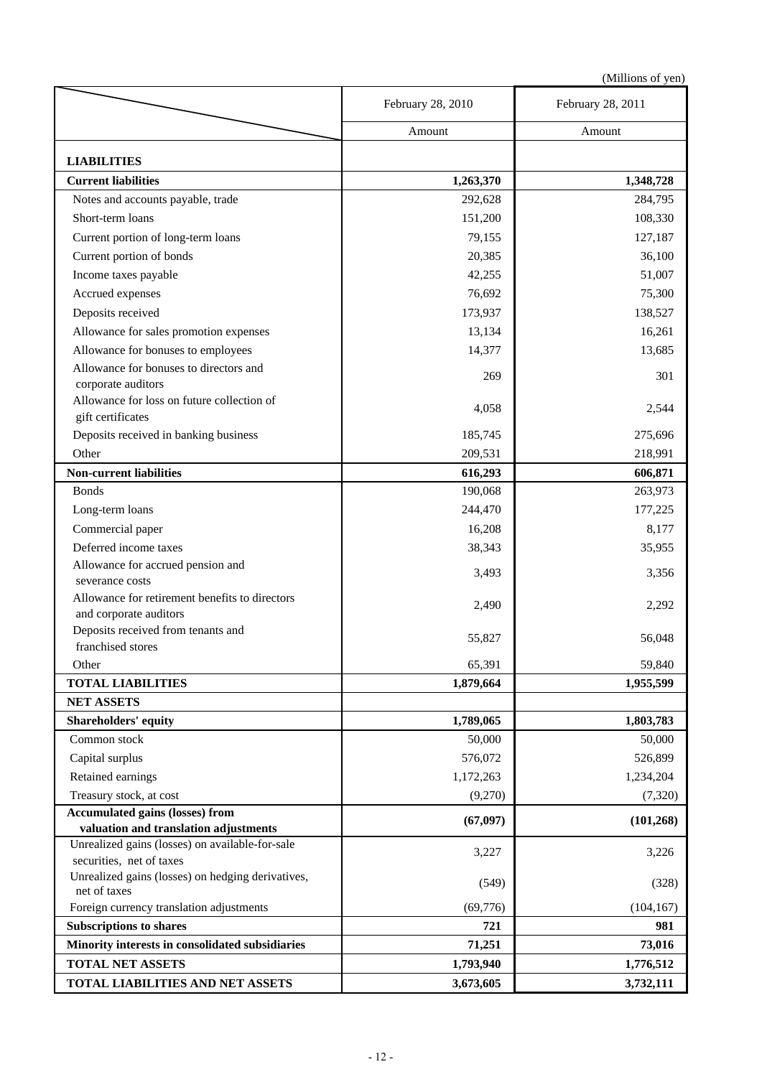|                                                                               | February 28, 2010 | February 28, 2011 |
|-------------------------------------------------------------------------------|-------------------|-------------------|
|                                                                               | Amount            | Amount            |
|                                                                               |                   |                   |
| <b>LIABILITIES</b>                                                            |                   |                   |
| <b>Current liabilities</b>                                                    | 1,263,370         | 1,348,728         |
| Notes and accounts payable, trade                                             | 292,628           | 284,795           |
| Short-term loans                                                              | 151,200           | 108,330           |
| Current portion of long-term loans                                            | 79,155            | 127,187           |
| Current portion of bonds                                                      | 20,385            | 36,100            |
| Income taxes payable                                                          | 42,255            | 51,007            |
| Accrued expenses                                                              | 76,692            | 75,300            |
| Deposits received                                                             | 173,937           | 138,527           |
| Allowance for sales promotion expenses                                        | 13,134            | 16,261            |
| Allowance for bonuses to employees                                            | 14,377            | 13,685            |
| Allowance for bonuses to directors and                                        |                   |                   |
| corporate auditors                                                            | 269               | 301               |
| Allowance for loss on future collection of                                    |                   |                   |
| gift certificates                                                             | 4,058             | 2,544             |
| Deposits received in banking business                                         | 185,745           | 275,696           |
| Other                                                                         | 209,531           | 218,991           |
| <b>Non-current liabilities</b>                                                | 616,293           | 606,871           |
| <b>Bonds</b>                                                                  | 190,068           | 263,973           |
| Long-term loans                                                               | 244,470           | 177,225           |
| Commercial paper                                                              | 16,208            | 8,177             |
| Deferred income taxes                                                         | 38,343            | 35,955            |
| Allowance for accrued pension and                                             |                   |                   |
| severance costs                                                               | 3,493             | 3,356             |
| Allowance for retirement benefits to directors                                | 2,490             | 2,292             |
| and corporate auditors                                                        |                   |                   |
| Deposits received from tenants and                                            | 55,827            | 56,048            |
| franchised stores                                                             |                   |                   |
| Other                                                                         | 65,391            | 59,840            |
| <b>TOTAL LIABILITIES</b>                                                      | 1,879,664         | 1,955,599         |
| <b>NET ASSETS</b>                                                             |                   |                   |
| <b>Shareholders' equity</b>                                                   | 1,789,065         | 1,803,783         |
| Common stock                                                                  | 50,000            | 50,000            |
| Capital surplus                                                               | 576,072           | 526,899           |
| Retained earnings                                                             | 1,172,263         | 1,234,204         |
| Treasury stock, at cost                                                       | (9,270)           | (7,320)           |
| <b>Accumulated gains (losses) from</b>                                        | (67, 097)         | (101, 268)        |
| valuation and translation adjustments                                         |                   |                   |
| Unrealized gains (losses) on available-for-sale                               | 3,227             | 3,226             |
| securities, net of taxes<br>Unrealized gains (losses) on hedging derivatives, |                   |                   |
| net of taxes                                                                  | (549)             | (328)             |
| Foreign currency translation adjustments                                      | (69,776)          | (104, 167)        |
| <b>Subscriptions to shares</b>                                                | 721               | 981               |
| Minority interests in consolidated subsidiaries                               | 71,251            | 73,016            |
| <b>TOTAL NET ASSETS</b>                                                       | 1,793,940         | 1,776,512         |
| TOTAL LIABILITIES AND NET ASSETS                                              | 3,673,605         | 3,732,111         |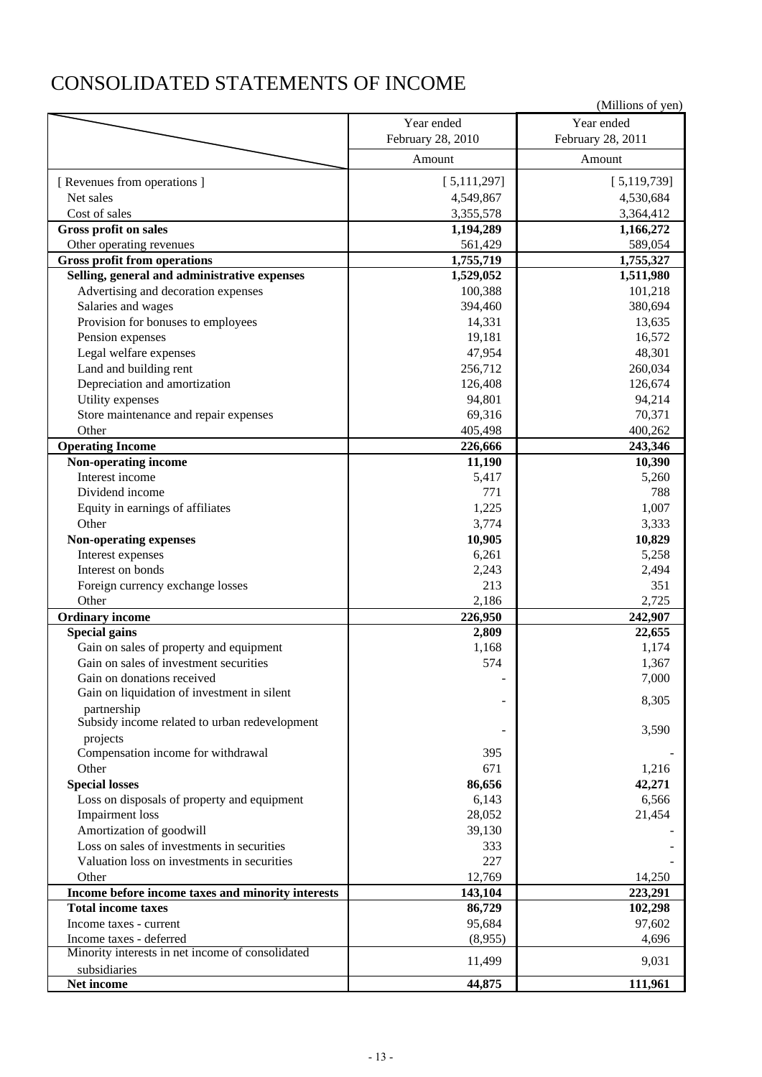# CONSOLIDATED STATEMENTS OF INCOME

|                                                                             |                   | (Millions of yen) |
|-----------------------------------------------------------------------------|-------------------|-------------------|
|                                                                             | Year ended        | Year ended        |
|                                                                             | February 28, 2010 | February 28, 2011 |
|                                                                             | Amount            | Amount            |
| [ Revenues from operations ]                                                | [5,111,297]       | [5,119,739]       |
| Net sales                                                                   | 4,549,867         | 4,530,684         |
| Cost of sales                                                               | 3,355,578         | 3,364,412         |
| <b>Gross profit on sales</b>                                                | 1,194,289         | 1,166,272         |
| Other operating revenues                                                    | 561,429           | 589,054           |
| <b>Gross profit from operations</b>                                         | 1,755,719         | 1,755,327         |
| Selling, general and administrative expenses                                | 1,529,052         | 1,511,980         |
| Advertising and decoration expenses                                         | 100,388           | 101,218           |
| Salaries and wages                                                          | 394,460           | 380,694           |
| Provision for bonuses to employees                                          | 14,331            | 13,635            |
| Pension expenses                                                            | 19,181            | 16,572            |
| Legal welfare expenses                                                      | 47,954            | 48,301            |
| Land and building rent                                                      | 256,712           | 260,034           |
| Depreciation and amortization                                               | 126,408           | 126,674           |
| Utility expenses                                                            | 94,801            | 94,214            |
| Store maintenance and repair expenses                                       | 69,316            | 70,371            |
| Other                                                                       | 405,498           | 400,262           |
| <b>Operating Income</b>                                                     | 226,666           | 243,346           |
| Non-operating income                                                        | 11,190            | 10,390            |
| Interest income                                                             | 5,417             | 5,260             |
| Dividend income                                                             | 771               | 788               |
| Equity in earnings of affiliates                                            | 1,225             | 1,007             |
| Other                                                                       | 3,774             | 3,333             |
| Non-operating expenses                                                      | 10,905            | 10,829            |
| Interest expenses                                                           | 6,261             | 5,258             |
| Interest on bonds                                                           | 2,243             | 2,494             |
| Foreign currency exchange losses                                            | 213               | 351               |
| Other                                                                       | 2,186             | 2,725             |
| <b>Ordinary income</b>                                                      | 226,950           | 242,907           |
| <b>Special gains</b>                                                        | 2,809             | 22,655            |
| Gain on sales of property and equipment                                     | 1,168             | 1,174             |
| Gain on sales of investment securities                                      | 574               | 1,367             |
| Gain on donations received                                                  |                   | 7,000             |
| Gain on liquidation of investment in silent                                 |                   |                   |
| partnership                                                                 |                   | 8,305             |
| Subsidy income related to urban redevelopment                               |                   | 3,590             |
| projects                                                                    |                   |                   |
| Compensation income for withdrawal<br>Other                                 | 395<br>671        |                   |
|                                                                             |                   | 1,216             |
| <b>Special losses</b>                                                       | 86,656            | 42,271            |
| Loss on disposals of property and equipment                                 | 6,143<br>28,052   | 6,566             |
| Impairment loss                                                             |                   | 21,454            |
| Amortization of goodwill                                                    | 39,130            |                   |
| Loss on sales of investments in securities                                  | 333               |                   |
| Valuation loss on investments in securities                                 | 227               |                   |
| Other                                                                       | 12,769            | 14,250            |
| Income before income taxes and minority interests                           | 143,104           | 223,291           |
| <b>Total income taxes</b>                                                   | 86,729            | 102,298           |
| Income taxes - current                                                      | 95,684            | 97,602            |
| Income taxes - deferred<br>Minority interests in net income of consolidated | (8,955)<br>11,499 | 4,696<br>9,031    |
| subsidiaries                                                                |                   |                   |
| Net income                                                                  | 44,875            | 111,961           |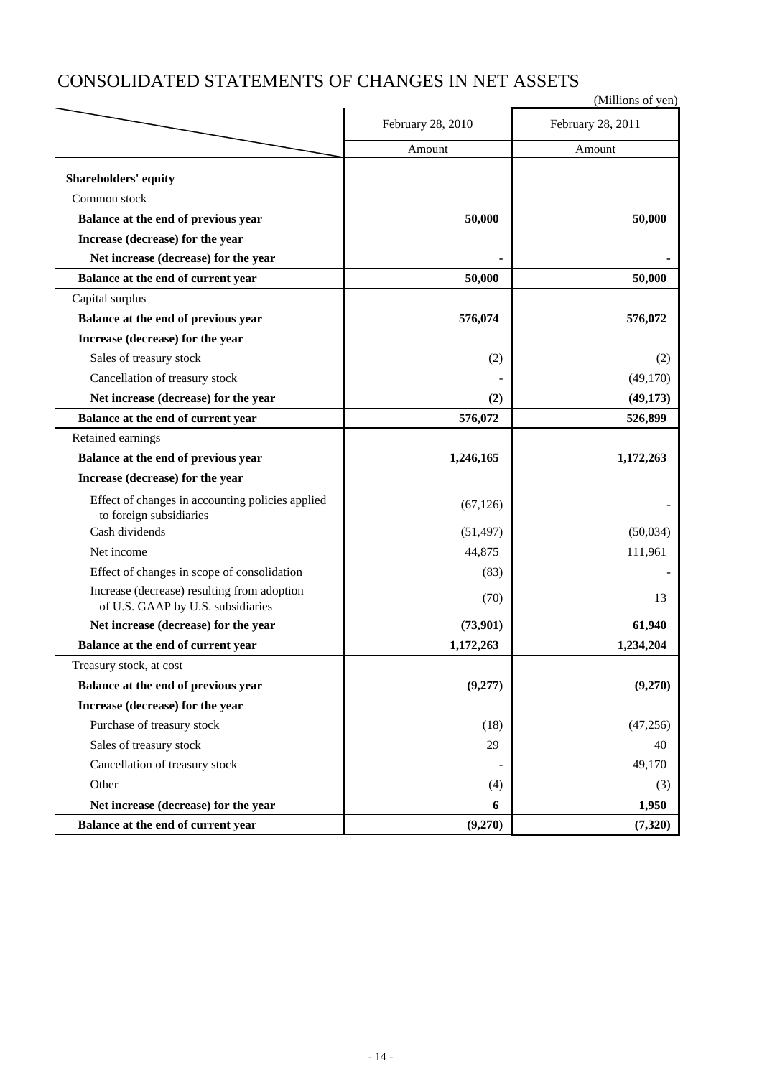# CONSOLIDATED STATEMENTS OF CHANGES IN NET ASSETS

|                                                  | February 28, 2010 | February 28, 2011 |
|--------------------------------------------------|-------------------|-------------------|
|                                                  | Amount            | Amount            |
| <b>Shareholders' equity</b>                      |                   |                   |
| Common stock                                     |                   |                   |
| Balance at the end of previous year              | 50,000            | 50,000            |
| Increase (decrease) for the year                 |                   |                   |
|                                                  |                   |                   |
| Net increase (decrease) for the year             |                   |                   |
| Balance at the end of current year               | 50,000            | 50,000            |
| Capital surplus                                  |                   |                   |
| Balance at the end of previous year              | 576,074           | 576,072           |
| Increase (decrease) for the year                 |                   |                   |
| Sales of treasury stock                          | (2)               | (2)               |
| Cancellation of treasury stock                   |                   | (49,170)          |
| Net increase (decrease) for the year             | (2)               | (49, 173)         |
| Balance at the end of current year               | 576,072           | 526,899           |
| Retained earnings                                |                   |                   |
| Balance at the end of previous year              | 1,246,165         | 1,172,263         |
| Increase (decrease) for the year                 |                   |                   |
| Effect of changes in accounting policies applied | (67, 126)         |                   |
| to foreign subsidiaries                          |                   |                   |
| Cash dividends                                   | (51, 497)         | (50,034)          |
| Net income                                       | 44,875            | 111,961           |
| Effect of changes in scope of consolidation      | (83)              |                   |
| Increase (decrease) resulting from adoption      | (70)              | 13                |
| of U.S. GAAP by U.S. subsidiaries                |                   |                   |
| Net increase (decrease) for the year             | (73,901)          | 61,940            |
| Balance at the end of current year               | 1,172,263         | 1,234,204         |
| Treasury stock, at cost                          |                   |                   |
| Balance at the end of previous year              | (9,277)           | (9,270)           |
| Increase (decrease) for the year                 |                   |                   |
| Purchase of treasury stock                       | (18)              | (47, 256)         |
| Sales of treasury stock                          | 29                | 40                |
| Cancellation of treasury stock                   |                   | 49,170            |
| Other                                            | (4)               | (3)               |
| Net increase (decrease) for the year             | 6                 | 1,950             |
| Balance at the end of current year               | (9,270)           | (7,320)           |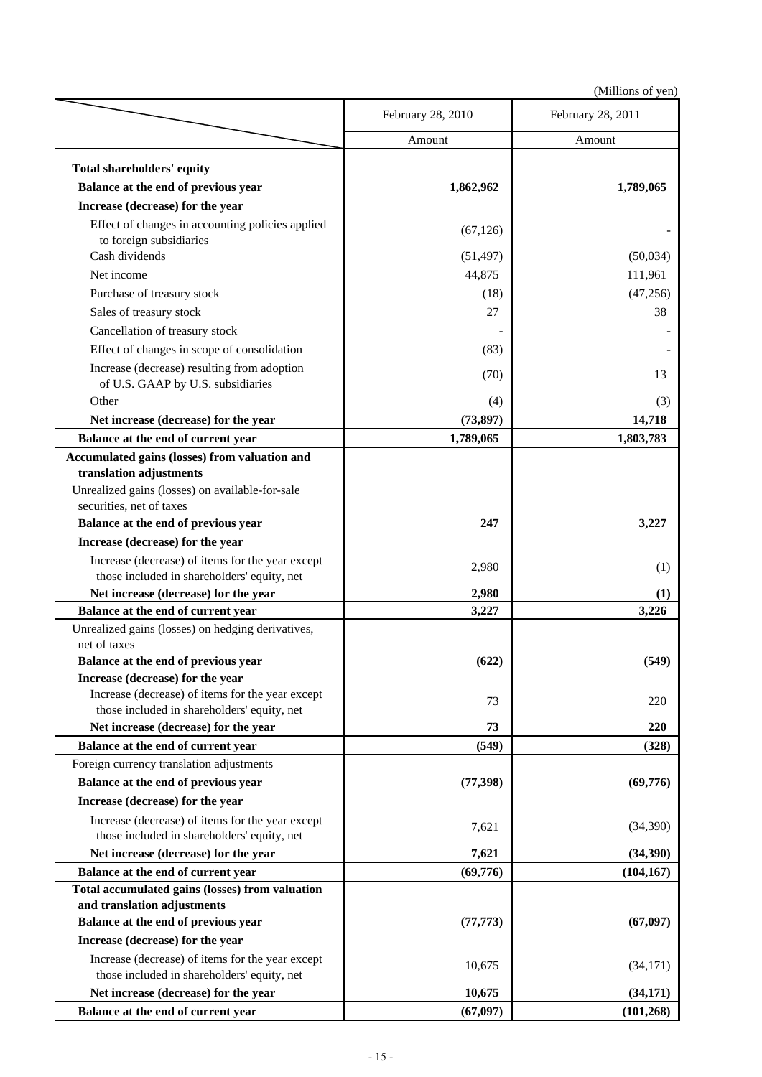| Amount<br>Amount<br>Total shareholders' equity<br>Balance at the end of previous year<br>1,862,962<br>1,789,065<br>Increase (decrease) for the year<br>Effect of changes in accounting policies applied<br>(67, 126)<br>to foreign subsidiaries<br>Cash dividends<br>(51, 497)<br>(50,034)<br>Net income<br>44,875<br>111,961<br>(47, 256)<br>Purchase of treasury stock<br>(18)<br>Sales of treasury stock<br>27<br>38<br>Cancellation of treasury stock<br>Effect of changes in scope of consolidation<br>(83)<br>Increase (decrease) resulting from adoption<br>(70)<br>13<br>of U.S. GAAP by U.S. subsidiaries<br>Other<br>(4)<br>(3)<br>Net increase (decrease) for the year<br>(73, 897)<br>14,718<br>Balance at the end of current year<br>1,789,065<br>1,803,783<br>Accumulated gains (losses) from valuation and<br>translation adjustments<br>Unrealized gains (losses) on available-for-sale<br>securities, net of taxes<br>Balance at the end of previous year<br>247<br>3,227<br>Increase (decrease) for the year<br>Increase (decrease) of items for the year except<br>2,980<br>(1)<br>those included in shareholders' equity, net<br>Net increase (decrease) for the year<br>2,980<br>(1)<br>Balance at the end of current year<br>3,226<br>3,227<br>Unrealized gains (losses) on hedging derivatives,<br>net of taxes<br>Balance at the end of previous year<br>(622)<br>(549)<br>Increase (decrease) for the year<br>Increase (decrease) of items for the year except<br>73<br>220<br>those included in shareholders' equity, net<br>Net increase (decrease) for the year<br>73<br>220<br>Balance at the end of current year<br>(549)<br>(328)<br>Foreign currency translation adjustments<br>Balance at the end of previous year<br>(77, 398)<br>(69,776)<br>Increase (decrease) for the year<br>Increase (decrease) of items for the year except<br>7,621<br>(34,390)<br>those included in shareholders' equity, net<br>Net increase (decrease) for the year<br>7,621<br>(34,390)<br>Balance at the end of current year<br>(69,776)<br>(104, 167)<br>Total accumulated gains (losses) from valuation<br>and translation adjustments<br>Balance at the end of previous year<br>(77, 773)<br>(67, 097)<br>Increase (decrease) for the year<br>Increase (decrease) of items for the year except<br>10,675<br>(34,171)<br>those included in shareholders' equity, net<br>Net increase (decrease) for the year<br>10,675<br>(34, 171)<br>(67, 097)<br>Balance at the end of current year<br>(101, 268) | February 28, 2010 | February 28, 2011 |
|-----------------------------------------------------------------------------------------------------------------------------------------------------------------------------------------------------------------------------------------------------------------------------------------------------------------------------------------------------------------------------------------------------------------------------------------------------------------------------------------------------------------------------------------------------------------------------------------------------------------------------------------------------------------------------------------------------------------------------------------------------------------------------------------------------------------------------------------------------------------------------------------------------------------------------------------------------------------------------------------------------------------------------------------------------------------------------------------------------------------------------------------------------------------------------------------------------------------------------------------------------------------------------------------------------------------------------------------------------------------------------------------------------------------------------------------------------------------------------------------------------------------------------------------------------------------------------------------------------------------------------------------------------------------------------------------------------------------------------------------------------------------------------------------------------------------------------------------------------------------------------------------------------------------------------------------------------------------------------------------------------------------------------------------------------------------------------------------------------------------------------------------------------------------------------------------------------------------------------------------------------------------------------------------------------------------------------------------------------------------------------------------------------------------------------------------------------------------------------------------------------------------------|-------------------|-------------------|
|                                                                                                                                                                                                                                                                                                                                                                                                                                                                                                                                                                                                                                                                                                                                                                                                                                                                                                                                                                                                                                                                                                                                                                                                                                                                                                                                                                                                                                                                                                                                                                                                                                                                                                                                                                                                                                                                                                                                                                                                                                                                                                                                                                                                                                                                                                                                                                                                                                                                                                                       |                   |                   |
|                                                                                                                                                                                                                                                                                                                                                                                                                                                                                                                                                                                                                                                                                                                                                                                                                                                                                                                                                                                                                                                                                                                                                                                                                                                                                                                                                                                                                                                                                                                                                                                                                                                                                                                                                                                                                                                                                                                                                                                                                                                                                                                                                                                                                                                                                                                                                                                                                                                                                                                       |                   |                   |
|                                                                                                                                                                                                                                                                                                                                                                                                                                                                                                                                                                                                                                                                                                                                                                                                                                                                                                                                                                                                                                                                                                                                                                                                                                                                                                                                                                                                                                                                                                                                                                                                                                                                                                                                                                                                                                                                                                                                                                                                                                                                                                                                                                                                                                                                                                                                                                                                                                                                                                                       |                   |                   |
|                                                                                                                                                                                                                                                                                                                                                                                                                                                                                                                                                                                                                                                                                                                                                                                                                                                                                                                                                                                                                                                                                                                                                                                                                                                                                                                                                                                                                                                                                                                                                                                                                                                                                                                                                                                                                                                                                                                                                                                                                                                                                                                                                                                                                                                                                                                                                                                                                                                                                                                       |                   |                   |
|                                                                                                                                                                                                                                                                                                                                                                                                                                                                                                                                                                                                                                                                                                                                                                                                                                                                                                                                                                                                                                                                                                                                                                                                                                                                                                                                                                                                                                                                                                                                                                                                                                                                                                                                                                                                                                                                                                                                                                                                                                                                                                                                                                                                                                                                                                                                                                                                                                                                                                                       |                   |                   |
|                                                                                                                                                                                                                                                                                                                                                                                                                                                                                                                                                                                                                                                                                                                                                                                                                                                                                                                                                                                                                                                                                                                                                                                                                                                                                                                                                                                                                                                                                                                                                                                                                                                                                                                                                                                                                                                                                                                                                                                                                                                                                                                                                                                                                                                                                                                                                                                                                                                                                                                       |                   |                   |
|                                                                                                                                                                                                                                                                                                                                                                                                                                                                                                                                                                                                                                                                                                                                                                                                                                                                                                                                                                                                                                                                                                                                                                                                                                                                                                                                                                                                                                                                                                                                                                                                                                                                                                                                                                                                                                                                                                                                                                                                                                                                                                                                                                                                                                                                                                                                                                                                                                                                                                                       |                   |                   |
|                                                                                                                                                                                                                                                                                                                                                                                                                                                                                                                                                                                                                                                                                                                                                                                                                                                                                                                                                                                                                                                                                                                                                                                                                                                                                                                                                                                                                                                                                                                                                                                                                                                                                                                                                                                                                                                                                                                                                                                                                                                                                                                                                                                                                                                                                                                                                                                                                                                                                                                       |                   |                   |
|                                                                                                                                                                                                                                                                                                                                                                                                                                                                                                                                                                                                                                                                                                                                                                                                                                                                                                                                                                                                                                                                                                                                                                                                                                                                                                                                                                                                                                                                                                                                                                                                                                                                                                                                                                                                                                                                                                                                                                                                                                                                                                                                                                                                                                                                                                                                                                                                                                                                                                                       |                   |                   |
|                                                                                                                                                                                                                                                                                                                                                                                                                                                                                                                                                                                                                                                                                                                                                                                                                                                                                                                                                                                                                                                                                                                                                                                                                                                                                                                                                                                                                                                                                                                                                                                                                                                                                                                                                                                                                                                                                                                                                                                                                                                                                                                                                                                                                                                                                                                                                                                                                                                                                                                       |                   |                   |
|                                                                                                                                                                                                                                                                                                                                                                                                                                                                                                                                                                                                                                                                                                                                                                                                                                                                                                                                                                                                                                                                                                                                                                                                                                                                                                                                                                                                                                                                                                                                                                                                                                                                                                                                                                                                                                                                                                                                                                                                                                                                                                                                                                                                                                                                                                                                                                                                                                                                                                                       |                   |                   |
|                                                                                                                                                                                                                                                                                                                                                                                                                                                                                                                                                                                                                                                                                                                                                                                                                                                                                                                                                                                                                                                                                                                                                                                                                                                                                                                                                                                                                                                                                                                                                                                                                                                                                                                                                                                                                                                                                                                                                                                                                                                                                                                                                                                                                                                                                                                                                                                                                                                                                                                       |                   |                   |
|                                                                                                                                                                                                                                                                                                                                                                                                                                                                                                                                                                                                                                                                                                                                                                                                                                                                                                                                                                                                                                                                                                                                                                                                                                                                                                                                                                                                                                                                                                                                                                                                                                                                                                                                                                                                                                                                                                                                                                                                                                                                                                                                                                                                                                                                                                                                                                                                                                                                                                                       |                   |                   |
|                                                                                                                                                                                                                                                                                                                                                                                                                                                                                                                                                                                                                                                                                                                                                                                                                                                                                                                                                                                                                                                                                                                                                                                                                                                                                                                                                                                                                                                                                                                                                                                                                                                                                                                                                                                                                                                                                                                                                                                                                                                                                                                                                                                                                                                                                                                                                                                                                                                                                                                       |                   |                   |
|                                                                                                                                                                                                                                                                                                                                                                                                                                                                                                                                                                                                                                                                                                                                                                                                                                                                                                                                                                                                                                                                                                                                                                                                                                                                                                                                                                                                                                                                                                                                                                                                                                                                                                                                                                                                                                                                                                                                                                                                                                                                                                                                                                                                                                                                                                                                                                                                                                                                                                                       |                   |                   |
|                                                                                                                                                                                                                                                                                                                                                                                                                                                                                                                                                                                                                                                                                                                                                                                                                                                                                                                                                                                                                                                                                                                                                                                                                                                                                                                                                                                                                                                                                                                                                                                                                                                                                                                                                                                                                                                                                                                                                                                                                                                                                                                                                                                                                                                                                                                                                                                                                                                                                                                       |                   |                   |
|                                                                                                                                                                                                                                                                                                                                                                                                                                                                                                                                                                                                                                                                                                                                                                                                                                                                                                                                                                                                                                                                                                                                                                                                                                                                                                                                                                                                                                                                                                                                                                                                                                                                                                                                                                                                                                                                                                                                                                                                                                                                                                                                                                                                                                                                                                                                                                                                                                                                                                                       |                   |                   |
|                                                                                                                                                                                                                                                                                                                                                                                                                                                                                                                                                                                                                                                                                                                                                                                                                                                                                                                                                                                                                                                                                                                                                                                                                                                                                                                                                                                                                                                                                                                                                                                                                                                                                                                                                                                                                                                                                                                                                                                                                                                                                                                                                                                                                                                                                                                                                                                                                                                                                                                       |                   |                   |
|                                                                                                                                                                                                                                                                                                                                                                                                                                                                                                                                                                                                                                                                                                                                                                                                                                                                                                                                                                                                                                                                                                                                                                                                                                                                                                                                                                                                                                                                                                                                                                                                                                                                                                                                                                                                                                                                                                                                                                                                                                                                                                                                                                                                                                                                                                                                                                                                                                                                                                                       |                   |                   |
|                                                                                                                                                                                                                                                                                                                                                                                                                                                                                                                                                                                                                                                                                                                                                                                                                                                                                                                                                                                                                                                                                                                                                                                                                                                                                                                                                                                                                                                                                                                                                                                                                                                                                                                                                                                                                                                                                                                                                                                                                                                                                                                                                                                                                                                                                                                                                                                                                                                                                                                       |                   |                   |
|                                                                                                                                                                                                                                                                                                                                                                                                                                                                                                                                                                                                                                                                                                                                                                                                                                                                                                                                                                                                                                                                                                                                                                                                                                                                                                                                                                                                                                                                                                                                                                                                                                                                                                                                                                                                                                                                                                                                                                                                                                                                                                                                                                                                                                                                                                                                                                                                                                                                                                                       |                   |                   |
|                                                                                                                                                                                                                                                                                                                                                                                                                                                                                                                                                                                                                                                                                                                                                                                                                                                                                                                                                                                                                                                                                                                                                                                                                                                                                                                                                                                                                                                                                                                                                                                                                                                                                                                                                                                                                                                                                                                                                                                                                                                                                                                                                                                                                                                                                                                                                                                                                                                                                                                       |                   |                   |
|                                                                                                                                                                                                                                                                                                                                                                                                                                                                                                                                                                                                                                                                                                                                                                                                                                                                                                                                                                                                                                                                                                                                                                                                                                                                                                                                                                                                                                                                                                                                                                                                                                                                                                                                                                                                                                                                                                                                                                                                                                                                                                                                                                                                                                                                                                                                                                                                                                                                                                                       |                   |                   |
|                                                                                                                                                                                                                                                                                                                                                                                                                                                                                                                                                                                                                                                                                                                                                                                                                                                                                                                                                                                                                                                                                                                                                                                                                                                                                                                                                                                                                                                                                                                                                                                                                                                                                                                                                                                                                                                                                                                                                                                                                                                                                                                                                                                                                                                                                                                                                                                                                                                                                                                       |                   |                   |
|                                                                                                                                                                                                                                                                                                                                                                                                                                                                                                                                                                                                                                                                                                                                                                                                                                                                                                                                                                                                                                                                                                                                                                                                                                                                                                                                                                                                                                                                                                                                                                                                                                                                                                                                                                                                                                                                                                                                                                                                                                                                                                                                                                                                                                                                                                                                                                                                                                                                                                                       |                   |                   |
|                                                                                                                                                                                                                                                                                                                                                                                                                                                                                                                                                                                                                                                                                                                                                                                                                                                                                                                                                                                                                                                                                                                                                                                                                                                                                                                                                                                                                                                                                                                                                                                                                                                                                                                                                                                                                                                                                                                                                                                                                                                                                                                                                                                                                                                                                                                                                                                                                                                                                                                       |                   |                   |
|                                                                                                                                                                                                                                                                                                                                                                                                                                                                                                                                                                                                                                                                                                                                                                                                                                                                                                                                                                                                                                                                                                                                                                                                                                                                                                                                                                                                                                                                                                                                                                                                                                                                                                                                                                                                                                                                                                                                                                                                                                                                                                                                                                                                                                                                                                                                                                                                                                                                                                                       |                   |                   |
|                                                                                                                                                                                                                                                                                                                                                                                                                                                                                                                                                                                                                                                                                                                                                                                                                                                                                                                                                                                                                                                                                                                                                                                                                                                                                                                                                                                                                                                                                                                                                                                                                                                                                                                                                                                                                                                                                                                                                                                                                                                                                                                                                                                                                                                                                                                                                                                                                                                                                                                       |                   |                   |
|                                                                                                                                                                                                                                                                                                                                                                                                                                                                                                                                                                                                                                                                                                                                                                                                                                                                                                                                                                                                                                                                                                                                                                                                                                                                                                                                                                                                                                                                                                                                                                                                                                                                                                                                                                                                                                                                                                                                                                                                                                                                                                                                                                                                                                                                                                                                                                                                                                                                                                                       |                   |                   |
|                                                                                                                                                                                                                                                                                                                                                                                                                                                                                                                                                                                                                                                                                                                                                                                                                                                                                                                                                                                                                                                                                                                                                                                                                                                                                                                                                                                                                                                                                                                                                                                                                                                                                                                                                                                                                                                                                                                                                                                                                                                                                                                                                                                                                                                                                                                                                                                                                                                                                                                       |                   |                   |
|                                                                                                                                                                                                                                                                                                                                                                                                                                                                                                                                                                                                                                                                                                                                                                                                                                                                                                                                                                                                                                                                                                                                                                                                                                                                                                                                                                                                                                                                                                                                                                                                                                                                                                                                                                                                                                                                                                                                                                                                                                                                                                                                                                                                                                                                                                                                                                                                                                                                                                                       |                   |                   |
|                                                                                                                                                                                                                                                                                                                                                                                                                                                                                                                                                                                                                                                                                                                                                                                                                                                                                                                                                                                                                                                                                                                                                                                                                                                                                                                                                                                                                                                                                                                                                                                                                                                                                                                                                                                                                                                                                                                                                                                                                                                                                                                                                                                                                                                                                                                                                                                                                                                                                                                       |                   |                   |
|                                                                                                                                                                                                                                                                                                                                                                                                                                                                                                                                                                                                                                                                                                                                                                                                                                                                                                                                                                                                                                                                                                                                                                                                                                                                                                                                                                                                                                                                                                                                                                                                                                                                                                                                                                                                                                                                                                                                                                                                                                                                                                                                                                                                                                                                                                                                                                                                                                                                                                                       |                   |                   |
|                                                                                                                                                                                                                                                                                                                                                                                                                                                                                                                                                                                                                                                                                                                                                                                                                                                                                                                                                                                                                                                                                                                                                                                                                                                                                                                                                                                                                                                                                                                                                                                                                                                                                                                                                                                                                                                                                                                                                                                                                                                                                                                                                                                                                                                                                                                                                                                                                                                                                                                       |                   |                   |
|                                                                                                                                                                                                                                                                                                                                                                                                                                                                                                                                                                                                                                                                                                                                                                                                                                                                                                                                                                                                                                                                                                                                                                                                                                                                                                                                                                                                                                                                                                                                                                                                                                                                                                                                                                                                                                                                                                                                                                                                                                                                                                                                                                                                                                                                                                                                                                                                                                                                                                                       |                   |                   |
|                                                                                                                                                                                                                                                                                                                                                                                                                                                                                                                                                                                                                                                                                                                                                                                                                                                                                                                                                                                                                                                                                                                                                                                                                                                                                                                                                                                                                                                                                                                                                                                                                                                                                                                                                                                                                                                                                                                                                                                                                                                                                                                                                                                                                                                                                                                                                                                                                                                                                                                       |                   |                   |
|                                                                                                                                                                                                                                                                                                                                                                                                                                                                                                                                                                                                                                                                                                                                                                                                                                                                                                                                                                                                                                                                                                                                                                                                                                                                                                                                                                                                                                                                                                                                                                                                                                                                                                                                                                                                                                                                                                                                                                                                                                                                                                                                                                                                                                                                                                                                                                                                                                                                                                                       |                   |                   |
|                                                                                                                                                                                                                                                                                                                                                                                                                                                                                                                                                                                                                                                                                                                                                                                                                                                                                                                                                                                                                                                                                                                                                                                                                                                                                                                                                                                                                                                                                                                                                                                                                                                                                                                                                                                                                                                                                                                                                                                                                                                                                                                                                                                                                                                                                                                                                                                                                                                                                                                       |                   |                   |
|                                                                                                                                                                                                                                                                                                                                                                                                                                                                                                                                                                                                                                                                                                                                                                                                                                                                                                                                                                                                                                                                                                                                                                                                                                                                                                                                                                                                                                                                                                                                                                                                                                                                                                                                                                                                                                                                                                                                                                                                                                                                                                                                                                                                                                                                                                                                                                                                                                                                                                                       |                   |                   |
|                                                                                                                                                                                                                                                                                                                                                                                                                                                                                                                                                                                                                                                                                                                                                                                                                                                                                                                                                                                                                                                                                                                                                                                                                                                                                                                                                                                                                                                                                                                                                                                                                                                                                                                                                                                                                                                                                                                                                                                                                                                                                                                                                                                                                                                                                                                                                                                                                                                                                                                       |                   |                   |
|                                                                                                                                                                                                                                                                                                                                                                                                                                                                                                                                                                                                                                                                                                                                                                                                                                                                                                                                                                                                                                                                                                                                                                                                                                                                                                                                                                                                                                                                                                                                                                                                                                                                                                                                                                                                                                                                                                                                                                                                                                                                                                                                                                                                                                                                                                                                                                                                                                                                                                                       |                   |                   |
|                                                                                                                                                                                                                                                                                                                                                                                                                                                                                                                                                                                                                                                                                                                                                                                                                                                                                                                                                                                                                                                                                                                                                                                                                                                                                                                                                                                                                                                                                                                                                                                                                                                                                                                                                                                                                                                                                                                                                                                                                                                                                                                                                                                                                                                                                                                                                                                                                                                                                                                       |                   |                   |
|                                                                                                                                                                                                                                                                                                                                                                                                                                                                                                                                                                                                                                                                                                                                                                                                                                                                                                                                                                                                                                                                                                                                                                                                                                                                                                                                                                                                                                                                                                                                                                                                                                                                                                                                                                                                                                                                                                                                                                                                                                                                                                                                                                                                                                                                                                                                                                                                                                                                                                                       |                   |                   |
|                                                                                                                                                                                                                                                                                                                                                                                                                                                                                                                                                                                                                                                                                                                                                                                                                                                                                                                                                                                                                                                                                                                                                                                                                                                                                                                                                                                                                                                                                                                                                                                                                                                                                                                                                                                                                                                                                                                                                                                                                                                                                                                                                                                                                                                                                                                                                                                                                                                                                                                       |                   |                   |
|                                                                                                                                                                                                                                                                                                                                                                                                                                                                                                                                                                                                                                                                                                                                                                                                                                                                                                                                                                                                                                                                                                                                                                                                                                                                                                                                                                                                                                                                                                                                                                                                                                                                                                                                                                                                                                                                                                                                                                                                                                                                                                                                                                                                                                                                                                                                                                                                                                                                                                                       |                   |                   |
|                                                                                                                                                                                                                                                                                                                                                                                                                                                                                                                                                                                                                                                                                                                                                                                                                                                                                                                                                                                                                                                                                                                                                                                                                                                                                                                                                                                                                                                                                                                                                                                                                                                                                                                                                                                                                                                                                                                                                                                                                                                                                                                                                                                                                                                                                                                                                                                                                                                                                                                       |                   |                   |
|                                                                                                                                                                                                                                                                                                                                                                                                                                                                                                                                                                                                                                                                                                                                                                                                                                                                                                                                                                                                                                                                                                                                                                                                                                                                                                                                                                                                                                                                                                                                                                                                                                                                                                                                                                                                                                                                                                                                                                                                                                                                                                                                                                                                                                                                                                                                                                                                                                                                                                                       |                   |                   |
|                                                                                                                                                                                                                                                                                                                                                                                                                                                                                                                                                                                                                                                                                                                                                                                                                                                                                                                                                                                                                                                                                                                                                                                                                                                                                                                                                                                                                                                                                                                                                                                                                                                                                                                                                                                                                                                                                                                                                                                                                                                                                                                                                                                                                                                                                                                                                                                                                                                                                                                       |                   |                   |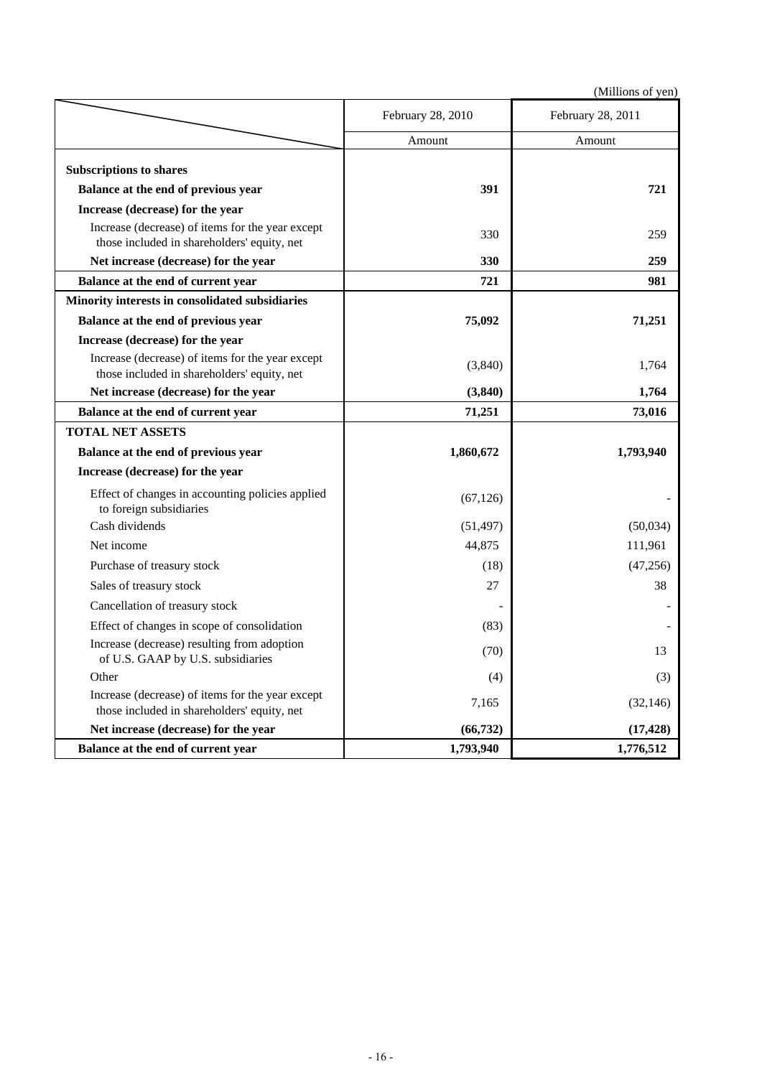|                                                                                                 | February 28, 2010 | February 28, 2011 |
|-------------------------------------------------------------------------------------------------|-------------------|-------------------|
|                                                                                                 | Amount            | Amount            |
| <b>Subscriptions to shares</b>                                                                  |                   |                   |
| Balance at the end of previous year                                                             | 391               | 721               |
| Increase (decrease) for the year                                                                |                   |                   |
| Increase (decrease) of items for the year except<br>those included in shareholders' equity, net | 330               | 259               |
| Net increase (decrease) for the year                                                            | 330               | 259               |
| Balance at the end of current year                                                              | 721               | 981               |
| Minority interests in consolidated subsidiaries                                                 |                   |                   |
| Balance at the end of previous year                                                             | 75,092            | 71,251            |
| Increase (decrease) for the year                                                                |                   |                   |
| Increase (decrease) of items for the year except<br>those included in shareholders' equity, net | (3,840)           | 1,764             |
| Net increase (decrease) for the year                                                            | (3,840)           | 1,764             |
| Balance at the end of current year                                                              | 71,251            | 73,016            |
| <b>TOTAL NET ASSETS</b>                                                                         |                   |                   |
| Balance at the end of previous year                                                             | 1,860,672         | 1,793,940         |
| Increase (decrease) for the year                                                                |                   |                   |
| Effect of changes in accounting policies applied<br>to foreign subsidiaries                     | (67, 126)         |                   |
| Cash dividends                                                                                  | (51, 497)         | (50,034)          |
| Net income                                                                                      | 44,875            | 111,961           |
| Purchase of treasury stock                                                                      | (18)              | (47, 256)         |
| Sales of treasury stock                                                                         | 27                | 38                |
| Cancellation of treasury stock                                                                  |                   |                   |
| Effect of changes in scope of consolidation                                                     | (83)              |                   |
| Increase (decrease) resulting from adoption<br>of U.S. GAAP by U.S. subsidiaries                | (70)              | 13                |
| Other                                                                                           | (4)               | (3)               |
| Increase (decrease) of items for the year except<br>those included in shareholders' equity, net | 7,165             | (32, 146)         |
| Net increase (decrease) for the year                                                            | (66, 732)         | (17, 428)         |
| Balance at the end of current year                                                              | 1,793,940         | 1,776,512         |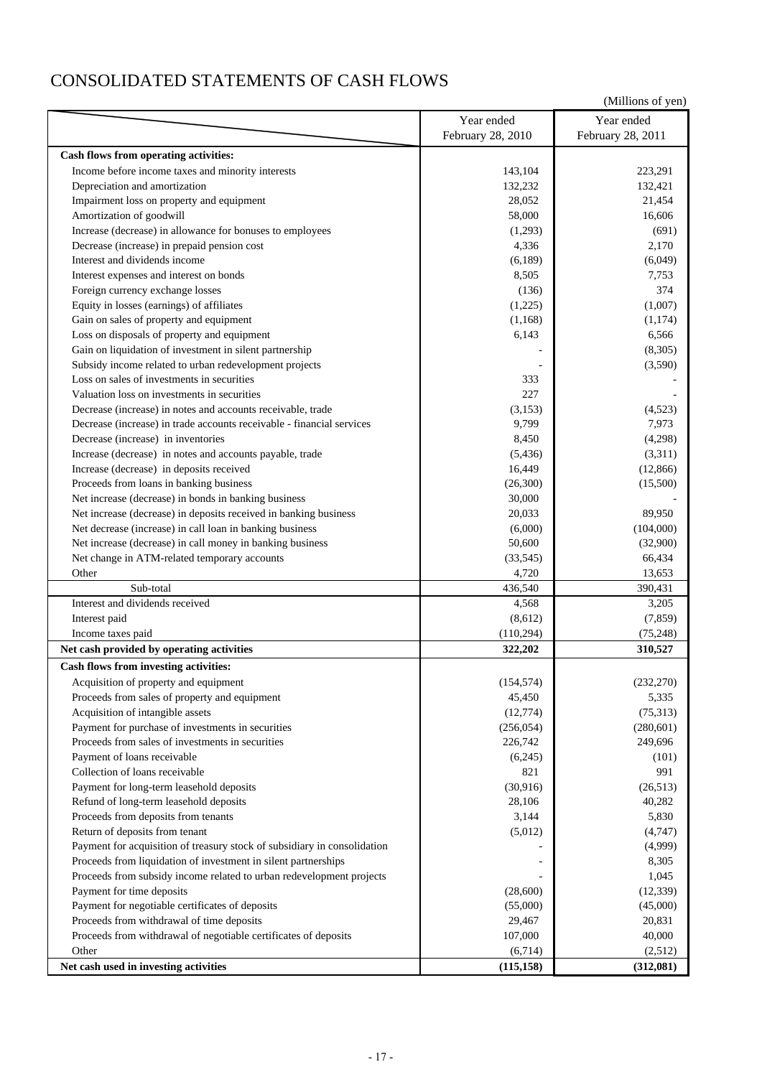## CONSOLIDATED STATEMENTS OF CASH FLOWS

|                                                                          | Year ended        | Year ended        |
|--------------------------------------------------------------------------|-------------------|-------------------|
|                                                                          | February 28, 2010 | February 28, 2011 |
| Cash flows from operating activities:                                    |                   |                   |
| Income before income taxes and minority interests                        | 143,104           | 223,291           |
| Depreciation and amortization                                            | 132,232           | 132,421           |
| Impairment loss on property and equipment                                | 28,052            | 21,454            |
| Amortization of goodwill                                                 | 58,000            | 16,606            |
| Increase (decrease) in allowance for bonuses to employees                | (1,293)           | (691)             |
| Decrease (increase) in prepaid pension cost                              | 4,336             | 2,170             |
| Interest and dividends income                                            | (6,189)           | (6,049)           |
| Interest expenses and interest on bonds                                  | 8,505             | 7,753             |
| Foreign currency exchange losses                                         | (136)             | 374               |
| Equity in losses (earnings) of affiliates                                | (1,225)           | (1,007)           |
| Gain on sales of property and equipment                                  | (1,168)           | (1,174)           |
| Loss on disposals of property and equipment                              | 6,143             | 6,566             |
| Gain on liquidation of investment in silent partnership                  |                   | (8,305)           |
| Subsidy income related to urban redevelopment projects                   |                   | (3,590)           |
| Loss on sales of investments in securities                               | 333               |                   |
| Valuation loss on investments in securities                              | 227               |                   |
| Decrease (increase) in notes and accounts receivable, trade              | (3, 153)          | (4,523)           |
| Decrease (increase) in trade accounts receivable - financial services    | 9,799             | 7,973             |
| Decrease (increase) in inventories                                       | 8,450             | (4,298)           |
| Increase (decrease) in notes and accounts payable, trade                 | (5, 436)          | (3,311)           |
| Increase (decrease) in deposits received                                 | 16,449            | (12, 866)         |
| Proceeds from loans in banking business                                  | (26,300)          | (15,500)          |
| Net increase (decrease) in bonds in banking business                     | 30,000            |                   |
| Net increase (decrease) in deposits received in banking business         | 20,033            | 89,950            |
| Net decrease (increase) in call loan in banking business                 | (6,000)           | (104,000)         |
| Net increase (decrease) in call money in banking business                | 50,600            | (32,900)          |
| Net change in ATM-related temporary accounts                             | (33, 545)         | 66,434            |
| Other                                                                    | 4,720             | 13,653            |
| Sub-total                                                                | 436,540           | 390,431           |
| Interest and dividends received                                          | 4,568             | 3,205             |
| Interest paid                                                            | (8,612)           | (7, 859)          |
| Income taxes paid                                                        | (110, 294)        | (75, 248)         |
| Net cash provided by operating activities                                | 322,202           | 310,527           |
| Cash flows from investing activities:                                    |                   |                   |
| Acquisition of property and equipment                                    | (154, 574)        | (232, 270)        |
| Proceeds from sales of property and equipment                            | 45,450            | 5,335             |
| Acquisition of intangible assets                                         | (12, 774)         | (75,313)          |
| Payment for purchase of investments in securities                        | (256, 054)        | (280, 601)        |
| Proceeds from sales of investments in securities                         | 226,742           | 249,696           |
| Payment of loans receivable                                              | (6,245)           | (101)             |
| Collection of loans receivable                                           | 821               | 991               |
| Payment for long-term leasehold deposits                                 | (30, 916)         | (26,513)          |
| Refund of long-term leasehold deposits                                   | 28,106            | 40,282            |
| Proceeds from deposits from tenants                                      | 3,144             | 5,830             |
| Return of deposits from tenant                                           | (5,012)           | (4,747)           |
| Payment for acquisition of treasury stock of subsidiary in consolidation |                   | (4,999)           |
| Proceeds from liquidation of investment in silent partnerships           |                   | 8,305             |
| Proceeds from subsidy income related to urban redevelopment projects     |                   | 1,045             |
| Payment for time deposits                                                | (28,600)          | (12, 339)         |
| Payment for negotiable certificates of deposits                          | (55,000)          | (45,000)          |
| Proceeds from withdrawal of time deposits                                | 29,467            | 20,831            |
| Proceeds from withdrawal of negotiable certificates of deposits          | 107,000           | 40,000            |
| Other                                                                    | (6,714)           | (2,512)           |
| Net cash used in investing activities                                    | (115, 158)        | (312,081)         |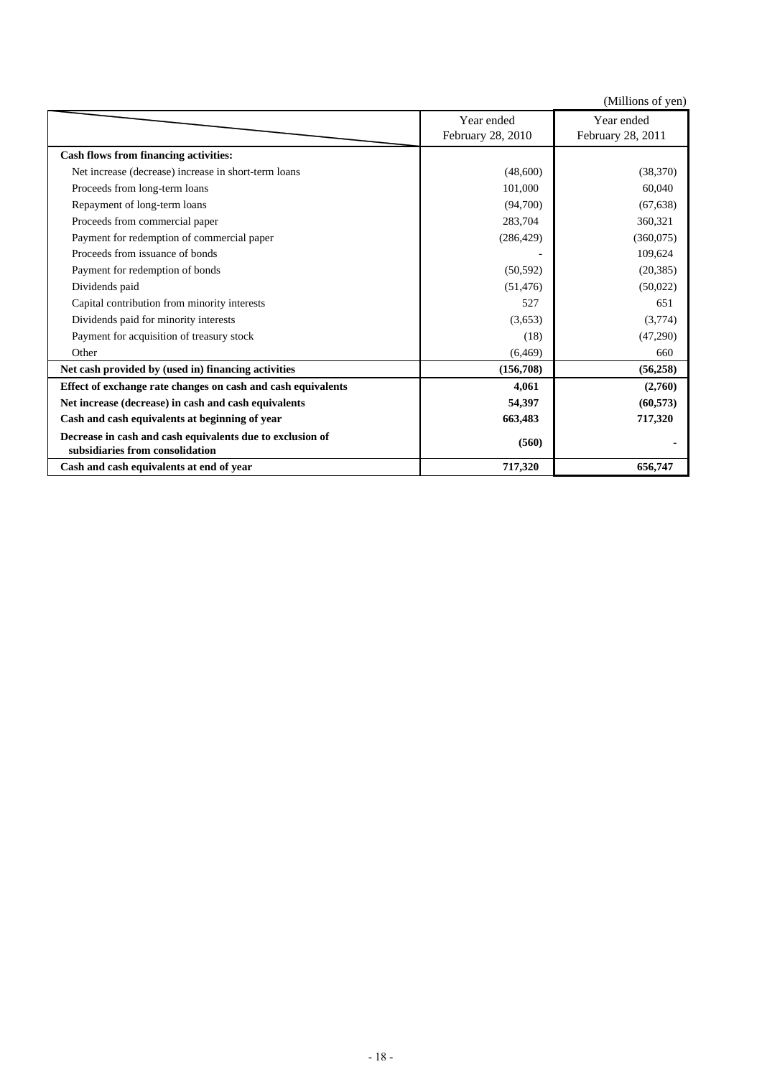|                                                                                              |                   | (Millions of yen) |
|----------------------------------------------------------------------------------------------|-------------------|-------------------|
|                                                                                              | Year ended        | Year ended        |
|                                                                                              | February 28, 2010 | February 28, 2011 |
| <b>Cash flows from financing activities:</b>                                                 |                   |                   |
| Net increase (decrease) increase in short-term loans                                         | (48,600)          | (38, 370)         |
| Proceeds from long-term loans                                                                | 101,000           | 60,040            |
| Repayment of long-term loans                                                                 | (94,700)          | (67, 638)         |
| Proceeds from commercial paper                                                               | 283,704           | 360,321           |
| Payment for redemption of commercial paper                                                   | (286, 429)        | (360,075)         |
| Proceeds from issuance of bonds                                                              |                   | 109,624           |
| Payment for redemption of bonds                                                              | (50, 592)         | (20, 385)         |
| Dividends paid                                                                               | (51, 476)         | (50,022)          |
| Capital contribution from minority interests                                                 | 527               | 651               |
| Dividends paid for minority interests                                                        | (3,653)           | (3,774)           |
| Payment for acquisition of treasury stock                                                    | (18)              | (47,290)          |
| Other                                                                                        | (6, 469)          | 660               |
| Net cash provided by (used in) financing activities                                          | (156,708)         | (56, 258)         |
| Effect of exchange rate changes on cash and cash equivalents                                 | 4,061             | (2,760)           |
| Net increase (decrease) in cash and cash equivalents                                         | 54,397            | (60, 573)         |
| Cash and cash equivalents at beginning of year                                               | 663,483           | 717,320           |
| Decrease in cash and cash equivalents due to exclusion of<br>subsidiaries from consolidation | (560)             |                   |
| Cash and cash equivalents at end of year                                                     | 717,320           | 656,747           |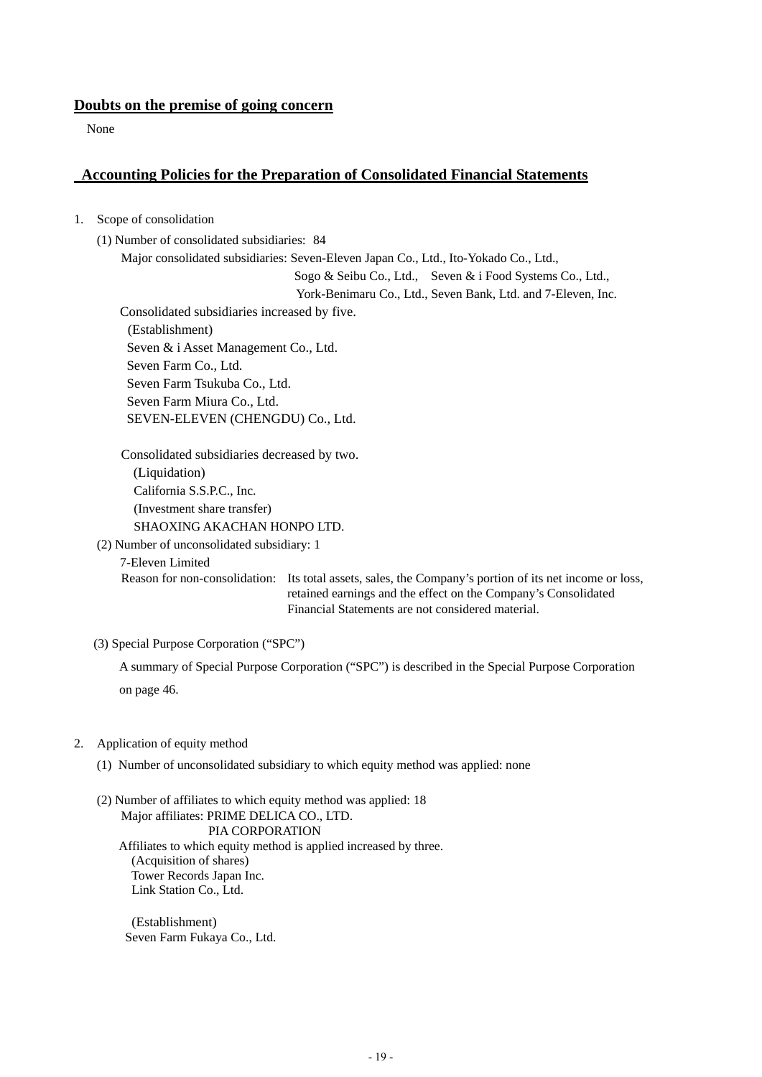## **Doubts on the premise of going concern**

None

## **Accounting Policies for the Preparation of Consolidated Financial Statements**

- 1. Scope of consolidation
	- (1) Number of consolidated subsidiaries: 84

Major consolidated subsidiaries: Seven-Eleven Japan Co., Ltd., Ito-Yokado Co., Ltd.,

Sogo & Seibu Co., Ltd., Seven & i Food Systems Co., Ltd.,

York-Benimaru Co., Ltd., Seven Bank, Ltd. and 7-Eleven, Inc.

Consolidated subsidiaries increased by five. (Establishment) Seven & i Asset Management Co., Ltd. Seven Farm Co., Ltd. Seven Farm Tsukuba Co., Ltd. Seven Farm Miura Co., Ltd. SEVEN-ELEVEN (CHENGDU) Co., Ltd.

Consolidated subsidiaries decreased by two. (Liquidation) California S.S.P.C., Inc. (Investment share transfer) SHAOXING AKACHAN HONPO LTD.

(2) Number of unconsolidated subsidiary: 1

7-Eleven Limited

Reason for non-consolidation: Its total assets, sales, the Company's portion of its net income or loss, retained earnings and the effect on the Company's Consolidated Financial Statements are not considered material.

(3) Special Purpose Corporation ("SPC")

A summary of Special Purpose Corporation ("SPC") is described in the Special Purpose Corporation on page 46.

- 2. Application of equity method
	- (1) Number of unconsolidated subsidiary to which equity method was applied: none

(2) Number of affiliates to which equity method was applied: 18 Major affiliates: PRIME DELICA CO., LTD. PIA CORPORATION Affiliates to which equity method is applied increased by three. (Acquisition of shares) Tower Records Japan Inc. Link Station Co., Ltd.

(Establishment) Seven Farm Fukaya Co., Ltd.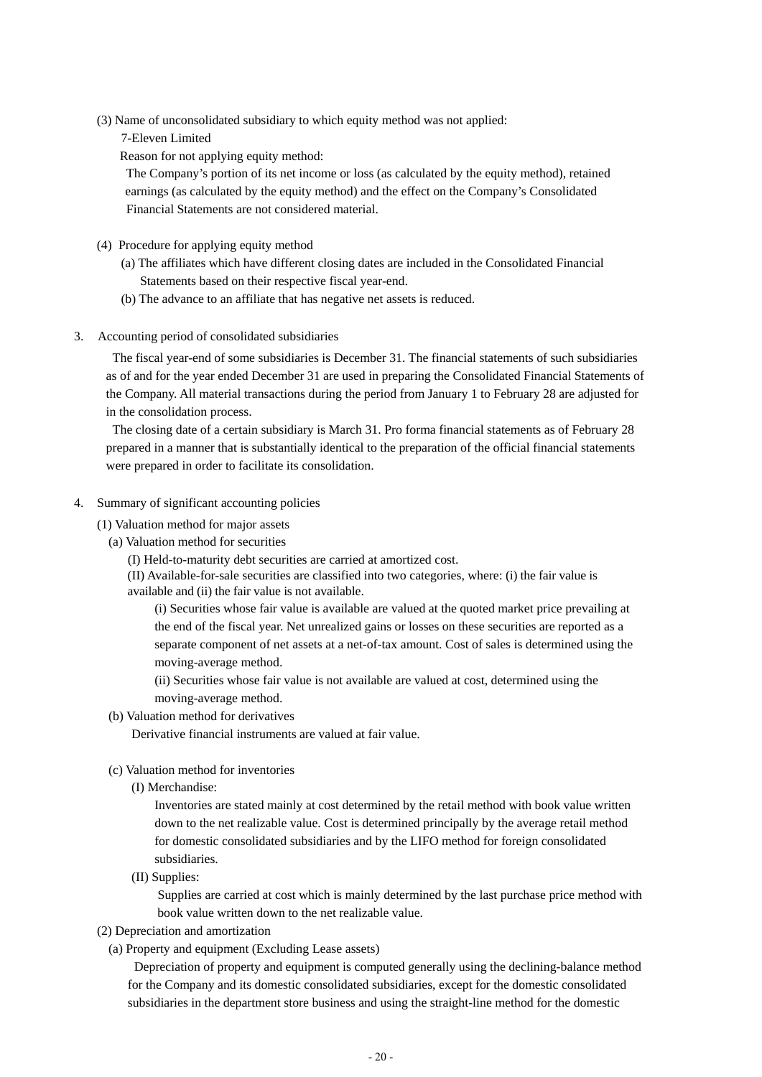(3) Name of unconsolidated subsidiary to which equity method was not applied:

7-Eleven Limited

Reason for not applying equity method:

 The Company's portion of its net income or loss (as calculated by the equity method), retained earnings (as calculated by the equity method) and the effect on the Company's Consolidated Financial Statements are not considered material.

- (4) Procedure for applying equity method
	- (a) The affiliates which have different closing dates are included in the Consolidated Financial Statements based on their respective fiscal year-end.
	- (b) The advance to an affiliate that has negative net assets is reduced.
- 3. Accounting period of consolidated subsidiaries

The fiscal year-end of some subsidiaries is December 31. The financial statements of such subsidiaries as of and for the year ended December 31 are used in preparing the Consolidated Financial Statements of the Company. All material transactions during the period from January 1 to February 28 are adjusted for in the consolidation process.

The closing date of a certain subsidiary is March 31. Pro forma financial statements as of February 28 prepared in a manner that is substantially identical to the preparation of the official financial statements were prepared in order to facilitate its consolidation.

- 4. Summary of significant accounting policies
	- (1) Valuation method for major assets
		- (a) Valuation method for securities
			- (I) Held-to-maturity debt securities are carried at amortized cost.

 (II) Available-for-sale securities are classified into two categories, where: (i) the fair value is available and (ii) the fair value is not available.

(i) Securities whose fair value is available are valued at the quoted market price prevailing at the end of the fiscal year. Net unrealized gains or losses on these securities are reported as a separate component of net assets at a net-of-tax amount. Cost of sales is determined using the moving-average method.

(ii) Securities whose fair value is not available are valued at cost, determined using the moving-average method.

(b) Valuation method for derivatives

Derivative financial instruments are valued at fair value.

- (c) Valuation method for inventories
	- (I) Merchandise:

Inventories are stated mainly at cost determined by the retail method with book value written down to the net realizable value. Cost is determined principally by the average retail method for domestic consolidated subsidiaries and by the LIFO method for foreign consolidated subsidiaries.

(II) Supplies:

 Supplies are carried at cost which is mainly determined by the last purchase price method with book value written down to the net realizable value.

- (2) Depreciation and amortization
	- (a) Property and equipment (Excluding Lease assets)

Depreciation of property and equipment is computed generally using the declining-balance method for the Company and its domestic consolidated subsidiaries, except for the domestic consolidated subsidiaries in the department store business and using the straight-line method for the domestic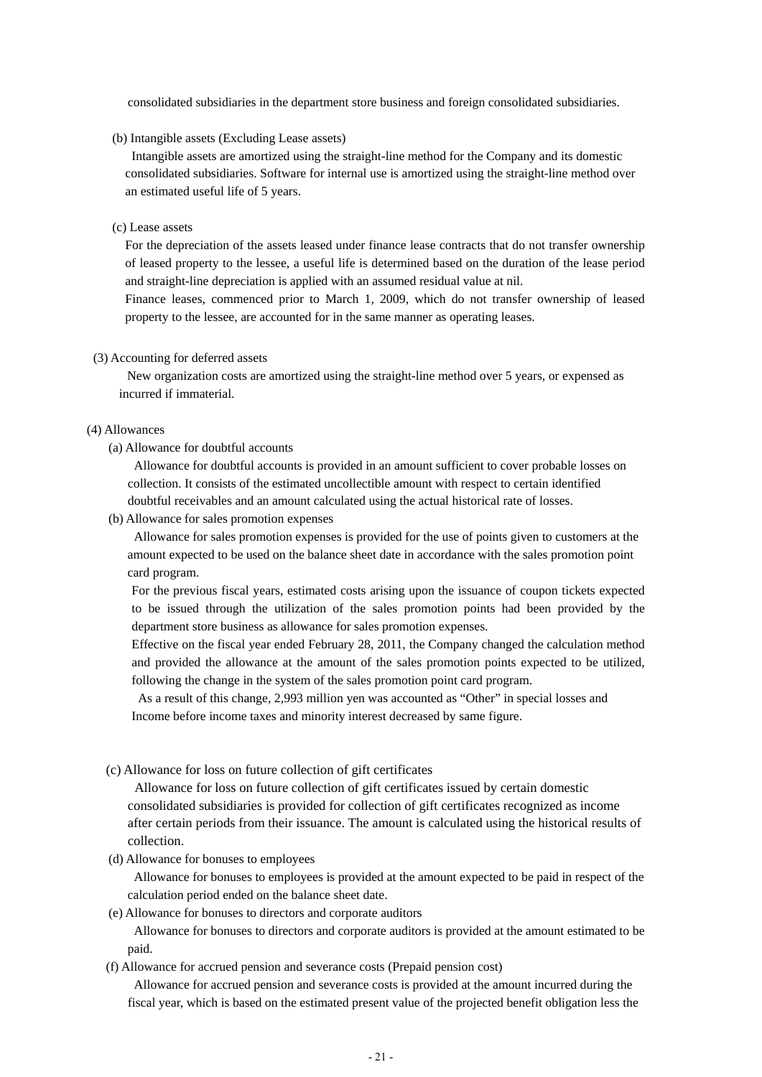consolidated subsidiaries in the department store business and foreign consolidated subsidiaries.

(b) Intangible assets (Excluding Lease assets)

Intangible assets are amortized using the straight-line method for the Company and its domestic consolidated subsidiaries. Software for internal use is amortized using the straight-line method over an estimated useful life of 5 years.

(c) Lease assets

For the depreciation of the assets leased under finance lease contracts that do not transfer ownership of leased property to the lessee, a useful life is determined based on the duration of the lease period and straight-line depreciation is applied with an assumed residual value at nil.

Finance leases, commenced prior to March 1, 2009, which do not transfer ownership of leased property to the lessee, are accounted for in the same manner as operating leases.

#### (3) Accounting for deferred assets

New organization costs are amortized using the straight-line method over 5 years, or expensed as incurred if immaterial.

#### (4) Allowances

(a) Allowance for doubtful accounts

Allowance for doubtful accounts is provided in an amount sufficient to cover probable losses on collection. It consists of the estimated uncollectible amount with respect to certain identified doubtful receivables and an amount calculated using the actual historical rate of losses.

(b) Allowance for sales promotion expenses

Allowance for sales promotion expenses is provided for the use of points given to customers at the amount expected to be used on the balance sheet date in accordance with the sales promotion point card program.

For the previous fiscal years, estimated costs arising upon the issuance of coupon tickets expected to be issued through the utilization of the sales promotion points had been provided by the department store business as allowance for sales promotion expenses.

Effective on the fiscal year ended February 28, 2011, the Company changed the calculation method and provided the allowance at the amount of the sales promotion points expected to be utilized, following the change in the system of the sales promotion point card program.

 As a result of this change, 2,993 million yen was accounted as "Other" in special losses and Income before income taxes and minority interest decreased by same figure.

(c) Allowance for loss on future collection of gift certificates

Allowance for loss on future collection of gift certificates issued by certain domestic consolidated subsidiaries is provided for collection of gift certificates recognized as income after certain periods from their issuance. The amount is calculated using the historical results of collection.

(d) Allowance for bonuses to employees

Allowance for bonuses to employees is provided at the amount expected to be paid in respect of the calculation period ended on the balance sheet date.

(e) Allowance for bonuses to directors and corporate auditors

Allowance for bonuses to directors and corporate auditors is provided at the amount estimated to be paid.

(f) Allowance for accrued pension and severance costs (Prepaid pension cost)

Allowance for accrued pension and severance costs is provided at the amount incurred during the fiscal year, which is based on the estimated present value of the projected benefit obligation less the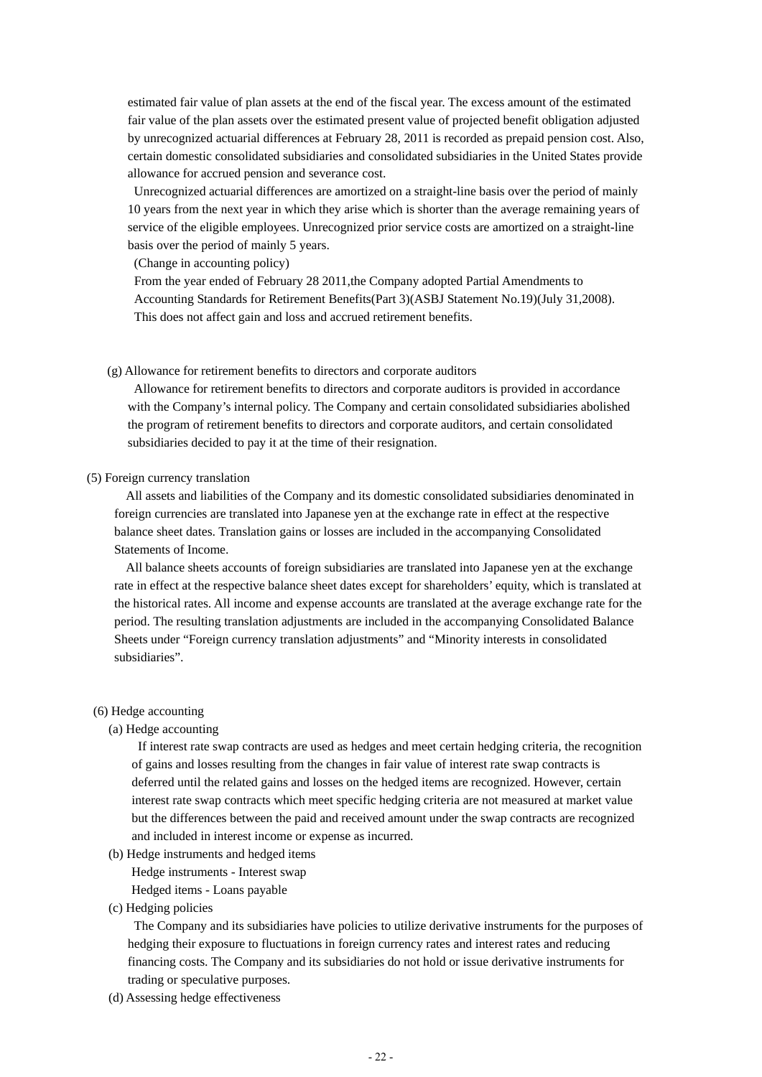estimated fair value of plan assets at the end of the fiscal year. The excess amount of the estimated fair value of the plan assets over the estimated present value of projected benefit obligation adjusted by unrecognized actuarial differences at February 28, 2011 is recorded as prepaid pension cost. Also, certain domestic consolidated subsidiaries and consolidated subsidiaries in the United States provide allowance for accrued pension and severance cost.

Unrecognized actuarial differences are amortized on a straight-line basis over the period of mainly 10 years from the next year in which they arise which is shorter than the average remaining years of service of the eligible employees. Unrecognized prior service costs are amortized on a straight-line basis over the period of mainly 5 years.

(Change in accounting policy)

From the year ended of February 28 2011,the Company adopted Partial Amendments to Accounting Standards for Retirement Benefits(Part 3)(ASBJ Statement No.19)(July 31,2008). This does not affect gain and loss and accrued retirement benefits.

#### (g) Allowance for retirement benefits to directors and corporate auditors

Allowance for retirement benefits to directors and corporate auditors is provided in accordance with the Company's internal policy. The Company and certain consolidated subsidiaries abolished the program of retirement benefits to directors and corporate auditors, and certain consolidated subsidiaries decided to pay it at the time of their resignation.

#### (5) Foreign currency translation

All assets and liabilities of the Company and its domestic consolidated subsidiaries denominated in foreign currencies are translated into Japanese yen at the exchange rate in effect at the respective balance sheet dates. Translation gains or losses are included in the accompanying Consolidated Statements of Income.

All balance sheets accounts of foreign subsidiaries are translated into Japanese yen at the exchange rate in effect at the respective balance sheet dates except for shareholders' equity, which is translated at the historical rates. All income and expense accounts are translated at the average exchange rate for the period. The resulting translation adjustments are included in the accompanying Consolidated Balance Sheets under "Foreign currency translation adjustments" and "Minority interests in consolidated subsidiaries".

#### (6) Hedge accounting

#### (a) Hedge accounting

If interest rate swap contracts are used as hedges and meet certain hedging criteria, the recognition of gains and losses resulting from the changes in fair value of interest rate swap contracts is deferred until the related gains and losses on the hedged items are recognized. However, certain interest rate swap contracts which meet specific hedging criteria are not measured at market value but the differences between the paid and received amount under the swap contracts are recognized and included in interest income or expense as incurred.

- (b) Hedge instruments and hedged items
	- Hedge instruments Interest swap
	- Hedged items Loans payable
- (c) Hedging policies

The Company and its subsidiaries have policies to utilize derivative instruments for the purposes of hedging their exposure to fluctuations in foreign currency rates and interest rates and reducing financing costs. The Company and its subsidiaries do not hold or issue derivative instruments for trading or speculative purposes.

(d) Assessing hedge effectiveness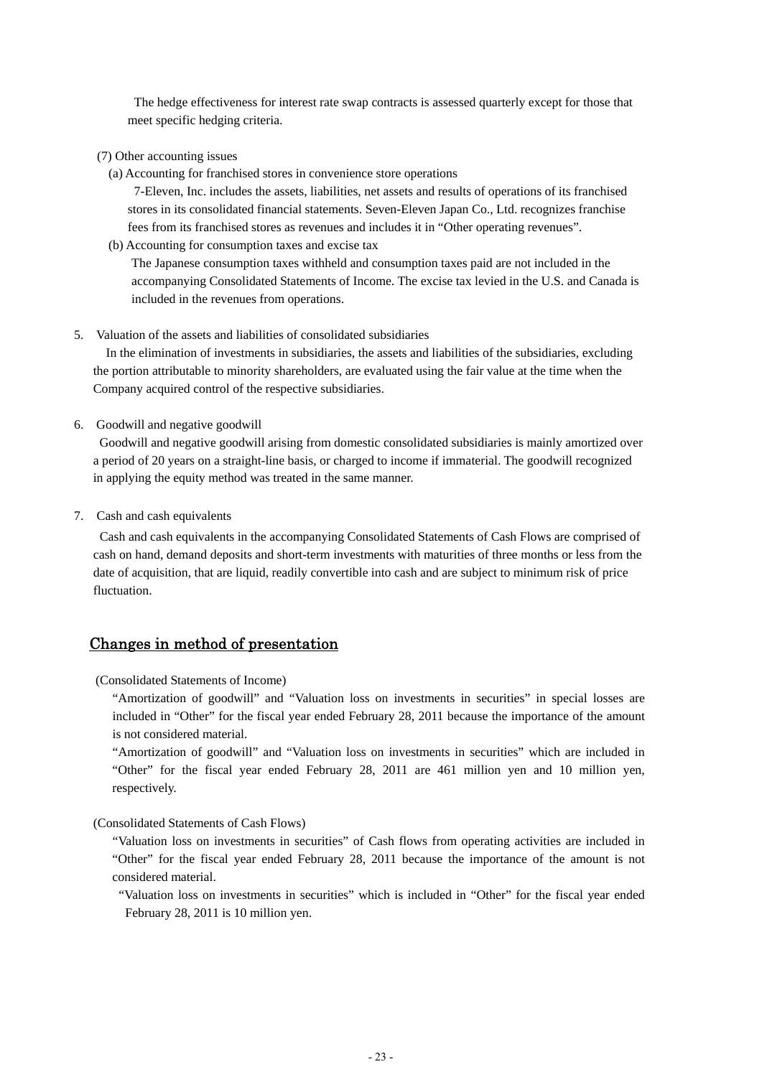The hedge effectiveness for interest rate swap contracts is assessed quarterly except for those that meet specific hedging criteria.

- (7) Other accounting issues
	- (a) Accounting for franchised stores in convenience store operations

7-Eleven, Inc. includes the assets, liabilities, net assets and results of operations of its franchised stores in its consolidated financial statements. Seven-Eleven Japan Co., Ltd. recognizes franchise fees from its franchised stores as revenues and includes it in "Other operating revenues".

(b) Accounting for consumption taxes and excise tax

The Japanese consumption taxes withheld and consumption taxes paid are not included in the accompanying Consolidated Statements of Income. The excise tax levied in the U.S. and Canada is included in the revenues from operations.

5. Valuation of the assets and liabilities of consolidated subsidiaries

In the elimination of investments in subsidiaries, the assets and liabilities of the subsidiaries, excluding the portion attributable to minority shareholders, are evaluated using the fair value at the time when the Company acquired control of the respective subsidiaries.

6. Goodwill and negative goodwill

Goodwill and negative goodwill arising from domestic consolidated subsidiaries is mainly amortized over a period of 20 years on a straight-line basis, or charged to income if immaterial. The goodwill recognized in applying the equity method was treated in the same manner.

7. Cash and cash equivalents

Cash and cash equivalents in the accompanying Consolidated Statements of Cash Flows are comprised of cash on hand, demand deposits and short-term investments with maturities of three months or less from the date of acquisition, that are liquid, readily convertible into cash and are subject to minimum risk of price fluctuation.

## Changes in method of presentation

(Consolidated Statements of Income)

 "Amortization of goodwill" and "Valuation loss on investments in securities" in special losses are included in "Other" for the fiscal year ended February 28, 2011 because the importance of the amount is not considered material.

 "Amortization of goodwill" and "Valuation loss on investments in securities" which are included in "Other" for the fiscal year ended February 28, 2011 are 461 million yen and 10 million yen, respectively.

(Consolidated Statements of Cash Flows)

 "Valuation loss on investments in securities" of Cash flows from operating activities are included in "Other" for the fiscal year ended February 28, 2011 because the importance of the amount is not considered material.

 "Valuation loss on investments in securities" which is included in "Other" for the fiscal year ended February 28, 2011 is 10 million yen.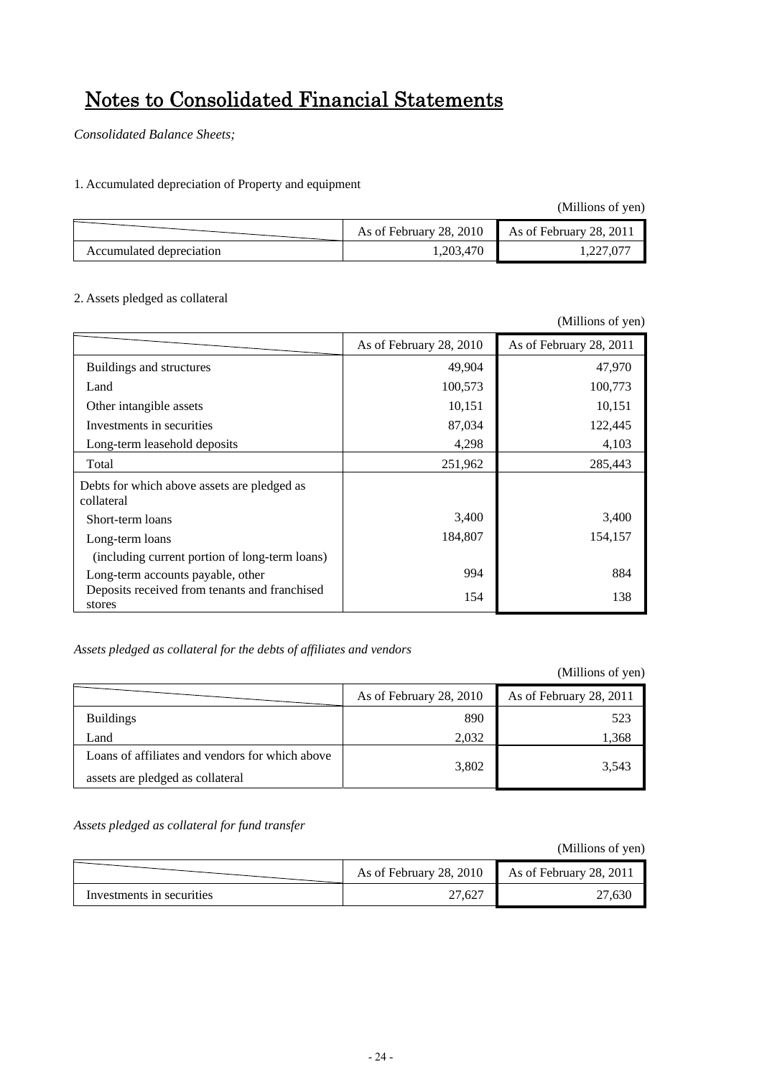# Notes to Consolidated Financial Statements

*Consolidated Balance Sheets;*

1. Accumulated depreciation of Property and equipment

(Millions of yen)

|                          | As of February 28, 2010 | As of February 28, 2011 |
|--------------------------|-------------------------|-------------------------|
| Accumulated depreciation | 1,203,470               |                         |

## 2. Assets pledged as collateral

|                                                           |                         | (Millions of yen)       |
|-----------------------------------------------------------|-------------------------|-------------------------|
|                                                           | As of February 28, 2010 | As of February 28, 2011 |
| Buildings and structures                                  | 49,904                  | 47,970                  |
| Land                                                      | 100,573                 | 100,773                 |
| Other intangible assets                                   | 10,151                  | 10,151                  |
| Investments in securities                                 | 87,034                  | 122,445                 |
| Long-term leasehold deposits                              | 4,298                   | 4,103                   |
| Total                                                     | 251,962                 | 285,443                 |
| Debts for which above assets are pledged as<br>collateral |                         |                         |
| Short-term loans                                          | 3,400                   | 3,400                   |
| Long-term loans                                           | 184,807                 | 154,157                 |
| (including current portion of long-term loans)            |                         |                         |
| Long-term accounts payable, other                         | 994                     | 884                     |
| Deposits received from tenants and franchised<br>stores   | 154                     | 138                     |

## *Assets pledged as collateral for the debts of affiliates and vendors*

(Millions of yen)

|                                                                                     | As of February 28, 2010 | As of February 28, 2011 |
|-------------------------------------------------------------------------------------|-------------------------|-------------------------|
| <b>Buildings</b>                                                                    | 890                     | 523                     |
| Land                                                                                | 2,032                   | 1.368                   |
| Loans of affiliates and vendors for which above<br>assets are pledged as collateral | 3,802                   | 3,543                   |

*Assets pledged as collateral for fund transfer* 

|                           | As of February 28, 2010 As of February 28, 2011 |       |
|---------------------------|-------------------------------------------------|-------|
| Investments in securities | 27,627                                          | 7.630 |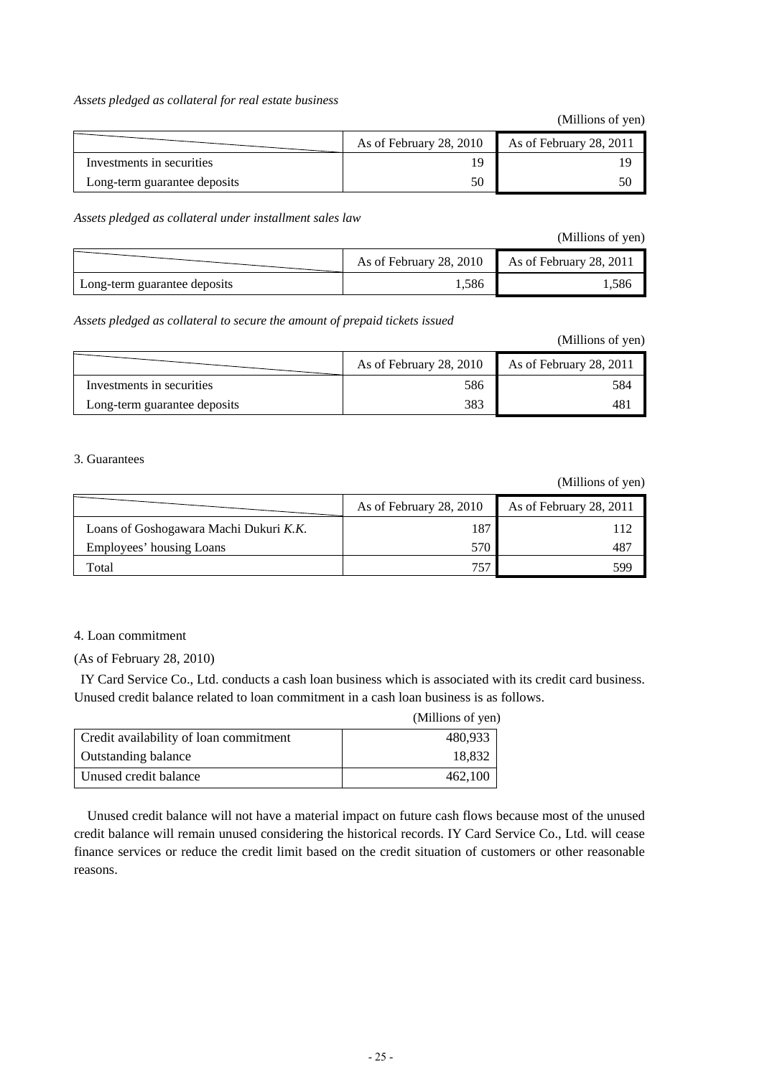#### *Assets pledged as collateral for real estate business*

(Millions of yen)

|                              | As of February 28, 2010 | As of February 28, 2011 |
|------------------------------|-------------------------|-------------------------|
| Investments in securities    |                         |                         |
| Long-term guarantee deposits |                         | 50                      |

*Assets pledged as collateral under installment sales law* 

(Millions of yen)

|                              | As of February 28, 2010 | As of February 28, 2011 |
|------------------------------|-------------------------|-------------------------|
| Long-term guarantee deposits | . . 586                 | .586                    |

*Assets pledged as collateral to secure the amount of prepaid tickets issued* 

| (Millions of yen) |  |
|-------------------|--|
|-------------------|--|

|                              | As of February 28, 2010 | As of February 28, 2011 |
|------------------------------|-------------------------|-------------------------|
| Investments in securities    | 586                     | 584                     |
| Long-term guarantee deposits | 383                     |                         |

### 3. Guarantees

(Millions of yen)

|                                        | As of February 28, 2010 | As of February 28, 2011 |
|----------------------------------------|-------------------------|-------------------------|
| Loans of Goshogawara Machi Dukuri K.K. | 187                     |                         |
| Employees' housing Loans               | 570                     | 487                     |
| Total                                  |                         | 599                     |

#### 4. Loan commitment

(As of February 28, 2010)

IY Card Service Co., Ltd. conducts a cash loan business which is associated with its credit card business. Unused credit balance related to loan commitment in a cash loan business is as follows.

|                                        | (Millions of yen) |
|----------------------------------------|-------------------|
| Credit availability of loan commitment | 480,933           |
| <b>Outstanding balance</b>             | 18,832            |
| Unused credit balance                  | 462,100           |

Unused credit balance will not have a material impact on future cash flows because most of the unused credit balance will remain unused considering the historical records. IY Card Service Co., Ltd. will cease finance services or reduce the credit limit based on the credit situation of customers or other reasonable reasons.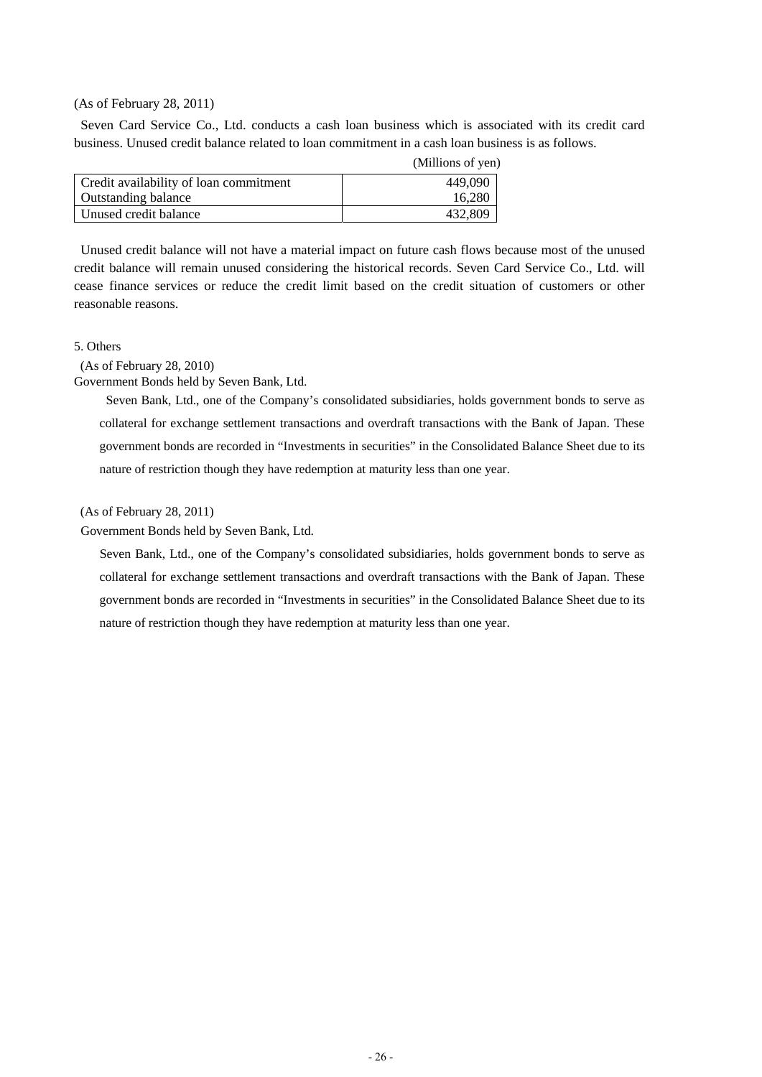#### (As of February 28, 2011)

Seven Card Service Co., Ltd. conducts a cash loan business which is associated with its credit card business. Unused credit balance related to loan commitment in a cash loan business is as follows.

|                                        | (Millions of yen) |
|----------------------------------------|-------------------|
| Credit availability of loan commitment | 449,090           |
| <b>Outstanding balance</b>             | 16,280            |
| Unused credit balance                  | 432,809           |

Unused credit balance will not have a material impact on future cash flows because most of the unused credit balance will remain unused considering the historical records. Seven Card Service Co., Ltd. will cease finance services or reduce the credit limit based on the credit situation of customers or other reasonable reasons.

### 5. Others

(As of February 28, 2010)

Government Bonds held by Seven Bank, Ltd.

 Seven Bank, Ltd., one of the Company's consolidated subsidiaries, holds government bonds to serve as collateral for exchange settlement transactions and overdraft transactions with the Bank of Japan. These government bonds are recorded in "Investments in securities" in the Consolidated Balance Sheet due to its nature of restriction though they have redemption at maturity less than one year.

(As of February 28, 2011)

Government Bonds held by Seven Bank, Ltd.

 Seven Bank, Ltd., one of the Company's consolidated subsidiaries, holds government bonds to serve as collateral for exchange settlement transactions and overdraft transactions with the Bank of Japan. These government bonds are recorded in "Investments in securities" in the Consolidated Balance Sheet due to its nature of restriction though they have redemption at maturity less than one year.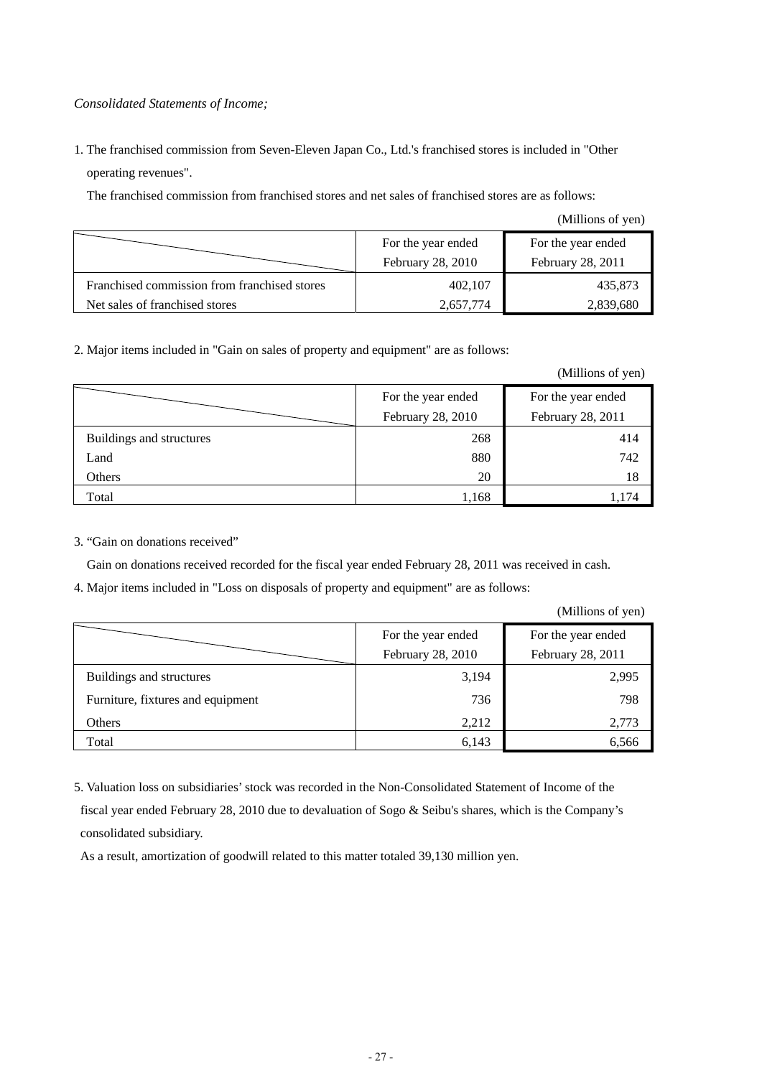## *Consolidated Statements of Income;*

1. The franchised commission from Seven-Eleven Japan Co., Ltd.'s franchised stores is included in "Other operating revenues".

The franchised commission from franchised stores and net sales of franchised stores are as follows:

(Millions of yen)

|                                              | For the year ended | For the year ended |
|----------------------------------------------|--------------------|--------------------|
|                                              | February 28, 2010  | February 28, 2011  |
| Franchised commission from franchised stores | 402,107            | 435,873            |
| Net sales of franchised stores               | 2,657,774          | 2,839,680          |

2. Major items included in "Gain on sales of property and equipment" are as follows:

(Millions of yen)

|                          | For the year ended | For the year ended |
|--------------------------|--------------------|--------------------|
|                          | February 28, 2010  | February 28, 2011  |
| Buildings and structures | 268                | 414                |
| Land                     | 880                | 742                |
| Others                   | 20                 | 18                 |
| Total                    | 1,168              | 1.74               |

### 3. "Gain on donations received"

Gain on donations received recorded for the fiscal year ended February 28, 2011 was received in cash.

4. Major items included in "Loss on disposals of property and equipment" are as follows:

(Millions of yen)

|                                   | For the year ended | For the year ended |  |
|-----------------------------------|--------------------|--------------------|--|
|                                   | February 28, 2010  | February 28, 2011  |  |
| Buildings and structures          | 3,194              | 2,995              |  |
| Furniture, fixtures and equipment | 736                | 798                |  |
| Others                            | 2,212              | 2,773              |  |
| Total                             | 6,143              | 6,566              |  |

5. Valuation loss on subsidiaries' stock was recorded in the Non-Consolidated Statement of Income of the fiscal year ended February 28, 2010 due to devaluation of Sogo & Seibu's shares, which is the Company's consolidated subsidiary.

As a result, amortization of goodwill related to this matter totaled 39,130 million yen.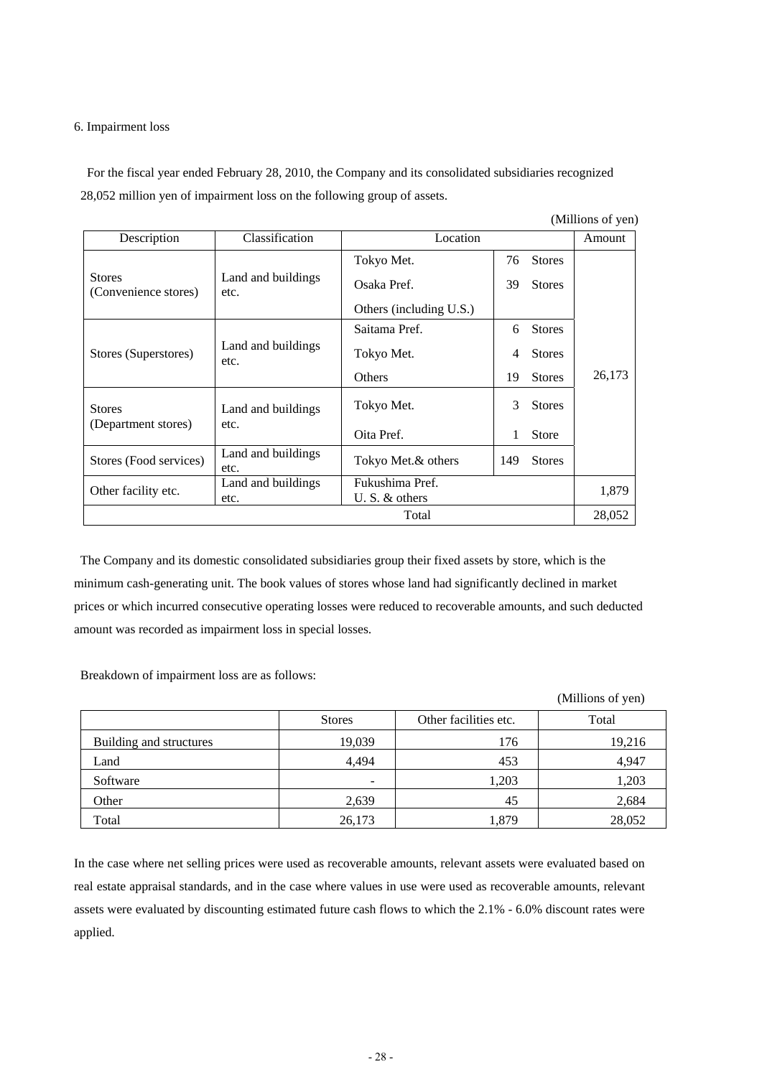### 6. Impairment loss

For the fiscal year ended February 28, 2010, the Company and its consolidated subsidiaries recognized 28,052 million yen of impairment loss on the following group of assets.

| (Millions of yen)                     |                            |                                     |    |               |        |
|---------------------------------------|----------------------------|-------------------------------------|----|---------------|--------|
| Description                           | Classification             | Location                            |    |               | Amount |
|                                       |                            | Tokyo Met.                          | 76 | <b>Stores</b> |        |
| <b>Stores</b><br>(Convenience stores) | Land and buildings<br>etc. | Osaka Pref.                         | 39 | <b>Stores</b> |        |
|                                       |                            | Others (including U.S.)             |    |               |        |
|                                       |                            | Saitama Pref.                       | 6  | <b>Stores</b> |        |
| Stores (Superstores)                  | Land and buildings<br>etc. | Tokyo Met.                          | 4  | <b>Stores</b> |        |
|                                       |                            | <b>Others</b>                       | 19 | <b>Stores</b> | 26,173 |
| <b>Stores</b>                         | Land and buildings         | Tokyo Met.                          | 3  | <b>Stores</b> |        |
| (Department stores)                   | etc.                       | Oita Pref.                          | 1  | <b>Store</b>  |        |
| Stores (Food services)                | Land and buildings<br>etc. | Tokyo Met.& others                  |    | <b>Stores</b> |        |
| Other facility etc.                   | Land and buildings<br>etc. | Fukushima Pref.<br>U. S. $&$ others |    | 1,879         |        |
| Total                                 |                            |                                     |    | 28,052        |        |

The Company and its domestic consolidated subsidiaries group their fixed assets by store, which is the minimum cash-generating unit. The book values of stores whose land had significantly declined in market prices or which incurred consecutive operating losses were reduced to recoverable amounts, and such deducted amount was recorded as impairment loss in special losses.

Breakdown of impairment loss are as follows:

|                         |                          |                       | (Millions of yen) |
|-------------------------|--------------------------|-----------------------|-------------------|
|                         | <b>Stores</b>            | Other facilities etc. | Total             |
| Building and structures | 19,039                   | 176                   | 19,216            |
| Land                    | 4.494                    | 453                   | 4,947             |
| Software                | $\overline{\phantom{0}}$ | 1,203                 | 1,203             |
| Other                   | 2,639                    | 45                    | 2,684             |
| Total                   | 26,173                   | 1,879                 | 28,052            |

In the case where net selling prices were used as recoverable amounts, relevant assets were evaluated based on real estate appraisal standards, and in the case where values in use were used as recoverable amounts, relevant assets were evaluated by discounting estimated future cash flows to which the 2.1% - 6.0% discount rates were applied.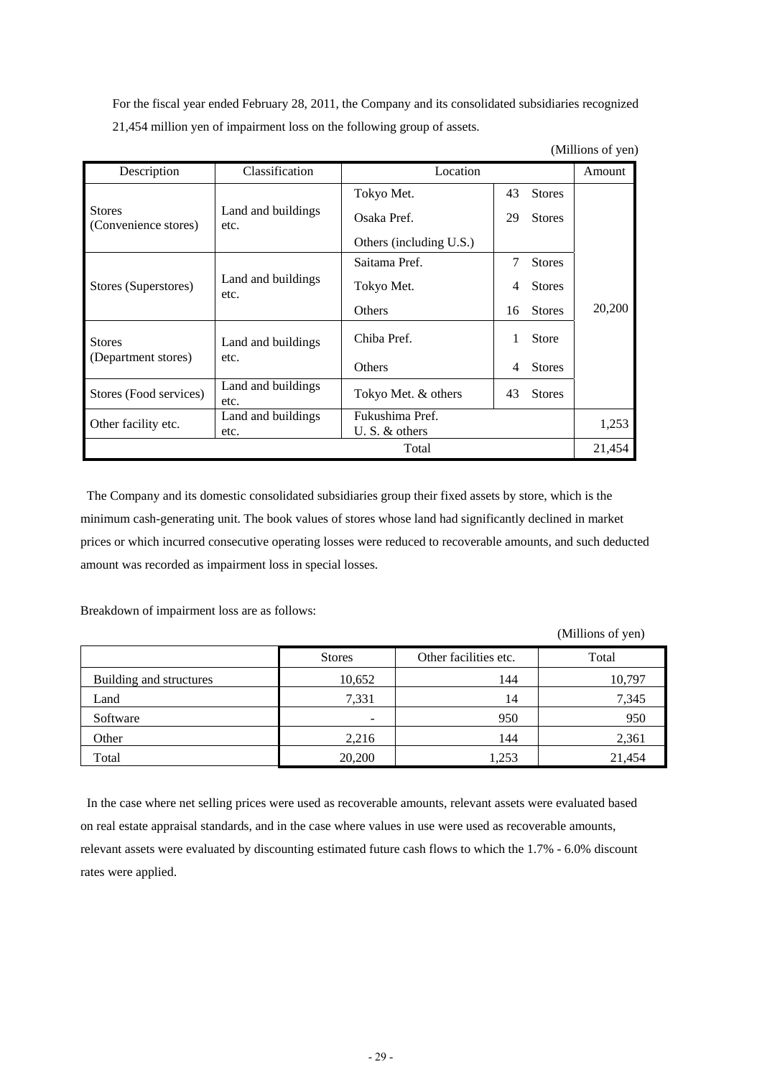For the fiscal year ended February 28, 2011, the Company and its consolidated subsidiaries recognized 21,454 million yen of impairment loss on the following group of assets.

| (Millions of yen) |
|-------------------|
|-------------------|

| Description                           | Classification             | Location                |    |               | Amount |
|---------------------------------------|----------------------------|-------------------------|----|---------------|--------|
|                                       |                            | Tokyo Met.              | 43 | <b>Stores</b> |        |
| <b>Stores</b><br>(Convenience stores) | Land and buildings<br>etc. | Osaka Pref.             | 29 | <b>Stores</b> |        |
|                                       |                            | Others (including U.S.) |    |               |        |
|                                       |                            | Saitama Pref.           | 7  | <b>Stores</b> |        |
| Stores (Superstores)<br>etc.          | Land and buildings         | Tokyo Met.              | 4  | <b>Stores</b> |        |
|                                       |                            | <b>Others</b>           | 16 | <b>Stores</b> | 20,200 |
| <b>Stores</b>                         | Land and buildings         | Chiba Pref.             |    | <b>Store</b>  |        |
| (Department stores)                   | etc.                       | Others                  | 4  | <b>Stores</b> |        |
| Stores (Food services)                | Land and buildings<br>etc. | Tokyo Met. & others     | 43 | <b>Stores</b> |        |
| Other facility etc.                   | Land and buildings         | Fukushima Pref.         |    |               | 1,253  |
|                                       | etc.                       | U. S. $&$ others        |    |               |        |
|                                       |                            | Total                   |    |               | 21,454 |

The Company and its domestic consolidated subsidiaries group their fixed assets by store, which is the minimum cash-generating unit. The book values of stores whose land had significantly declined in market prices or which incurred consecutive operating losses were reduced to recoverable amounts, and such deducted amount was recorded as impairment loss in special losses.

Breakdown of impairment loss are as follows:

(Millions of yen)

|                         | <b>Stores</b> | Other facilities etc. | Total  |
|-------------------------|---------------|-----------------------|--------|
| Building and structures | 10,652        | 144                   | 10,797 |
| Land                    | 7,331         | 14                    | 7,345  |
| Software                | ۰             | 950                   | 950    |
| Other                   | 2,216         | 144                   | 2,361  |
| Total                   | 20,200        | 1,253                 | 21,454 |

In the case where net selling prices were used as recoverable amounts, relevant assets were evaluated based on real estate appraisal standards, and in the case where values in use were used as recoverable amounts, relevant assets were evaluated by discounting estimated future cash flows to which the 1.7% - 6.0% discount rates were applied.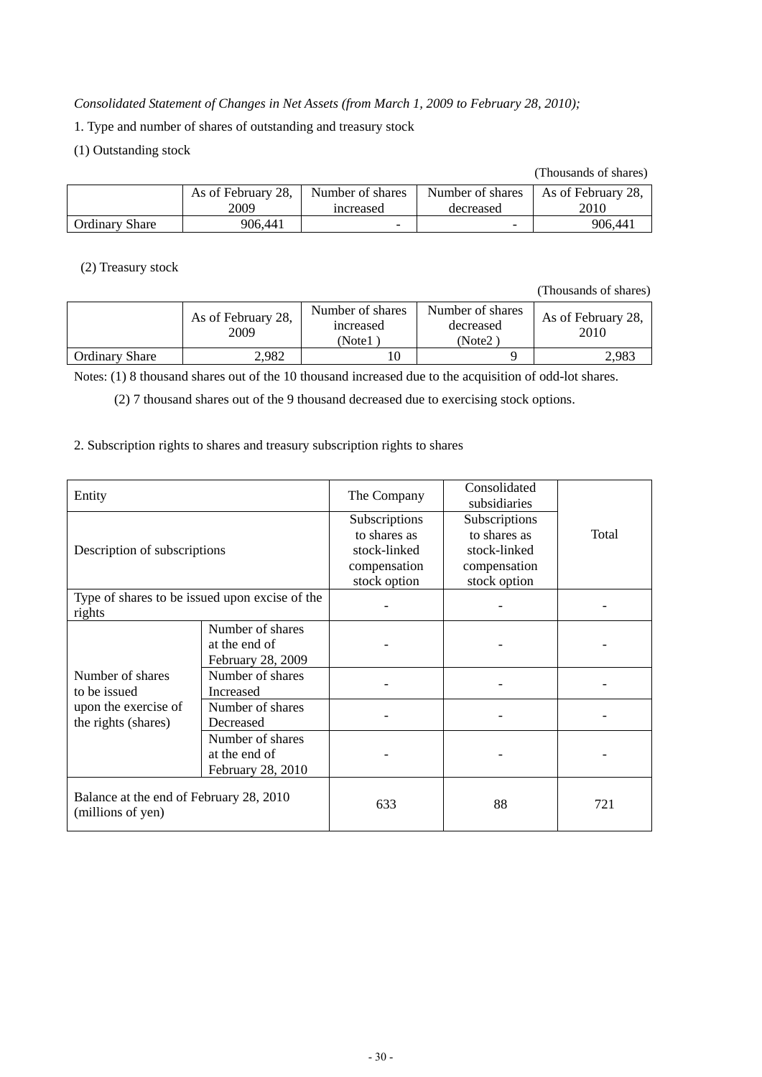## *Consolidated Statement of Changes in Net Assets (from March 1, 2009 to February 28, 2010);*

- 1. Type and number of shares of outstanding and treasury stock
- (1) Outstanding stock

#### (Thousands of shares)

|                       | As of February 28, | Number of shares | Number of shares | As of February 28, |
|-----------------------|--------------------|------------------|------------------|--------------------|
|                       | 2009               | increased        | decreased        | 2010               |
| <b>Ordinary Share</b> | 906.441            | -                |                  | 906,441            |

## (2) Treasury stock

(Thousands of shares)

|                       | As of February 28,<br>2009 | Number of shares<br>increased<br>Note1 | Number of shares<br>decreased<br>(Note2) | As of February 28,<br>2010 |
|-----------------------|----------------------------|----------------------------------------|------------------------------------------|----------------------------|
| <b>Ordinary Share</b> | 2,982                      | .0                                     |                                          | 2.983                      |

Notes: (1) 8 thousand shares out of the 10 thousand increased due to the acquisition of odd-lot shares.

(2) 7 thousand shares out of the 9 thousand decreased due to exercising stock options.

## 2. Subscription rights to shares and treasury subscription rights to shares

| Entity                                                       |                                                        | The Company                                                                   | Consolidated<br>subsidiaries                                                  |       |
|--------------------------------------------------------------|--------------------------------------------------------|-------------------------------------------------------------------------------|-------------------------------------------------------------------------------|-------|
| Description of subscriptions                                 |                                                        | Subscriptions<br>to shares as<br>stock-linked<br>compensation<br>stock option | Subscriptions<br>to shares as<br>stock-linked<br>compensation<br>stock option | Total |
| Type of shares to be issued upon excise of the<br>rights     |                                                        |                                                                               |                                                                               |       |
|                                                              | Number of shares<br>at the end of<br>February 28, 2009 |                                                                               |                                                                               |       |
| Number of shares<br>to be issued                             | Number of shares<br><b>Increased</b>                   |                                                                               |                                                                               |       |
| upon the exercise of<br>the rights (shares)                  | Number of shares<br>Decreased                          |                                                                               |                                                                               |       |
|                                                              | Number of shares<br>at the end of<br>February 28, 2010 |                                                                               |                                                                               |       |
| Balance at the end of February 28, 2010<br>(millions of yen) |                                                        | 633                                                                           | 88                                                                            | 721   |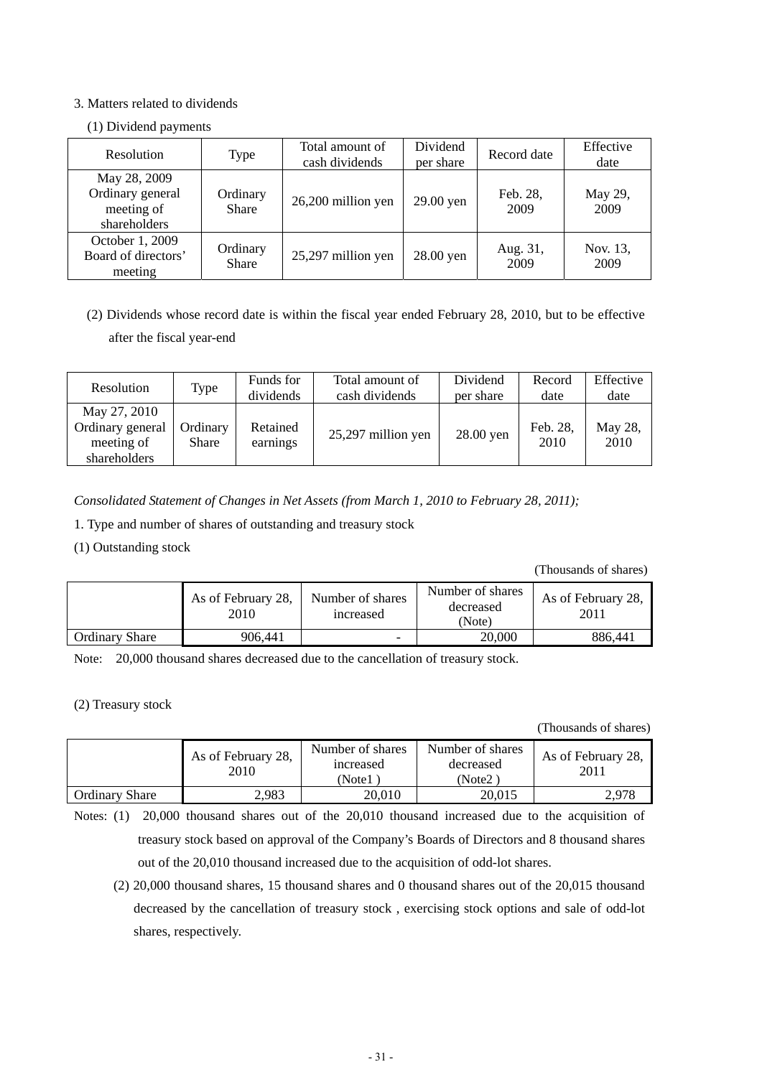## 3. Matters related to dividends

## (1) Dividend payments

| Resolution                                                     | Type                     | Total amount of<br>cash dividends | Dividend<br>per share | Record date      | Effective<br>date |
|----------------------------------------------------------------|--------------------------|-----------------------------------|-----------------------|------------------|-------------------|
| May 28, 2009<br>Ordinary general<br>meeting of<br>shareholders | Ordinary<br><b>Share</b> | 26,200 million yen                | 29.00 yen             | Feb. 28,<br>2009 | May 29,<br>2009   |
| October 1, 2009<br>Board of directors'<br>meeting              | Ordinary<br><b>Share</b> | 25,297 million yen                | 28.00 yen             | Aug. 31,<br>2009 | Nov. 13,<br>2009  |

(2) Dividends whose record date is within the fiscal year ended February 28, 2010, but to be effective after the fiscal year-end

| Resolution                                                     | Type              | Funds for<br>dividends | Total amount of<br>cash dividends | Dividend<br>per share | Record<br>date   | Effective<br>date |
|----------------------------------------------------------------|-------------------|------------------------|-----------------------------------|-----------------------|------------------|-------------------|
| May 27, 2010<br>Ordinary general<br>meeting of<br>shareholders | Ordinary<br>Share | Retained<br>earnings   | 25,297 million yen                | 28.00 yen             | Feb. 28,<br>2010 | May 28,<br>2010   |

*Consolidated Statement of Changes in Net Assets (from March 1, 2010 to February 28, 2011);* 

1. Type and number of shares of outstanding and treasury stock

(1) Outstanding stock

(Thousands of shares)

|                       | As of February 28,<br>2010 | Number of shares<br>increased | Number of shares<br>decreased<br>(Note) | As of February 28,<br>2011 |
|-----------------------|----------------------------|-------------------------------|-----------------------------------------|----------------------------|
| <b>Ordinary Share</b> | 906.441                    | $\overline{\phantom{0}}$      | 20,000                                  | 886.441                    |

Note: 20,000 thousand shares decreased due to the cancellation of treasury stock.

(2) Treasury stock

(Thousands of shares)

|                       | As of February 28,<br>2010 | Number of shares<br>increased<br>(Note1 | Number of shares<br>decreased<br>(Note2) | As of February 28,<br>2011 |
|-----------------------|----------------------------|-----------------------------------------|------------------------------------------|----------------------------|
| <b>Ordinary Share</b> | 2,983                      | 20,010                                  | 20.015                                   | 2.978                      |

Notes: (1) 20,000 thousand shares out of the 20,010 thousand increased due to the acquisition of treasury stock based on approval of the Company's Boards of Directors and 8 thousand shares out of the 20,010 thousand increased due to the acquisition of odd-lot shares.

<sup>(2) 20,000</sup> thousand shares, 15 thousand shares and 0 thousand shares out of the 20,015 thousand decreased by the cancellation of treasury stock , exercising stock options and sale of odd-lot shares, respectively.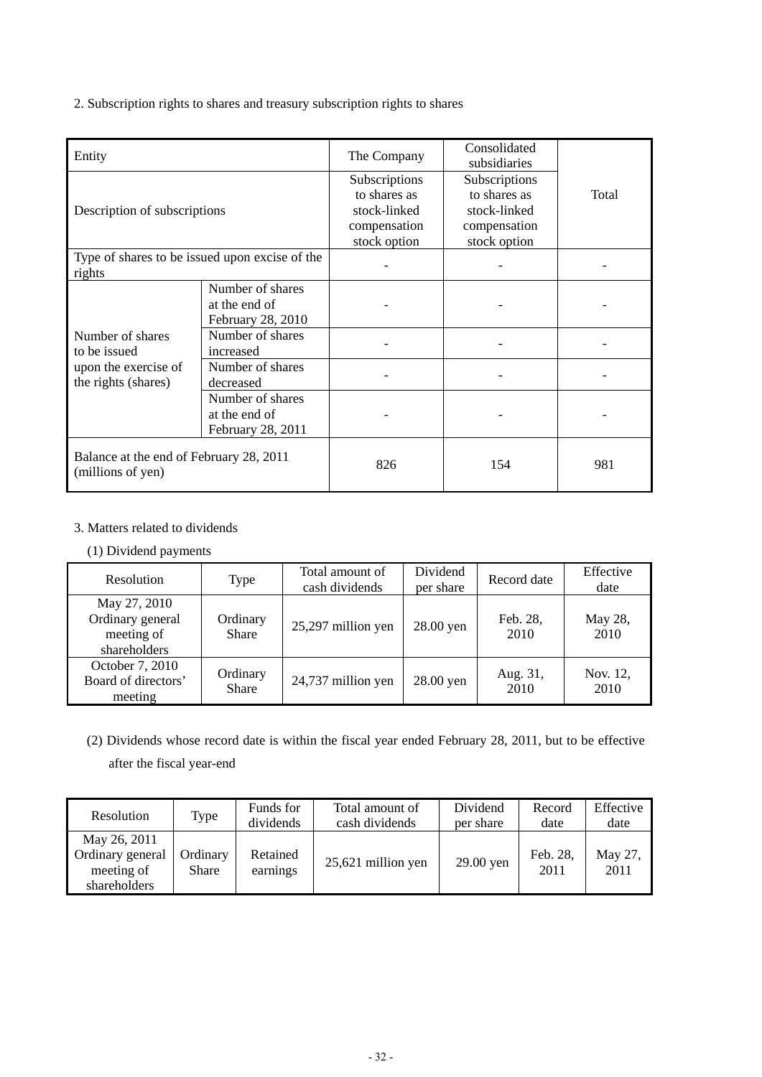2. Subscription rights to shares and treasury subscription rights to shares

| Entity                                                                          |                                                        | The Company                                                                   | Consolidated<br>subsidiaries                                                  |       |
|---------------------------------------------------------------------------------|--------------------------------------------------------|-------------------------------------------------------------------------------|-------------------------------------------------------------------------------|-------|
| Description of subscriptions                                                    |                                                        | Subscriptions<br>to shares as<br>stock-linked<br>compensation<br>stock option | Subscriptions<br>to shares as<br>stock-linked<br>compensation<br>stock option | Total |
| Type of shares to be issued upon excise of the<br>rights                        |                                                        |                                                                               |                                                                               |       |
|                                                                                 | Number of shares<br>at the end of<br>February 28, 2010 |                                                                               |                                                                               |       |
| Number of shares<br>to be issued<br>upon the exercise of<br>the rights (shares) | Number of shares<br>increased                          |                                                                               |                                                                               |       |
|                                                                                 | Number of shares<br>decreased                          |                                                                               |                                                                               |       |
|                                                                                 | Number of shares<br>at the end of<br>February 28, 2011 |                                                                               |                                                                               |       |
| Balance at the end of February 28, 2011<br>(millions of yen)                    |                                                        | 826                                                                           | 154                                                                           | 981   |

## 3. Matters related to dividends

(1) Dividend payments

| <b>Resolution</b>                                              | Type                     | Total amount of<br>cash dividends | Dividend<br>per share | Record date      | Effective<br>date |
|----------------------------------------------------------------|--------------------------|-----------------------------------|-----------------------|------------------|-------------------|
| May 27, 2010<br>Ordinary general<br>meeting of<br>shareholders | Ordinary<br><b>Share</b> | 25,297 million yen                | 28.00 yen             | Feb. 28,<br>2010 | May 28,<br>2010   |
| October 7, 2010<br>Board of directors'<br>meeting              | Ordinary<br><b>Share</b> | 24,737 million yen                | 28.00 yen             | Aug. 31,<br>2010 | Nov. 12,<br>2010  |

(2) Dividends whose record date is within the fiscal year ended February 28, 2011, but to be effective after the fiscal year-end

| Resolution                                                     | Type                     | Funds for<br>dividends | Total amount of<br>cash dividends | Dividend<br>per share | Record<br>date   | Effective<br>date |
|----------------------------------------------------------------|--------------------------|------------------------|-----------------------------------|-----------------------|------------------|-------------------|
| May 26, 2011<br>Ordinary general<br>meeting of<br>shareholders | Ordinary<br><b>Share</b> | Retained<br>earnings   | 25,621 million yen                | $29.00$ yen           | Feb. 28,<br>2011 | May 27,<br>2011   |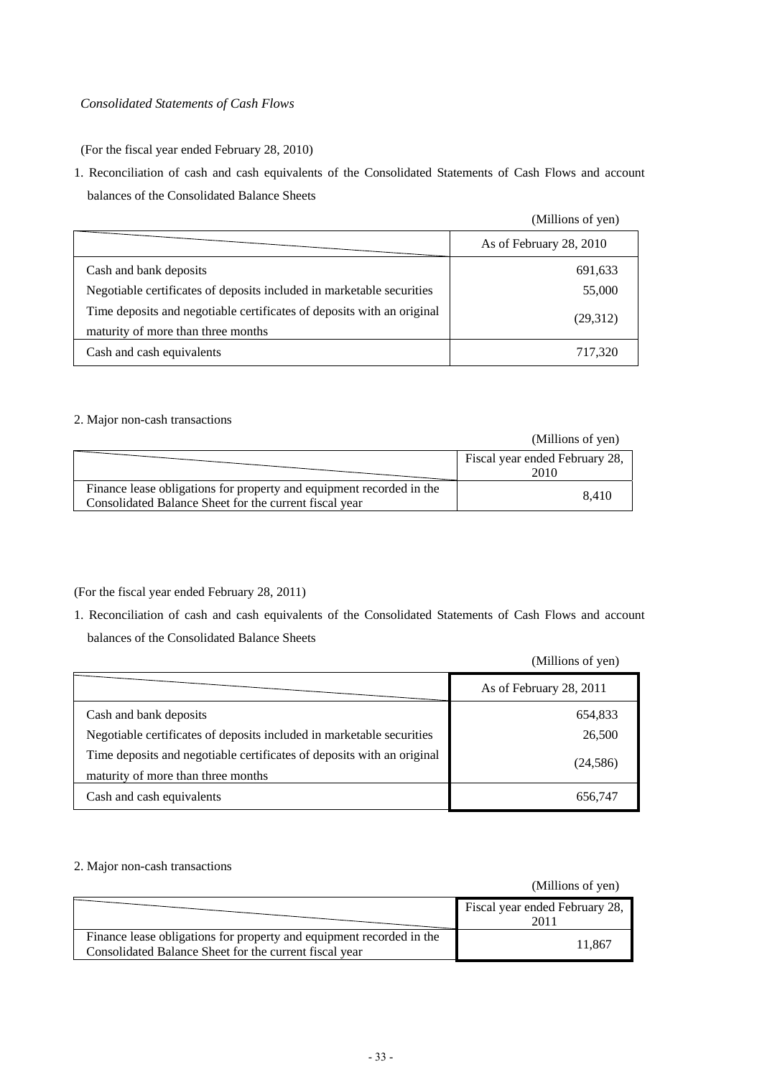## *Consolidated Statements of Cash Flows*

(For the fiscal year ended February 28, 2010)

1. Reconciliation of cash and cash equivalents of the Consolidated Statements of Cash Flows and account balances of the Consolidated Balance Sheets

(Millions of yen)

|                                                                                                              | As of February 28, 2010 |
|--------------------------------------------------------------------------------------------------------------|-------------------------|
| Cash and bank deposits                                                                                       | 691,633                 |
| Negotiable certificates of deposits included in marketable securities                                        | 55,000                  |
| Time deposits and negotiable certificates of deposits with an original<br>maturity of more than three months | (29,312)                |
| Cash and cash equivalents                                                                                    | 717,320                 |

#### 2. Major non-cash transactions

|                                                                                                                                | (Millions of yen)                      |
|--------------------------------------------------------------------------------------------------------------------------------|----------------------------------------|
|                                                                                                                                | Fiscal year ended February 28,<br>2010 |
| Finance lease obligations for property and equipment recorded in the<br>Consolidated Balance Sheet for the current fiscal year | 8.410                                  |

(For the fiscal year ended February 28, 2011)

1. Reconciliation of cash and cash equivalents of the Consolidated Statements of Cash Flows and account balances of the Consolidated Balance Sheets

(Millions of yen)

|                                                                                                              | (1.111110110011)        |
|--------------------------------------------------------------------------------------------------------------|-------------------------|
|                                                                                                              | As of February 28, 2011 |
| Cash and bank deposits                                                                                       | 654,833                 |
| Negotiable certificates of deposits included in marketable securities                                        | 26,500                  |
| Time deposits and negotiable certificates of deposits with an original<br>maturity of more than three months | (24, 586)               |
| Cash and cash equivalents                                                                                    | 656,747                 |

#### 2. Major non-cash transactions

|                                                                      | Fiscal year ended February 28,<br>2011 |
|----------------------------------------------------------------------|----------------------------------------|
| Finance lease obligations for property and equipment recorded in the | 11.867                                 |
| Consolidated Balance Sheet for the current fiscal year               |                                        |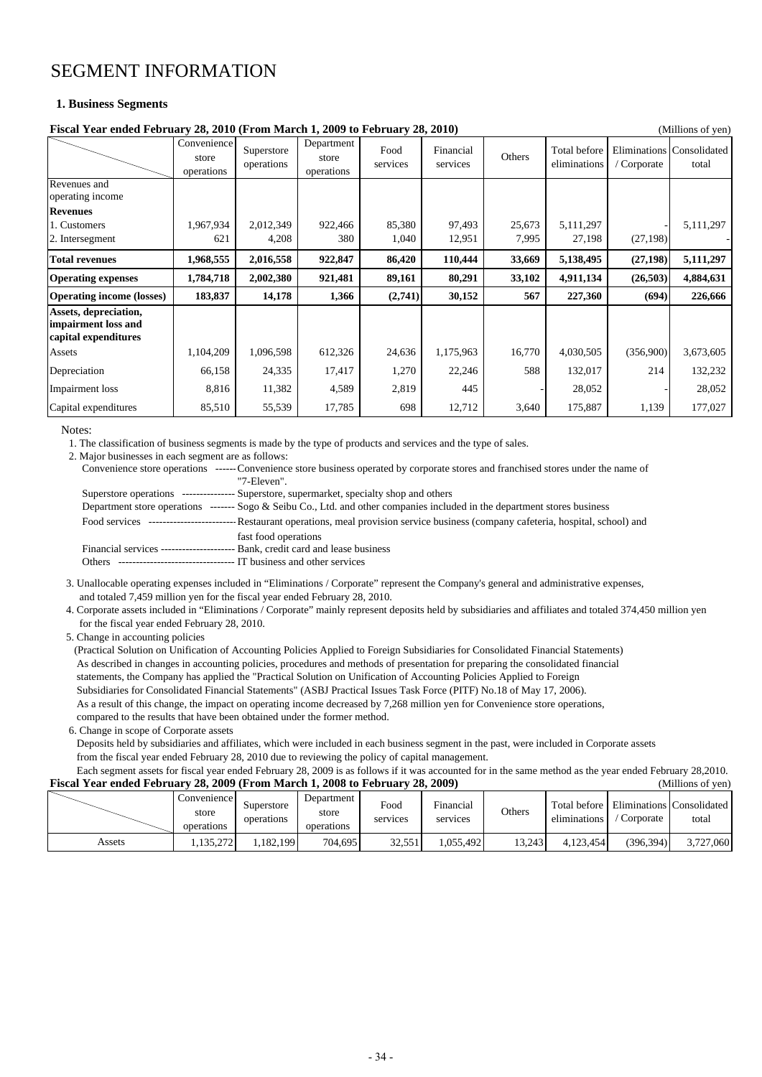## SEGMENT INFORMATION

#### **1. Business Segments**

| Fiscal Year ended February 28, 2010 (From March 1, 2009 to February 28, 2010)<br>(Millions of yen) |                                    |                          |                                   |                  |                       |        |                              |             |                                    |
|----------------------------------------------------------------------------------------------------|------------------------------------|--------------------------|-----------------------------------|------------------|-----------------------|--------|------------------------------|-------------|------------------------------------|
|                                                                                                    | Convenience<br>store<br>operations | Superstore<br>operations | Department<br>store<br>operations | Food<br>services | Financial<br>services | Others | Total before<br>eliminations | / Corporate | Eliminations Consolidated<br>total |
| Revenues and<br>operating income                                                                   |                                    |                          |                                   |                  |                       |        |                              |             |                                    |
| <b>Revenues</b>                                                                                    |                                    |                          |                                   |                  |                       |        |                              |             |                                    |
| 1. Customers                                                                                       | 1,967,934                          | 2,012,349                | 922,466                           | 85,380           | 97,493                | 25,673 | 5,111,297                    |             | 5,111,297                          |
| 2. Intersegment                                                                                    | 621                                | 4,208                    | 380                               | 1,040            | 12,951                | 7,995  | 27,198                       | (27, 198)   |                                    |
| <b>Total revenues</b>                                                                              | 1,968,555                          | 2,016,558                | 922,847                           | 86,420           | 110,444               | 33,669 | 5,138,495                    | (27, 198)   | 5,111,297                          |
| <b>Operating expenses</b>                                                                          | 1,784,718                          | 2,002,380                | 921,481                           | 89,161           | 80,291                | 33,102 | 4,911,134                    | (26, 503)   | 4,884,631                          |
| <b>Operating income (losses)</b>                                                                   | 183,837                            | 14,178                   | 1,366                             | (2,741)          | 30,152                | 567    | 227,360                      | (694)       | 226,666                            |
| Assets, depreciation,<br>impairment loss and<br>capital expenditures                               |                                    |                          |                                   |                  |                       |        |                              |             |                                    |
| Assets                                                                                             | 1,104,209                          | 1,096,598                | 612,326                           | 24,636           | 1,175,963             | 16,770 | 4,030,505                    | (356,900)   | 3,673,605                          |
| Depreciation                                                                                       | 66,158                             | 24,335                   | 17,417                            | 1,270            | 22,246                | 588    | 132,017                      | 214         | 132,232                            |
| Impairment loss                                                                                    | 8,816                              | 11,382                   | 4,589                             | 2,819            | 445                   |        | 28,052                       |             | 28,052                             |
| Capital expenditures                                                                               | 85,510                             | 55,539                   | 17,785                            | 698              | 12,712                | 3,640  | 175,887                      | 1,139       | 177,027                            |

#### Notes:

1. The classification of business segments is made by the type of products and services and the type of sales.

2. Major businesses in each segment are as follows:

| Convenience store operations ------Convenience store business operated by corporate stores and franchised stores under the name of               |  |
|--------------------------------------------------------------------------------------------------------------------------------------------------|--|
| "7-Eleven"                                                                                                                                       |  |
| Superstore operations --------------- Superstore, supermarket, specialty shop and others                                                         |  |
| Department store operations $\frac{1}{2}$ ------ Sogo & Seibu Co., Ltd. and other companies included in the department stores business           |  |
| ------------------------------ Restaurant operations, meal provision service business (company cafeteria, hospital, school) and<br>Food services |  |
| fast food operations                                                                                                                             |  |
| Financial services ------------------------ Bank, credit card and lease business                                                                 |  |
| T business and other services<br>Others.<br>------------------------------                                                                       |  |
|                                                                                                                                                  |  |

 3. Unallocable operating expenses included in "Eliminations / Corporate" represent the Company's general and administrative expenses, and totaled 7,459 million yen for the fiscal year ended February 28, 2010.

 4. Corporate assets included in "Eliminations / Corporate" mainly represent deposits held by subsidiaries and affiliates and totaled 374,450 million yen for the fiscal year ended February 28, 2010.

5. Change in accounting policies

 (Practical Solution on Unification of Accounting Policies Applied to Foreign Subsidiaries for Consolidated Financial Statements) As described in changes in accounting policies, procedures and methods of presentation for preparing the consolidated financial statements, the Company has applied the "Practical Solution on Unification of Accounting Policies Applied to Foreign Subsidiaries for Consolidated Financial Statements" (ASBJ Practical Issues Task Force (PITF) No.18 of May 17, 2006). As a result of this change, the impact on operating income decreased by 7,268 million yen for Convenience store operations, compared to the results that have been obtained under the former method.

6. Change in scope of Corporate assets

 Deposits held by subsidiaries and affiliates, which were included in each business segment in the past, were included in Corporate assets from the fiscal year ended February 28, 2010 due to reviewing the policy of capital management.

 Each segment assets for fiscal year ended February 28, 2009 is as follows if it was accounted for in the same method as the year ended February 28,2010. **Fiscal Year ended February 28, 2009 (From March 1, 2008 to February 28, 2009)** (Millions of yen)

| - - - - - - - - | ------               |            | Department |                   | ------         |        |              |              | , ,          |
|-----------------|----------------------|------------|------------|-------------------|----------------|--------|--------------|--------------|--------------|
|                 | Convenience<br>store | Superstore | store      | Food              | ÷<br>Hinancial | Others | Total before | Eliminations | Consolidated |
|                 | operations           | operations | operations | services          | services       |        | eliminations | Corporate    | total        |
| Assets          | .135,272             | ,182,199   | 704,695    | 32551<br>ر ر. د د | .055.492       | 13.243 | 4.123.454    | (396, 394)   | 3,727,060    |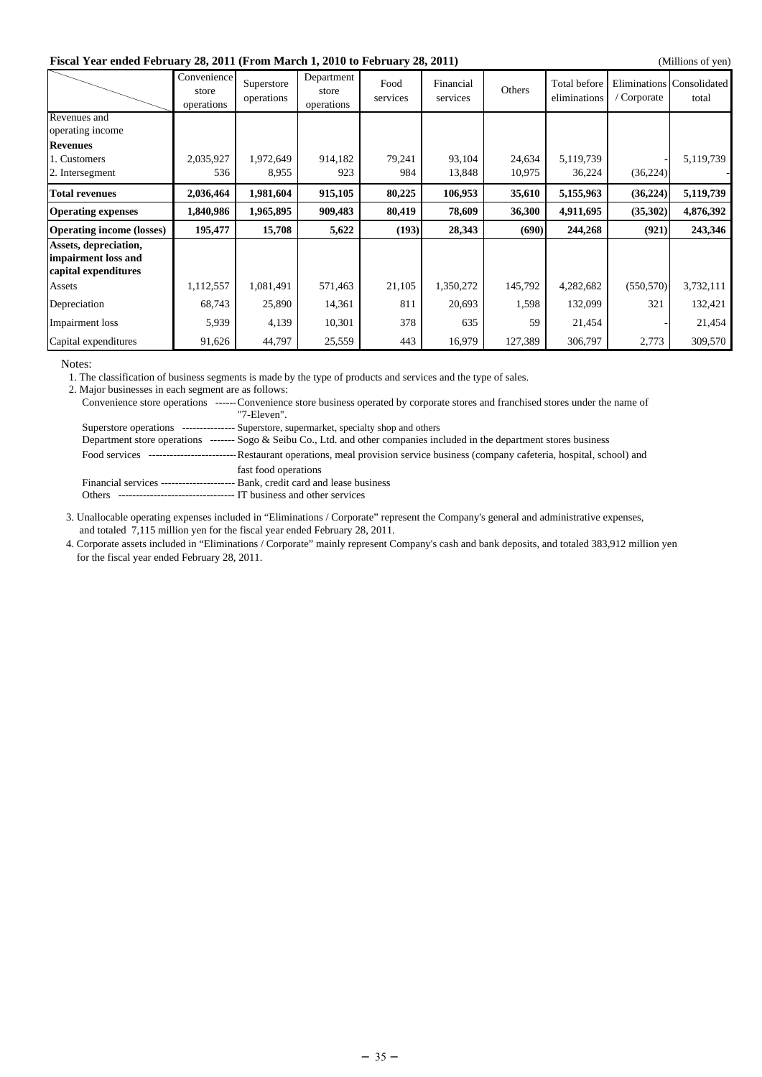#### **Fiscal Year ended February 28, 2011 (From March 1, 2010 to February 28, 2011)** (Millions of yen)

|                                                                      |                                    |                          |                                   |                  |                       |         |                              |                            | (1.111110110011)      |
|----------------------------------------------------------------------|------------------------------------|--------------------------|-----------------------------------|------------------|-----------------------|---------|------------------------------|----------------------------|-----------------------|
|                                                                      | Convenience<br>store<br>operations | Superstore<br>operations | Department<br>store<br>operations | Food<br>services | Financial<br>services | Others  | Total before<br>eliminations | Eliminations<br>'Corporate | Consolidated<br>total |
| Revenues and<br>operating income                                     |                                    |                          |                                   |                  |                       |         |                              |                            |                       |
| <b>Revenues</b>                                                      |                                    |                          |                                   |                  |                       |         |                              |                            |                       |
| 1. Customers                                                         | 2,035,927                          | 1,972,649                | 914,182                           | 79,241           | 93,104                | 24,634  | 5,119,739                    |                            | 5,119,739             |
| 2. Intersegment                                                      | 536                                | 8,955                    | 923                               | 984              | 13,848                | 10,975  | 36,224                       | (36, 224)                  |                       |
| <b>Total revenues</b>                                                | 2,036,464                          | 1,981,604                | 915,105                           | 80,225           | 106,953               | 35,610  | 5,155,963                    | (36, 224)                  | 5,119,739             |
| <b>Operating expenses</b>                                            | 1,840,986                          | 1,965,895                | 909,483                           | 80,419           | 78,609                | 36,300  | 4,911,695                    | (35,302)                   | 4,876,392             |
| <b>Operating income (losses)</b>                                     | 195,477                            | 15,708                   | 5,622                             | (193)            | 28,343                | (690)   | 244,268                      | (921)                      | 243,346               |
| Assets, depreciation,<br>impairment loss and<br>capital expenditures |                                    |                          |                                   |                  |                       |         |                              |                            |                       |
| Assets                                                               | 1,112,557                          | 1,081,491                | 571,463                           | 21,105           | 1,350,272             | 145,792 | 4,282,682                    | (550, 570)                 | 3,732,111             |
| Depreciation                                                         | 68,743                             | 25,890                   | 14,361                            | 811              | 20,693                | 1,598   | 132,099                      | 321                        | 132,421               |
| Impairment loss                                                      | 5,939                              | 4,139                    | 10,301                            | 378              | 635                   | 59      | 21,454                       |                            | 21,454                |
| Capital expenditures                                                 | 91,626                             | 44,797                   | 25,559                            | 443              | 16,979                | 127,389 | 306,797                      | 2,773                      | 309,570               |

Notes:

1. The classification of business segments is made by the type of products and services and the type of sales.

2. Major businesses in each segment are as follows:

|        | Convenience store operations ------Convenience store business operated by corporate stores and franchised stores under the name of           |
|--------|----------------------------------------------------------------------------------------------------------------------------------------------|
|        | "7-Eleven".                                                                                                                                  |
|        | Superstore operations --------------- Superstore, supermarket, specialty shop and others                                                     |
|        | Department store operations $\frac{1}{2}$ Sego & Seibu Co., Ltd. and other companies included in the department stores business              |
|        | Food services ------------------------------Restaurant operations, meal provision service business (company cafeteria, hospital, school) and |
|        | fast food operations                                                                                                                         |
|        | Financial services ------------------------ Bank, credit card and lease business                                                             |
| Others | IT business and other services                                                                                                               |

 3. Unallocable operating expenses included in "Eliminations / Corporate" represent the Company's general and administrative expenses, and totaled 7,115 million yen for the fiscal year ended February 28, 2011.

 4. Corporate assets included in "Eliminations / Corporate" mainly represent Company's cash and bank deposits, and totaled 383,912 million yen for the fiscal year ended February 28, 2011.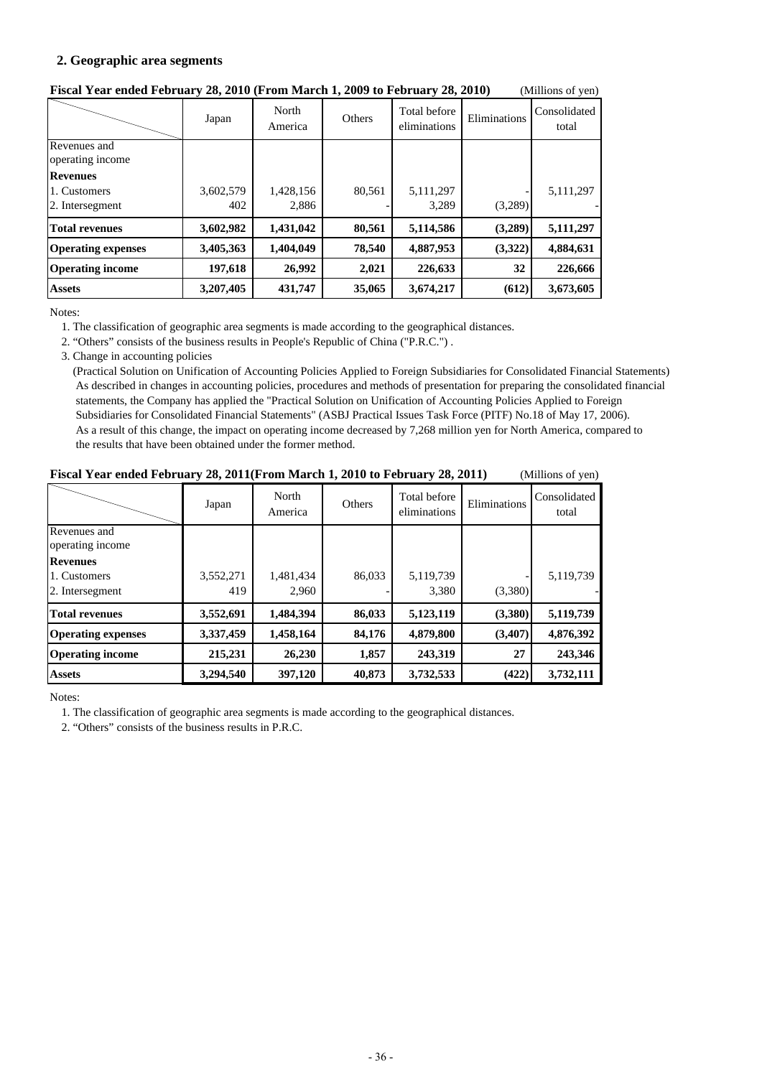## **2. Geographic area segments**

|                                  | Japan     | North<br>America | Others | Total before<br>eliminations | Eliminations | Consolidated<br>total |
|----------------------------------|-----------|------------------|--------|------------------------------|--------------|-----------------------|
| Revenues and<br>operating income |           |                  |        |                              |              |                       |
| <b>Revenues</b>                  |           |                  |        |                              |              |                       |
| 1. Customers                     | 3,602,579 | 1,428,156        | 80,561 | 5,111,297                    |              | 5,111,297             |
| 2. Intersegment                  | 402       | 2,886            |        | 3,289                        | (3,289)      |                       |
| <b>Total revenues</b>            | 3,602,982 | 1,431,042        | 80,561 | 5,114,586                    | (3,289)      | 5,111,297             |
| <b>Operating expenses</b>        | 3,405,363 | 1,404,049        | 78,540 | 4,887,953                    | (3,322)      | 4,884,631             |
| <b>Operating income</b>          | 197,618   | 26,992           | 2,021  | 226,633                      | 32           | 226,666               |
| <b>Assets</b>                    | 3,207,405 | 431,747          | 35,065 | 3,674,217                    | (612)        | 3,673,605             |

## **Fiscal Year ended February 28, 2010 (From March 1, 2009 to February 28, 2010)** (Millions of yen)

Notes:

1. The classification of geographic area segments is made according to the geographical distances.

2. "Others" consists of the business results in People's Republic of China ("P.R.C.") .

3. Change in accounting policies

 (Practical Solution on Unification of Accounting Policies Applied to Foreign Subsidiaries for Consolidated Financial Statements) As described in changes in accounting policies, procedures and methods of presentation for preparing the consolidated financial statements, the Company has applied the "Practical Solution on Unification of Accounting Policies Applied to Foreign Subsidiaries for Consolidated Financial Statements" (ASBJ Practical Issues Task Force (PITF) No.18 of May 17, 2006). As a result of this change, the impact on operating income decreased by 7,268 million yen for North America, compared to the results that have been obtained under the former method.

| Fiscal Year ended February 28, 2011 (From March 1, 2010 to February 28, 2011) |  |  |  | (Millions of yen) |
|-------------------------------------------------------------------------------|--|--|--|-------------------|
|-------------------------------------------------------------------------------|--|--|--|-------------------|

|                           | Japan     | North<br>America | Others | Total before<br>eliminations | Eliminations | Consolidated<br>total |
|---------------------------|-----------|------------------|--------|------------------------------|--------------|-----------------------|
| Revenues and              |           |                  |        |                              |              |                       |
| operating income          |           |                  |        |                              |              |                       |
| <b>Revenues</b>           |           |                  |        |                              |              |                       |
| 1. Customers              | 3,552,271 | 1,481,434        | 86,033 | 5,119,739                    |              | 5,119,739             |
| 2. Intersegment           | 419       | 2.960            |        | 3,380                        | (3,380)      |                       |
| <b>Total revenues</b>     | 3,552,691 | 1,484,394        | 86,033 | 5,123,119                    | (3,380)      | 5,119,739             |
| <b>Operating expenses</b> | 3,337,459 | 1,458,164        | 84,176 | 4,879,800                    | (3,407)      | 4,876,392             |
| <b>Operating income</b>   | 215,231   | 26,230           | 1,857  | 243,319                      | 27           | 243,346               |
| <b>Assets</b>             | 3,294,540 | 397,120          | 40,873 | 3,732,533                    | (422)        | 3,732,111             |

Notes:

1. The classification of geographic area segments is made according to the geographical distances.

2. "Others" consists of the business results in P.R.C.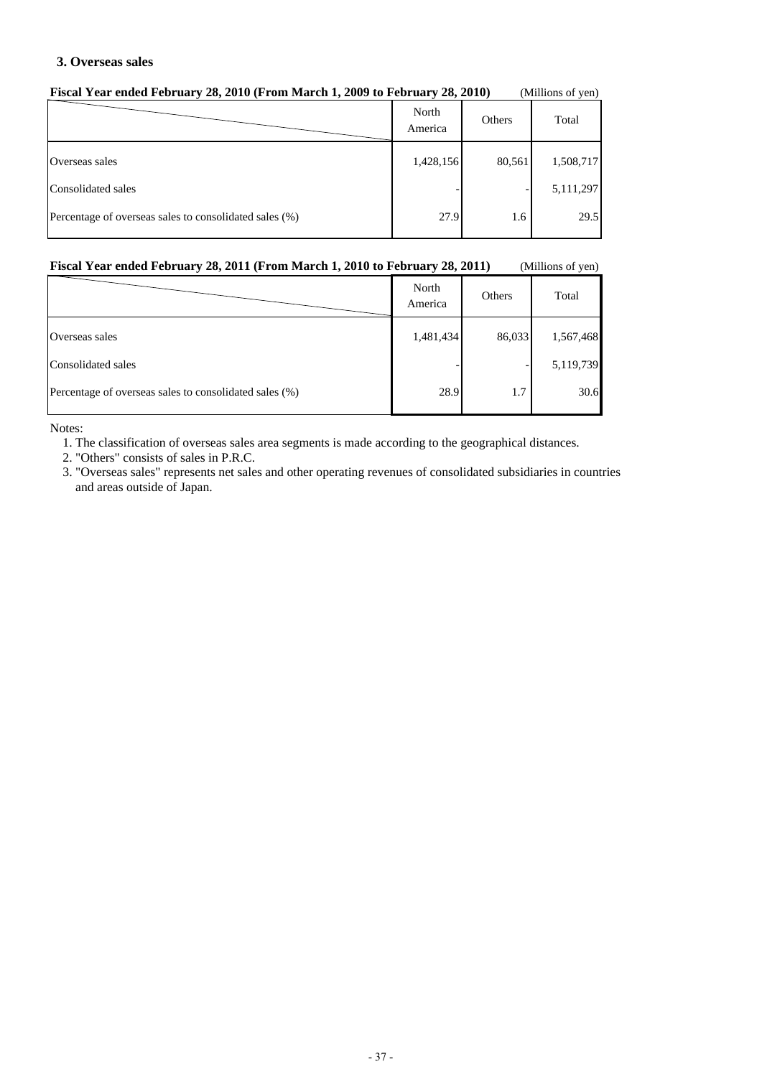#### **3. Overseas sales**

| T BUAT TUAT UNUU TUDI UAT J 20, 2010 (FTOIN MATUR 1, 2007 TO FUDI UAT J 20, 2010)<br>(1) |                  |        |           |  |
|------------------------------------------------------------------------------------------|------------------|--------|-----------|--|
|                                                                                          | North<br>America | Others | Total     |  |
| Overseas sales                                                                           | 1,428,156        | 80,561 | 1,508,717 |  |
| Consolidated sales                                                                       |                  |        | 5,111,297 |  |
| Percentage of overseas sales to consolidated sales (%)                                   | 27.9             | 1.6    | 29.5      |  |

#### **Fiscal Year ended February 28, 2010 (From March 1, 2009 to February 28, 2010)** (Millions of yen)

#### **Fiscal Year ended February 28, 2011 (From March 1, 2010 to February 28, 2011)** (Millions of yen)

|                                                        | North<br>America | Others | Total     |
|--------------------------------------------------------|------------------|--------|-----------|
| Overseas sales                                         | 1,481,434        | 86,033 | 1,567,468 |
| Consolidated sales                                     |                  |        | 5,119,739 |
| Percentage of overseas sales to consolidated sales (%) | 28.9             | 1.7    | 30.6      |

Notes:

1. The classification of overseas sales area segments is made according to the geographical distances.

2. "Others" consists of sales in P.R.C.

 3. "Overseas sales" represents net sales and other operating revenues of consolidated subsidiaries in countries and areas outside of Japan.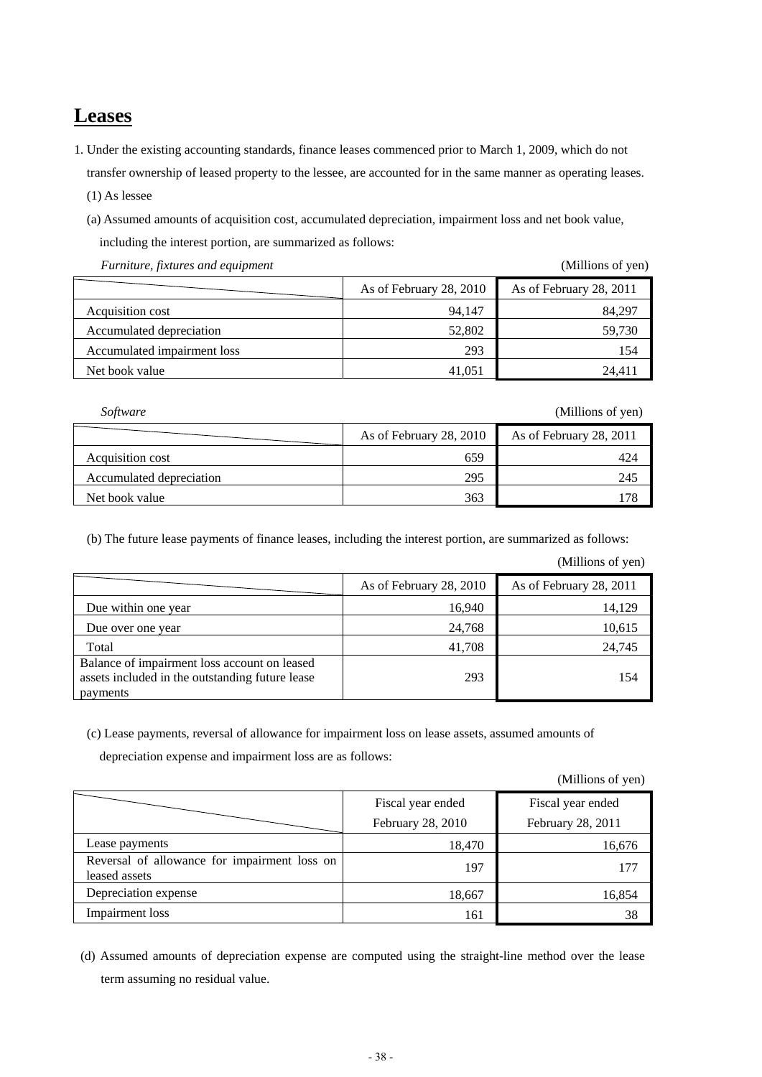#### **Leases**

1. Under the existing accounting standards, finance leases commenced prior to March 1, 2009, which do not transfer ownership of leased property to the lessee, are accounted for in the same manner as operating leases.

(1) As lessee

 (a) Assumed amounts of acquisition cost, accumulated depreciation, impairment loss and net book value, including the interest portion, are summarized as follows:

*Furniture, fixtures and equipment* (Millions of yen)

|                             | As of February 28, 2010 | As of February 28, 2011 |
|-----------------------------|-------------------------|-------------------------|
| Acquisition cost            | 94.147                  | 84.297                  |
| Accumulated depreciation    | 52,802                  | 59,730                  |
| Accumulated impairment loss | 293                     | 154                     |
| Net book value              | 41,051                  | 24.411                  |

*Software* (Millions of yen)

|                          | As of February 28, 2010 | As of February 28, 2011 |
|--------------------------|-------------------------|-------------------------|
| Acquisition cost         | 659                     | 424                     |
| Accumulated depreciation | 295                     | 245                     |
| Net book value           | 363                     | 178                     |

(b) The future lease payments of finance leases, including the interest portion, are summarized as follows:

(Millions of yen)

|                                                                                                             | As of February 28, 2010 | As of February 28, 2011 |
|-------------------------------------------------------------------------------------------------------------|-------------------------|-------------------------|
| Due within one year                                                                                         | 16,940                  | 14,129                  |
| Due over one year                                                                                           | 24,768                  | 10,615                  |
| Total                                                                                                       | 41,708                  | 24,745                  |
| Balance of impairment loss account on leased<br>assets included in the outstanding future lease<br>payments | 293                     | 154                     |

(c) Lease payments, reversal of allowance for impairment loss on lease assets, assumed amounts of

depreciation expense and impairment loss are as follows:

(Millions of yen)

|                                                               | Fiscal year ended<br>February 28, 2010 | Fiscal year ended<br>February 28, 2011 |
|---------------------------------------------------------------|----------------------------------------|----------------------------------------|
| Lease payments                                                | 18,470                                 | 16,676                                 |
| Reversal of allowance for impairment loss on<br>leased assets | 197                                    | 177                                    |
| Depreciation expense                                          | 18,667                                 | 16,854                                 |
| Impairment loss                                               | 161                                    | 38                                     |

 (d) Assumed amounts of depreciation expense are computed using the straight-line method over the lease term assuming no residual value.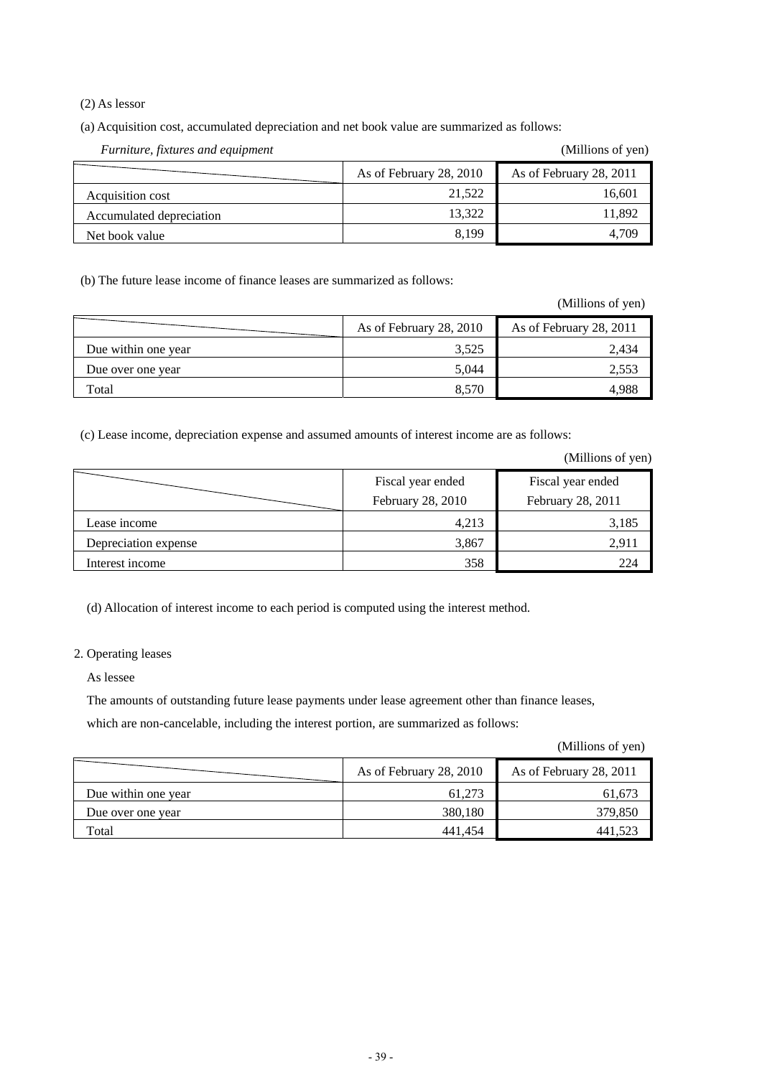(2) As lessor

(a) Acquisition cost, accumulated depreciation and net book value are summarized as follows:

| Furniture, fixtures and equipment |                         | (Millions of yen)       |
|-----------------------------------|-------------------------|-------------------------|
|                                   | As of February 28, 2010 | As of February 28, 2011 |
| Acquisition cost                  | 21,522                  | 16,601                  |
| Accumulated depreciation          | 13.322                  | 11,892                  |
| Net book value                    | 8.199                   | 4.709                   |

(b) The future lease income of finance leases are summarized as follows:

|                     |                         | (Millions of yen)       |
|---------------------|-------------------------|-------------------------|
|                     | As of February 28, 2010 | As of February 28, 2011 |
| Due within one year | 3,525                   | 2,434                   |
| Due over one year   | 5,044                   | 2,553                   |
| Total               | 8,570                   | 4,988                   |

(c) Lease income, depreciation expense and assumed amounts of interest income are as follows:

(Millions of yen)

|                      | Fiscal year ended<br>February 28, 2010 | Fiscal year ended<br>February 28, 2011 |  |
|----------------------|----------------------------------------|----------------------------------------|--|
| Lease income         | 4,213                                  | 3,185                                  |  |
| Depreciation expense | 3,867                                  | 2,911                                  |  |
| Interest income      | 358                                    | 224                                    |  |

(d) Allocation of interest income to each period is computed using the interest method.

#### 2. Operating leases

As lessee

The amounts of outstanding future lease payments under lease agreement other than finance leases,

which are non-cancelable, including the interest portion, are summarized as follows:

|                     | As of February 28, 2010 | As of February 28, 2011 |
|---------------------|-------------------------|-------------------------|
| Due within one year | 61.273                  | 61,673                  |
| Due over one year   | 380,180                 | 379,850                 |
| Total               | 441.454                 | 441,523                 |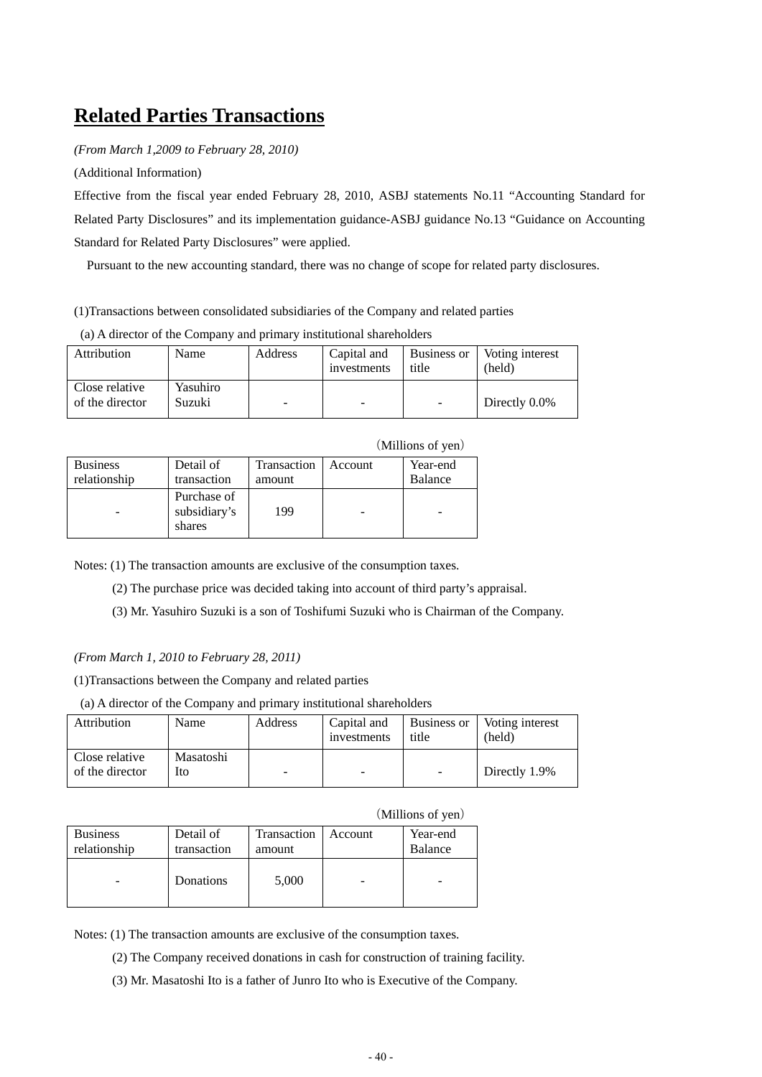#### **Related Parties Transactions**

*(From March 1,2009 to February 28, 2010)* 

(Additional Information)

Effective from the fiscal year ended February 28, 2010, ASBJ statements No.11 "Accounting Standard for Related Party Disclosures" and its implementation guidance-ASBJ guidance No.13 "Guidance on Accounting Standard for Related Party Disclosures" were applied.

Pursuant to the new accounting standard, there was no change of scope for related party disclosures.

(1)Transactions between consolidated subsidiaries of the Company and related parties

(a) A director of the Company and primary institutional shareholders

| Attribution                       | Name               | Address | Capital and<br>investments | Business or<br>title | Voting interest<br>(held) |
|-----------------------------------|--------------------|---------|----------------------------|----------------------|---------------------------|
| Close relative<br>of the director | Yasuhiro<br>Suzuki |         | ۰                          |                      | Directly 0.0%             |

| <b>Business</b> | Detail of                             | Transaction | Account | Year-end |
|-----------------|---------------------------------------|-------------|---------|----------|
| relationship    | transaction                           | amount      |         | Balance  |
|                 | Purchase of<br>subsidiary's<br>shares | 199         |         |          |

Notes: (1) The transaction amounts are exclusive of the consumption taxes.

(2) The purchase price was decided taking into account of third party's appraisal.

(3) Mr. Yasuhiro Suzuki is a son of Toshifumi Suzuki who is Chairman of the Company.

*(From March 1, 2010 to February 28, 2011)* 

(1)Transactions between the Company and related parties

(a) A director of the Company and primary institutional shareholders

| Attribution                       | Name             | Address | Capital and<br>investments | Business or<br>title | Voting interest<br>(held) |
|-----------------------------------|------------------|---------|----------------------------|----------------------|---------------------------|
| Close relative<br>of the director | Masatoshi<br>Ito |         |                            | $\sim$               | Directly 1.9%             |

| (Millions of yen) |
|-------------------|
|-------------------|

(Millions of yen)

| <b>Business</b> | Detail of   | Transaction | Account | Year-end |
|-----------------|-------------|-------------|---------|----------|
| relationship    | transaction | amount      |         | Balance  |
|                 | Donations   | 5,000       |         |          |

Notes: (1) The transaction amounts are exclusive of the consumption taxes.

- (2) The Company received donations in cash for construction of training facility.
- (3) Mr. Masatoshi Ito is a father of Junro Ito who is Executive of the Company.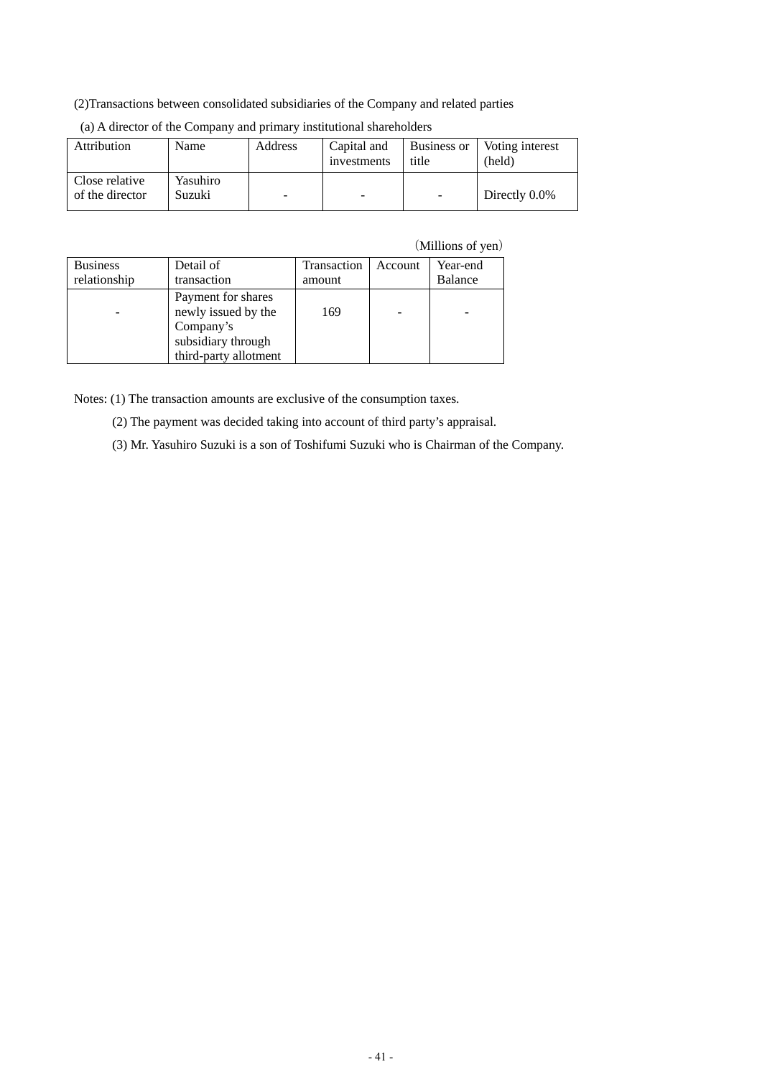#### (2)Transactions between consolidated subsidiaries of the Company and related parties

| Attribution                       | Name               | Address | Capital and<br>investments | Business or<br>title     | Voting interest<br>(held) |
|-----------------------------------|--------------------|---------|----------------------------|--------------------------|---------------------------|
| Close relative<br>of the director | Yasuhiro<br>Suzuki | -       | -                          | $\overline{\phantom{a}}$ | Directly 0.0%             |

| (a) A director of the Company and primary institutional shareholders |  |  |
|----------------------------------------------------------------------|--|--|
|                                                                      |  |  |

(Millions of yen)

| <b>Business</b> | Detail of                                                                                             | Transaction | Account | Year-end |
|-----------------|-------------------------------------------------------------------------------------------------------|-------------|---------|----------|
| relationship    | transaction                                                                                           | amount      |         | Balance  |
|                 | Payment for shares<br>newly issued by the<br>Company's<br>subsidiary through<br>third-party allotment | 169         |         |          |

Notes: (1) The transaction amounts are exclusive of the consumption taxes.

(2) The payment was decided taking into account of third party's appraisal.

(3) Mr. Yasuhiro Suzuki is a son of Toshifumi Suzuki who is Chairman of the Company.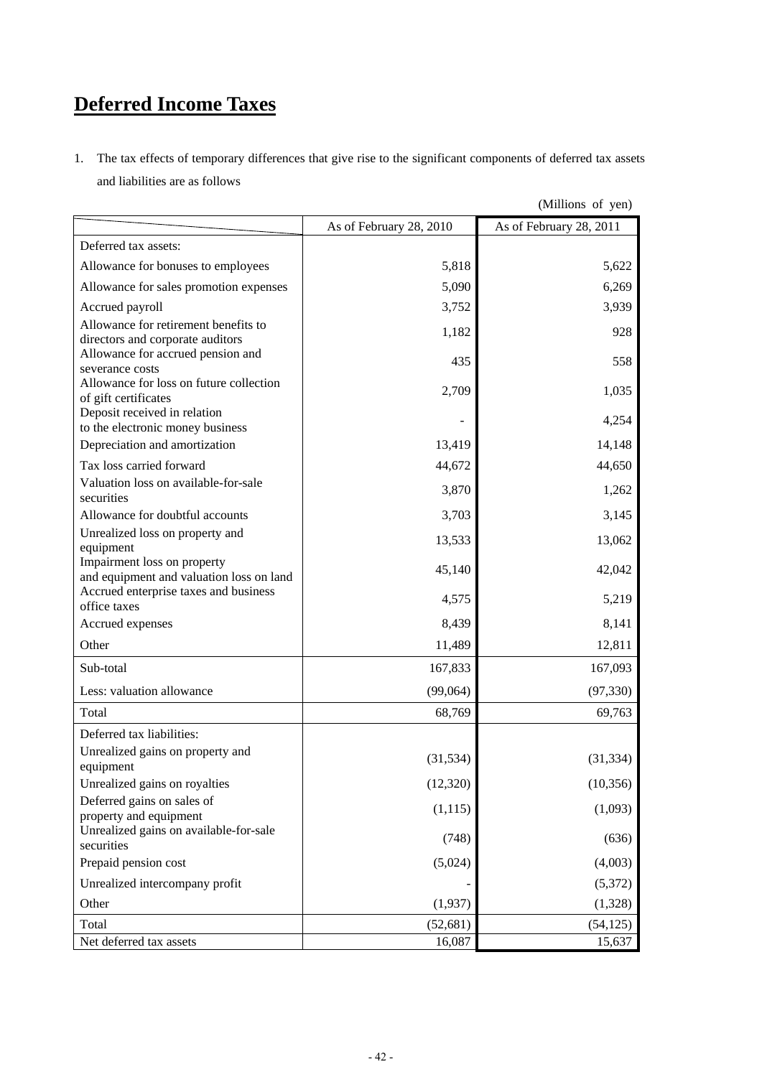## **Deferred Income Taxes**

1. The tax effects of temporary differences that give rise to the significant components of deferred tax assets and liabilities are as follows

|                                                                                          | As of February 28, 2010 | As of February 28, 2011 |
|------------------------------------------------------------------------------------------|-------------------------|-------------------------|
| Deferred tax assets:                                                                     |                         |                         |
| Allowance for bonuses to employees                                                       | 5,818                   | 5,622                   |
| Allowance for sales promotion expenses                                                   | 5,090                   | 6,269                   |
| Accrued payroll                                                                          | 3,752                   | 3,939                   |
| Allowance for retirement benefits to                                                     | 1,182                   | 928                     |
| directors and corporate auditors<br>Allowance for accrued pension and<br>severance costs | 435                     | 558                     |
| Allowance for loss on future collection<br>of gift certificates                          | 2,709                   | 1,035                   |
| Deposit received in relation<br>to the electronic money business                         |                         | 4,254                   |
| Depreciation and amortization                                                            | 13,419                  | 14,148                  |
| Tax loss carried forward                                                                 | 44,672                  | 44,650                  |
| Valuation loss on available-for-sale<br>securities                                       | 3,870                   | 1,262                   |
| Allowance for doubtful accounts                                                          | 3,703                   | 3,145                   |
| Unrealized loss on property and<br>equipment                                             | 13,533                  | 13,062                  |
| Impairment loss on property<br>and equipment and valuation loss on land                  | 45,140                  | 42,042                  |
| Accrued enterprise taxes and business<br>office taxes                                    | 4,575                   | 5,219                   |
| Accrued expenses                                                                         | 8,439                   | 8,141                   |
| Other                                                                                    | 11,489                  | 12,811                  |
| Sub-total                                                                                | 167,833                 | 167,093                 |
| Less: valuation allowance                                                                | (99,064)                | (97, 330)               |
| Total                                                                                    | 68,769                  | 69,763                  |
| Deferred tax liabilities:                                                                |                         |                         |
| Unrealized gains on property and<br>equipment                                            | (31, 534)               | (31, 334)               |
| Unrealized gains on royalties                                                            | (12, 320)               | (10, 356)               |
| Deferred gains on sales of<br>property and equipment                                     | (1, 115)                | (1,093)                 |
| Unrealized gains on available-for-sale<br>securities                                     | (748)                   | (636)                   |
| Prepaid pension cost                                                                     | (5,024)                 | (4,003)                 |
| Unrealized intercompany profit                                                           |                         | (5,372)                 |
| Other                                                                                    | (1,937)                 | (1,328)                 |
| Total                                                                                    | (52, 681)               | (54, 125)               |
| Net deferred tax assets                                                                  | 16,087                  | 15,637                  |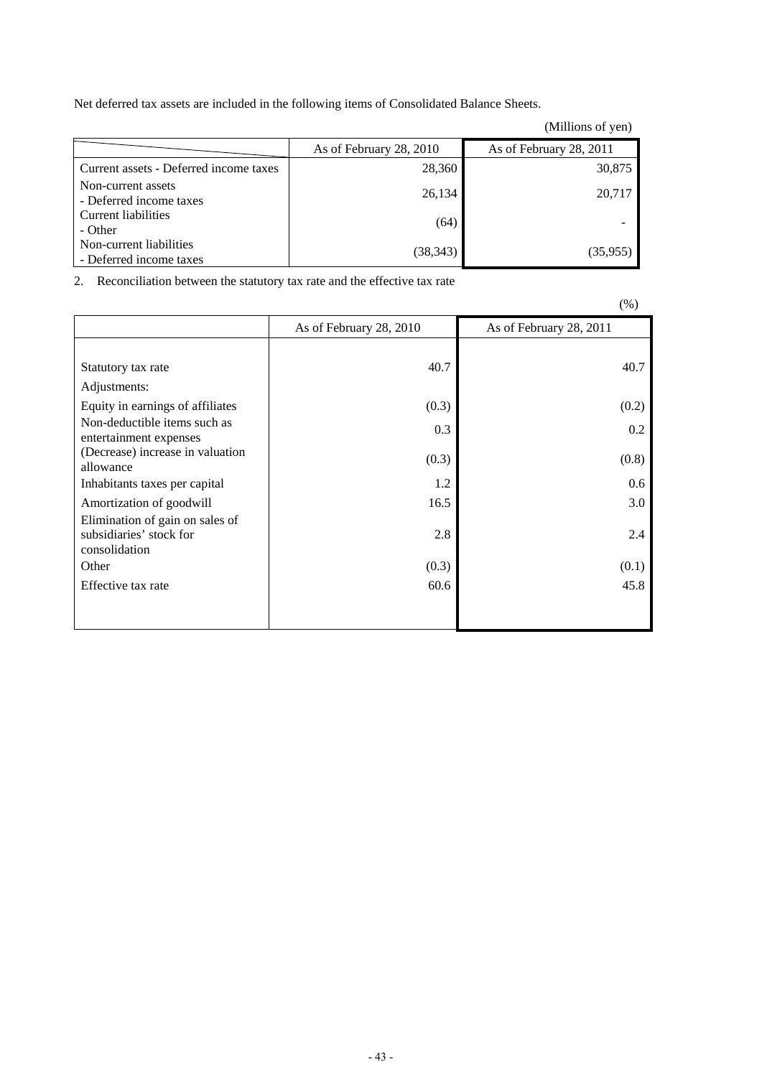Net deferred tax assets are included in the following items of Consolidated Balance Sheets.

|                                                    |                         | (Millions of yen)       |
|----------------------------------------------------|-------------------------|-------------------------|
|                                                    | As of February 28, 2010 | As of February 28, 2011 |
| Current assets - Deferred income taxes             | 28,360                  | 30,875                  |
| Non-current assets<br>- Deferred income taxes      | 26,134                  | 20,717                  |
| Current liabilities<br>- Other                     | (64)                    |                         |
| Non-current liabilities<br>- Deferred income taxes | (38, 343)               | (35,955)                |

2. Reconciliation between the statutory tax rate and the effective tax rate

|                                                                             |                         | $\sqrt{9}$              |
|-----------------------------------------------------------------------------|-------------------------|-------------------------|
|                                                                             | As of February 28, 2010 | As of February 28, 2011 |
|                                                                             |                         |                         |
| Statutory tax rate                                                          | 40.7                    | 40.7                    |
| Adjustments:                                                                |                         |                         |
| Equity in earnings of affiliates                                            | (0.3)                   | (0.2)                   |
| Non-deductible items such as<br>entertainment expenses                      | 0.3                     | 0.2                     |
| (Decrease) increase in valuation<br>allowance                               | (0.3)                   | (0.8)                   |
| Inhabitants taxes per capital                                               | 1.2                     | 0.6                     |
| Amortization of goodwill                                                    | 16.5                    | 3.0                     |
| Elimination of gain on sales of<br>subsidiaries' stock for<br>consolidation | 2.8                     | 2.4                     |
| Other                                                                       | (0.3)                   | (0.1)                   |
| Effective tax rate                                                          | 60.6                    | 45.8                    |
|                                                                             |                         |                         |

 $(0)$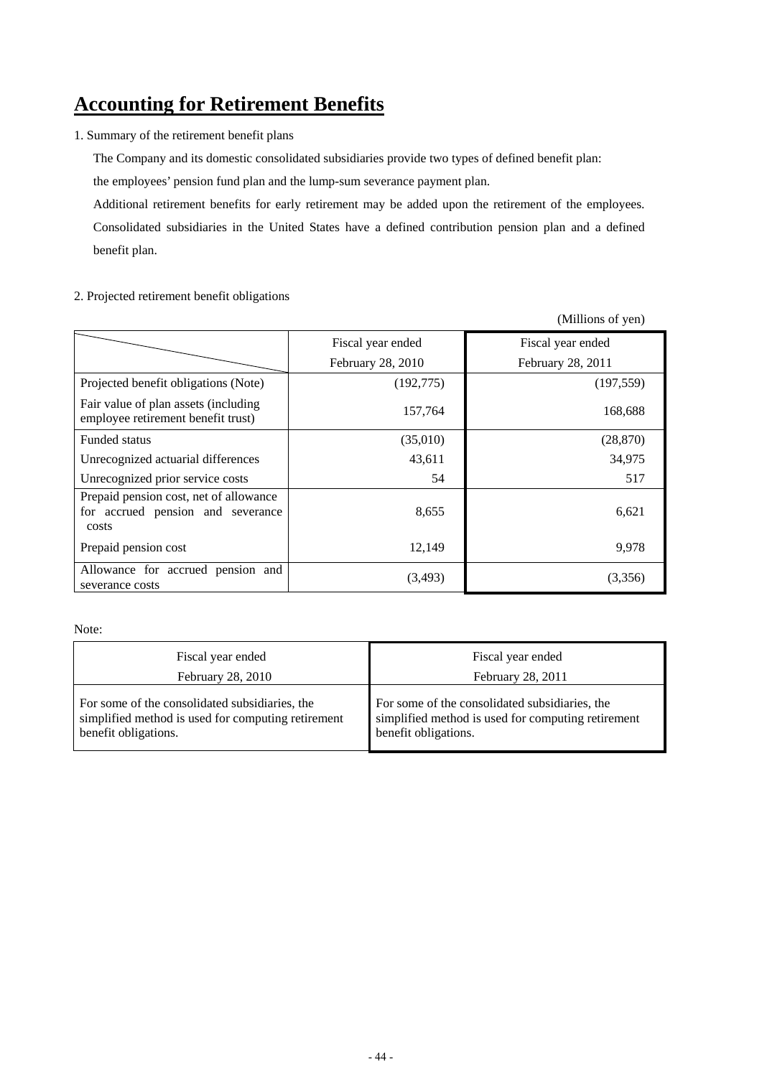#### **Accounting for Retirement Benefits**

1. Summary of the retirement benefit plans

The Company and its domestic consolidated subsidiaries provide two types of defined benefit plan:

the employees' pension fund plan and the lump-sum severance payment plan.

Additional retirement benefits for early retirement may be added upon the retirement of the employees. Consolidated subsidiaries in the United States have a defined contribution pension plan and a defined benefit plan.

#### 2. Projected retirement benefit obligations

(Millions of yen) Fiscal year ended Fiscal year ended February 28, 2010 February 28, 2011 Projected benefit obligations (Note) (192,775) (197,559) Fair value of plan assets (including employee retirement benefit trust) 157,764 168,688 Funded status (35,010) (28,870) Unrecognized actuarial differences  $\begin{array}{ccc} 43,611 & 34,975 \end{array}$ Unrecognized prior service costs 54 517 Prepaid pension cost, net of allowance for accrued pension and severance costs 8,655 6,621 Prepaid pension cost 12,149 9,978 Allowance for accrued pension and severance costs  $(3,493)$   $(3,356)$ 

Note:

| Fiscal year ended                                  | Fiscal year ended                                  |
|----------------------------------------------------|----------------------------------------------------|
| February 28, 2010                                  | February 28, 2011                                  |
| For some of the consolidated subsidiaries, the     | For some of the consolidated subsidiaries, the     |
| simplified method is used for computing retirement | simplified method is used for computing retirement |
| benefit obligations.                               | benefit obligations.                               |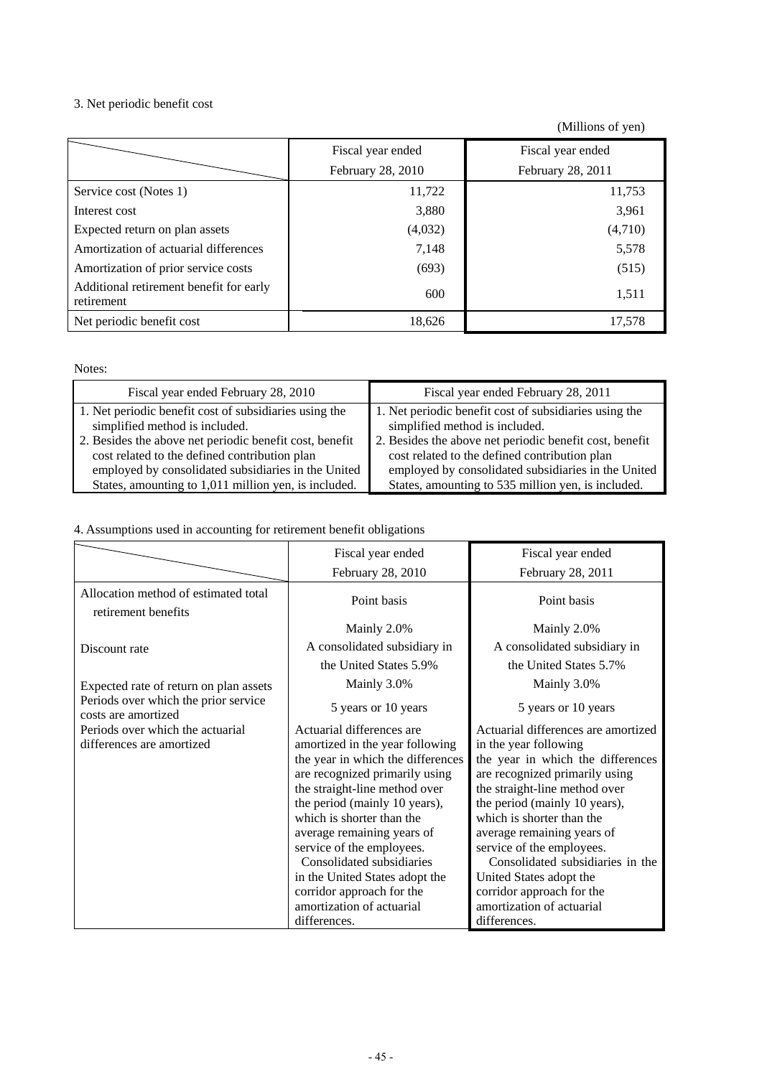#### 3. Net periodic benefit cost

(Millions of yen)

|                                                       | Fiscal year ended | Fiscal year ended |
|-------------------------------------------------------|-------------------|-------------------|
|                                                       | February 28, 2010 | February 28, 2011 |
| Service cost (Notes 1)                                | 11,722            | 11,753            |
| Interest cost                                         | 3,880             | 3,961             |
| Expected return on plan assets                        | (4,032)           | (4,710)           |
| Amortization of actuarial differences                 | 7,148             | 5,578             |
| Amortization of prior service costs                   | (693)             | (515)             |
| Additional retirement benefit for early<br>retirement | 600               | 1,511             |
| Net periodic benefit cost                             | 18,626            | 17,578            |

Notes:

| Fiscal year ended February 28, 2010                     | Fiscal year ended February 28, 2011                     |
|---------------------------------------------------------|---------------------------------------------------------|
| 1. Net periodic benefit cost of subsidiaries using the  | 1. Net periodic benefit cost of subsidiaries using the  |
| simplified method is included.                          | simplified method is included.                          |
| 2. Besides the above net periodic benefit cost, benefit | 2. Besides the above net periodic benefit cost, benefit |
| cost related to the defined contribution plan           | cost related to the defined contribution plan           |
| employed by consolidated subsidiaries in the United     | employed by consolidated subsidiaries in the United     |
| States, amounting to 1,011 million yen, is included.    | States, amounting to 535 million yen, is included.      |

4. Assumptions used in accounting for retirement benefit obligations

|                                                             | Fiscal year ended                 | Fiscal year ended                   |
|-------------------------------------------------------------|-----------------------------------|-------------------------------------|
|                                                             | February 28, 2010                 | February 28, 2011                   |
| Allocation method of estimated total<br>retirement benefits | Point basis                       | Point basis                         |
|                                                             | Mainly 2.0%                       | Mainly 2.0%                         |
| Discount rate                                               | A consolidated subsidiary in      | A consolidated subsidiary in        |
|                                                             | the United States 5.9%            | the United States 5.7%              |
| Expected rate of return on plan assets                      | Mainly 3.0%                       | Mainly 3.0%                         |
| Periods over which the prior service<br>costs are amortized | 5 years or 10 years               | 5 years or 10 years                 |
| Periods over which the actuarial                            | Actuarial differences are         | Actuarial differences are amortized |
| differences are amortized                                   | amortized in the year following   | in the year following               |
|                                                             | the year in which the differences | the year in which the differences   |
|                                                             | are recognized primarily using    | are recognized primarily using      |
|                                                             | the straight-line method over     | the straight-line method over       |
|                                                             | the period (mainly 10 years),     | the period (mainly 10 years),       |
|                                                             | which is shorter than the         | which is shorter than the           |
|                                                             | average remaining years of        | average remaining years of          |
|                                                             | service of the employees.         | service of the employees.           |
|                                                             | Consolidated subsidiaries         | Consolidated subsidiaries in the    |
|                                                             | in the United States adopt the    | United States adopt the             |
|                                                             | corridor approach for the         | corridor approach for the           |
|                                                             | amortization of actuarial         | amortization of actuarial           |
|                                                             | differences.                      | differences.                        |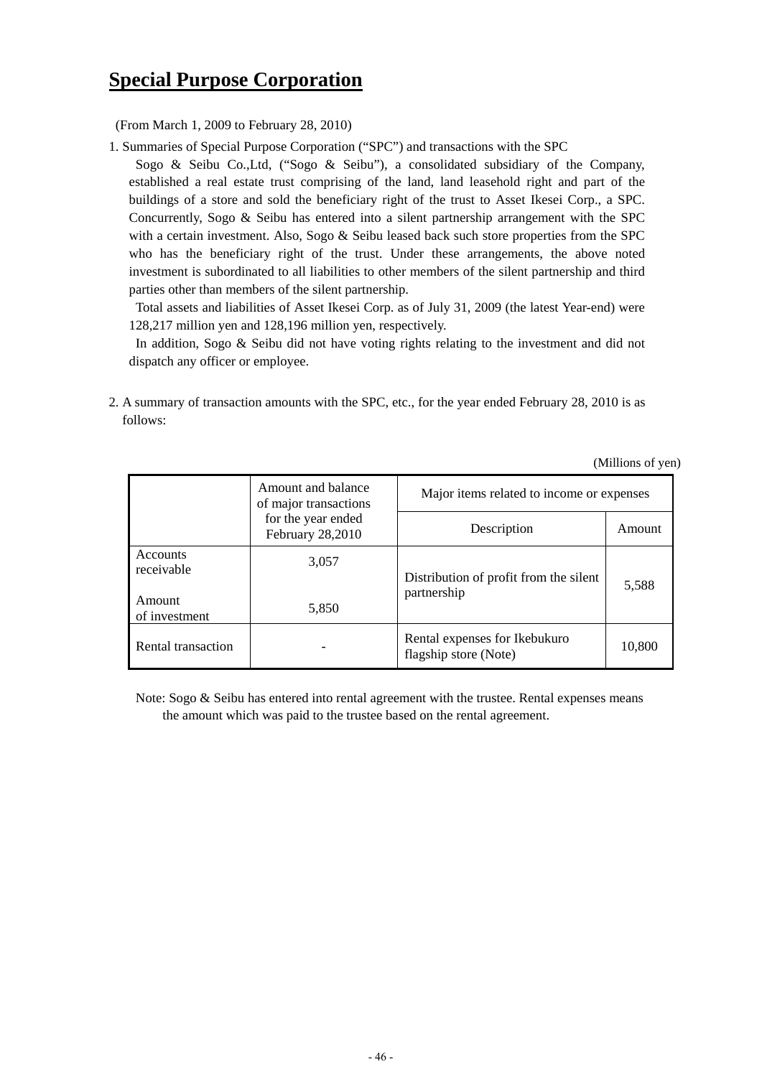#### **Special Purpose Corporation**

(From March 1, 2009 to February 28, 2010)

1. Summaries of Special Purpose Corporation ("SPC") and transactions with the SPC

Sogo & Seibu Co.,Ltd, ("Sogo & Seibu"), a consolidated subsidiary of the Company, established a real estate trust comprising of the land, land leasehold right and part of the buildings of a store and sold the beneficiary right of the trust to Asset Ikesei Corp., a SPC. Concurrently, Sogo & Seibu has entered into a silent partnership arrangement with the SPC with a certain investment. Also, Sogo & Seibu leased back such store properties from the SPC who has the beneficiary right of the trust. Under these arrangements, the above noted investment is subordinated to all liabilities to other members of the silent partnership and third parties other than members of the silent partnership.

 Total assets and liabilities of Asset Ikesei Corp. as of July 31, 2009 (the latest Year-end) were 128,217 million yen and 128,196 million yen, respectively.

In addition, Sogo & Seibu did not have voting rights relating to the investment and did not dispatch any officer or employee.

2. A summary of transaction amounts with the SPC, etc., for the year ended February 28, 2010 is as follows:

|                         | Amount and balance<br>of major transactions   | Major items related to income or expenses              |        |  |
|-------------------------|-----------------------------------------------|--------------------------------------------------------|--------|--|
|                         | for the year ended<br><b>February 28,2010</b> | Description                                            | Amount |  |
| Accounts<br>receivable  | 3,057                                         | Distribution of profit from the silent                 | 5,588  |  |
| Amount<br>of investment | 5,850                                         | partnership                                            |        |  |
| Rental transaction      |                                               | Rental expenses for Ikebukuro<br>flagship store (Note) | 10,800 |  |

(Millions of yen)

Note: Sogo & Seibu has entered into rental agreement with the trustee. Rental expenses means the amount which was paid to the trustee based on the rental agreement.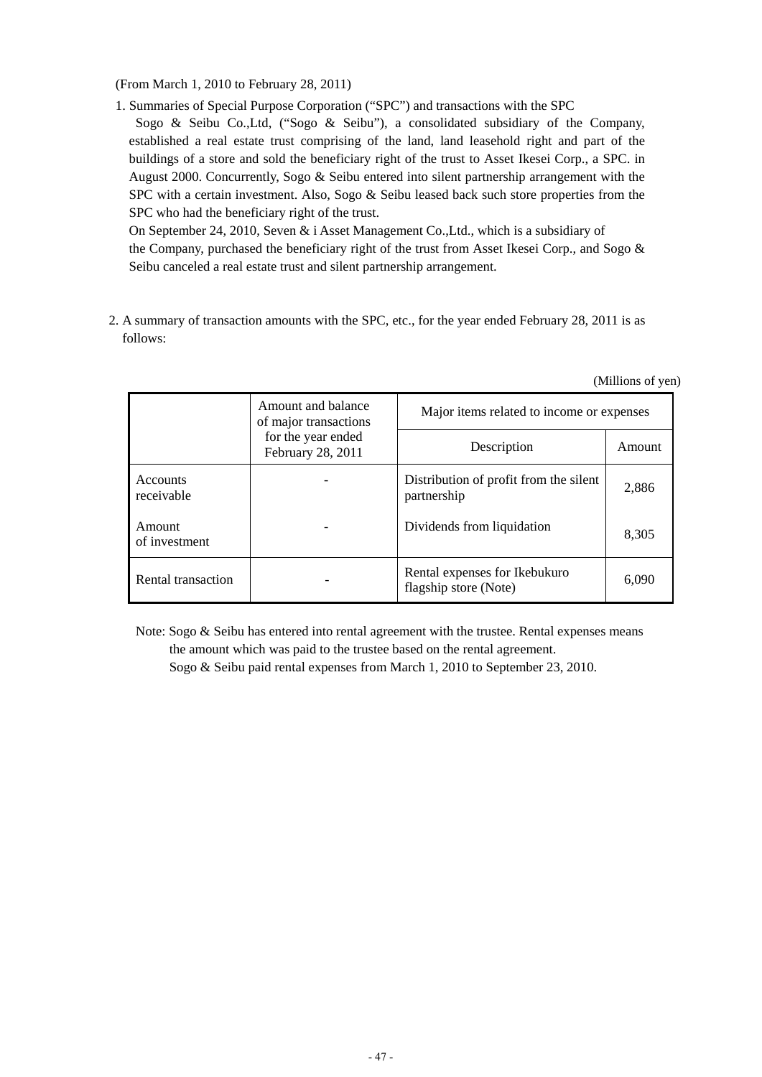(From March 1, 2010 to February 28, 2011)

1. Summaries of Special Purpose Corporation ("SPC") and transactions with the SPC

Sogo & Seibu Co.,Ltd, ("Sogo & Seibu"), a consolidated subsidiary of the Company, established a real estate trust comprising of the land, land leasehold right and part of the buildings of a store and sold the beneficiary right of the trust to Asset Ikesei Corp., a SPC. in August 2000. Concurrently, Sogo & Seibu entered into silent partnership arrangement with the SPC with a certain investment. Also, Sogo & Seibu leased back such store properties from the SPC who had the beneficiary right of the trust.

On September 24, 2010, Seven & i Asset Management Co.,Ltd., which is a subsidiary of the Company, purchased the beneficiary right of the trust from Asset Ikesei Corp., and Sogo & Seibu canceled a real estate trust and silent partnership arrangement.

2. A summary of transaction amounts with the SPC, etc., for the year ended February 28, 2011 is as follows:

|                               | Amount and balance<br>of major transactions | Major items related to income or expenses              |        |  |
|-------------------------------|---------------------------------------------|--------------------------------------------------------|--------|--|
|                               | for the year ended<br>February 28, 2011     | Description                                            | Amount |  |
| <b>Accounts</b><br>receivable |                                             | Distribution of profit from the silent<br>partnership  | 2,886  |  |
| Amount<br>of investment       |                                             | Dividends from liquidation                             | 8,305  |  |
| Rental transaction            |                                             | Rental expenses for Ikebukuro<br>flagship store (Note) | 6,090  |  |

(Millions of yen)

Note: Sogo & Seibu has entered into rental agreement with the trustee. Rental expenses means

the amount which was paid to the trustee based on the rental agreement. Sogo & Seibu paid rental expenses from March 1, 2010 to September 23, 2010.

- 47 -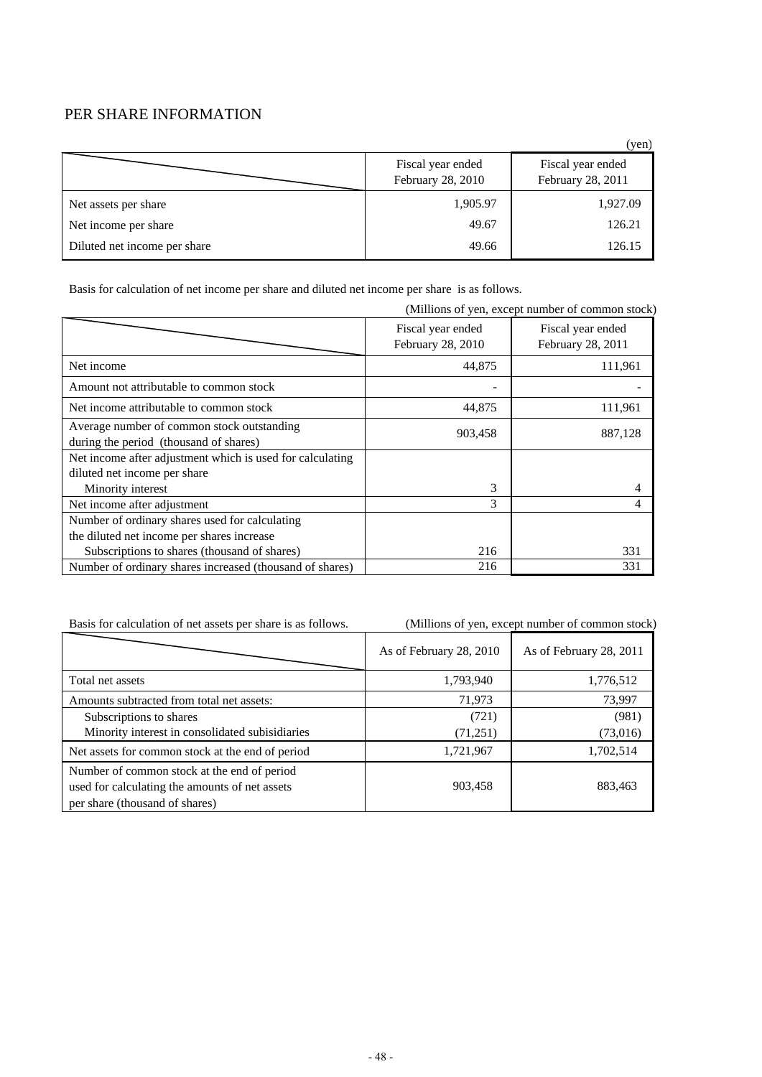#### PER SHARE INFORMATION

|                              |                                        | (yen)                                  |
|------------------------------|----------------------------------------|----------------------------------------|
|                              | Fiscal year ended<br>February 28, 2010 | Fiscal year ended<br>February 28, 2011 |
| Net assets per share         | 1,905.97                               | 1,927.09                               |
| Net income per share         | 49.67                                  | 126.21                                 |
| Diluted net income per share | 49.66                                  | 126.15                                 |

Basis for calculation of net income per share and diluted net income per share is as follows.

|                                                                                      |                                        | (Millions of yen, except number of common stock) |
|--------------------------------------------------------------------------------------|----------------------------------------|--------------------------------------------------|
|                                                                                      | Fiscal year ended<br>February 28, 2010 | Fiscal year ended<br>February 28, 2011           |
| Net income                                                                           | 44,875                                 | 111,961                                          |
| Amount not attributable to common stock                                              |                                        |                                                  |
| Net income attributable to common stock                                              | 44,875                                 | 111,961                                          |
| Average number of common stock outstanding<br>during the period (thousand of shares) | 903,458                                | 887,128                                          |
| Net income after adjustment which is used for calculating                            |                                        |                                                  |
| diluted net income per share                                                         |                                        |                                                  |
| Minority interest                                                                    | 3                                      | 4                                                |
| Net income after adjustment                                                          | 3                                      | 4                                                |
| Number of ordinary shares used for calculating                                       |                                        |                                                  |
| the diluted net income per shares increase                                           |                                        |                                                  |
| Subscriptions to shares (thousand of shares)                                         | 216                                    | 331                                              |
| Number of ordinary shares increased (thousand of shares)                             | 216                                    | 331                                              |

Basis for calculation of net assets per share is as follows. (Millions of yen, except number of common stock)

|                                                                                                                                 | As of February 28, 2010 | As of February 28, 2011 |
|---------------------------------------------------------------------------------------------------------------------------------|-------------------------|-------------------------|
| Total net assets                                                                                                                | 1,793,940               | 1,776,512               |
| Amounts subtracted from total net assets:                                                                                       | 71,973                  | 73,997                  |
| Subscriptions to shares                                                                                                         | (721)                   | (981)                   |
| Minority interest in consolidated subisidiaries                                                                                 | (71, 251)               | (73,016)                |
| Net assets for common stock at the end of period                                                                                | 1,721,967               | 1,702,514               |
| Number of common stock at the end of period<br>used for calculating the amounts of net assets<br>per share (thousand of shares) | 903,458                 | 883,463                 |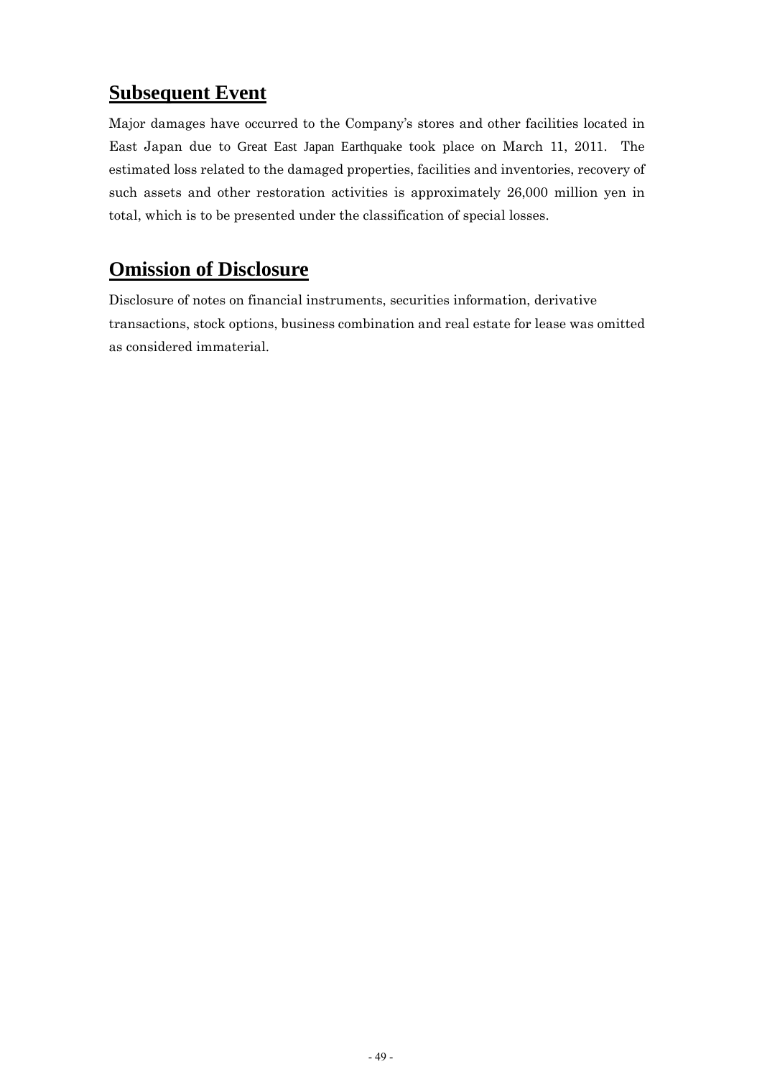#### **Subsequent Event**

Major damages have occurred to the Company's stores and other facilities located in East Japan due to Great East Japan Earthquake took place on March 11, 2011. The estimated loss related to the damaged properties, facilities and inventories, recovery of such assets and other restoration activities is approximately 26,000 million yen in total, which is to be presented under the classification of special losses.

#### **Omission of Disclosure**

Disclosure of notes on financial instruments, securities information, derivative transactions, stock options, business combination and real estate for lease was omitted as considered immaterial.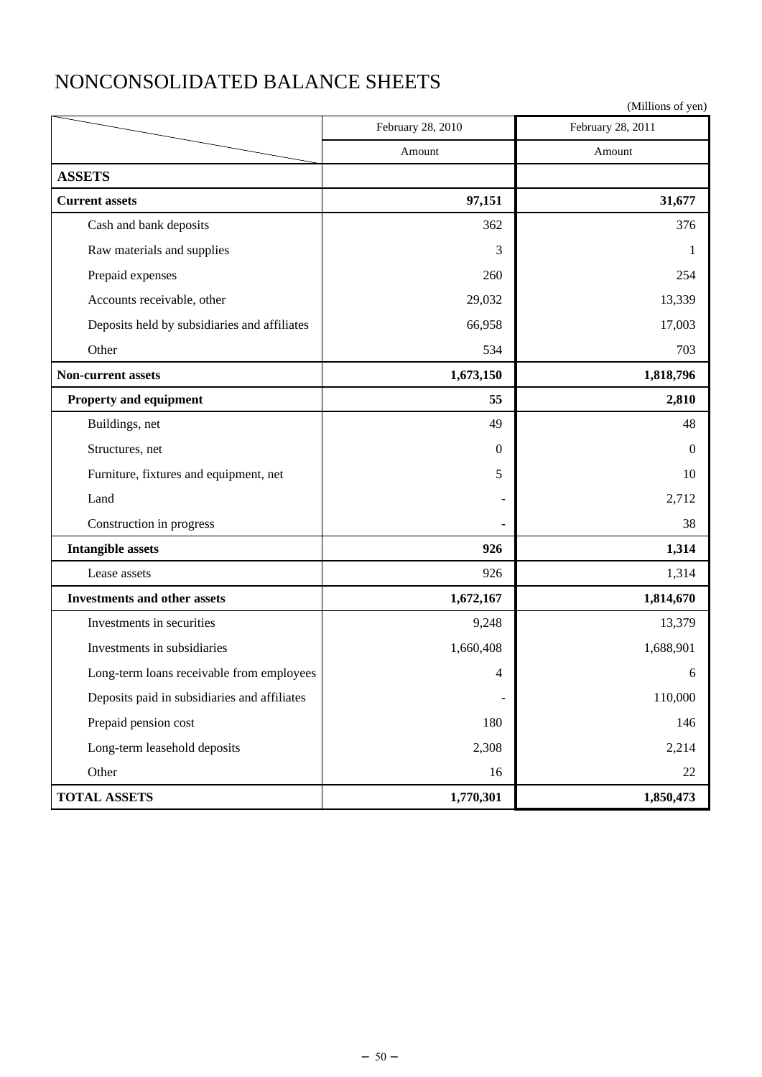# NONCONSOLIDATED BALANCE SHEETS

|                                              | February 28, 2010 | February 28, 2011 |
|----------------------------------------------|-------------------|-------------------|
|                                              | Amount            | Amount            |
| <b>ASSETS</b>                                |                   |                   |
| <b>Current assets</b>                        | 97,151            | 31,677            |
| Cash and bank deposits                       | 362               | 376               |
| Raw materials and supplies                   | 3                 | 1                 |
| Prepaid expenses                             | 260               | 254               |
| Accounts receivable, other                   | 29,032            | 13,339            |
| Deposits held by subsidiaries and affiliates | 66,958            | 17,003            |
| Other                                        | 534               | 703               |
| Non-current assets                           | 1,673,150         | 1,818,796         |
| Property and equipment                       | 55                | 2,810             |
| Buildings, net                               | 49                | 48                |
| Structures, net                              | $\Omega$          | $\Omega$          |
| Furniture, fixtures and equipment, net       | 5                 | 10                |
| Land                                         |                   | 2,712             |
| Construction in progress                     |                   | 38                |
| <b>Intangible assets</b>                     | 926               | 1,314             |
| Lease assets                                 | 926               | 1,314             |
| <b>Investments and other assets</b>          | 1,672,167         | 1,814,670         |
| Investments in securities                    | 9,248             | 13,379            |
| Investments in subsidiaries                  | 1,660,408         | 1,688,901         |
| Long-term loans receivable from employees    | 4                 | 6                 |
| Deposits paid in subsidiaries and affiliates | ÷,                | 110,000           |
| Prepaid pension cost                         | 180               | 146               |
| Long-term leasehold deposits                 | 2,308             | 2,214             |
| Other                                        | 16                | 22                |
| <b>TOTAL ASSETS</b>                          | 1,770,301         | 1,850,473         |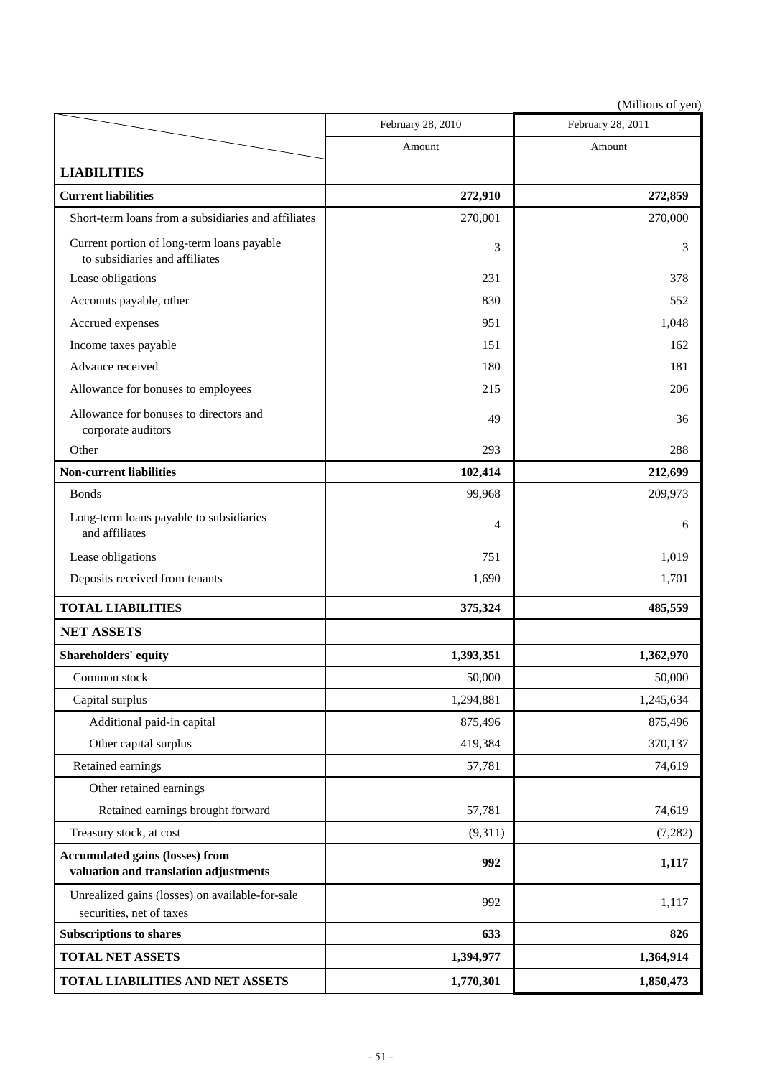|                                                                                 | February 28, 2010 | February 28, 2011 |
|---------------------------------------------------------------------------------|-------------------|-------------------|
|                                                                                 | Amount            | Amount            |
| <b>LIABILITIES</b>                                                              |                   |                   |
| <b>Current liabilities</b>                                                      | 272,910           | 272,859           |
| Short-term loans from a subsidiaries and affiliates                             | 270,001           | 270,000           |
| Current portion of long-term loans payable<br>to subsidiaries and affiliates    | 3                 | 3                 |
| Lease obligations                                                               | 231               | 378               |
| Accounts payable, other                                                         | 830               | 552               |
| Accrued expenses                                                                | 951               | 1,048             |
| Income taxes payable                                                            | 151               | 162               |
| Advance received                                                                | 180               | 181               |
| Allowance for bonuses to employees                                              | 215               | 206               |
| Allowance for bonuses to directors and<br>corporate auditors                    | 49                | 36                |
| Other                                                                           | 293               | 288               |
| <b>Non-current liabilities</b>                                                  | 102,414           | 212,699           |
| <b>Bonds</b>                                                                    | 99,968            | 209,973           |
| Long-term loans payable to subsidiaries<br>and affiliates                       | 4                 | 6                 |
| Lease obligations                                                               | 751               | 1,019             |
| Deposits received from tenants                                                  | 1,690             | 1,701             |
| <b>TOTAL LIABILITIES</b>                                                        | 375,324           | 485,559           |
| <b>NET ASSETS</b>                                                               |                   |                   |
| Shareholders' equity                                                            | 1,393,351         | 1,362,970         |
| Common stock                                                                    | 50,000            | 50,000            |
| Capital surplus                                                                 | 1,294,881         | 1,245,634         |
| Additional paid-in capital                                                      | 875,496           | 875,496           |
| Other capital surplus                                                           | 419,384           | 370,137           |
| Retained earnings                                                               | 57,781            | 74,619            |
| Other retained earnings                                                         |                   |                   |
| Retained earnings brought forward                                               | 57,781            | 74,619            |
| Treasury stock, at cost                                                         | (9,311)           | (7,282)           |
| <b>Accumulated gains (losses) from</b><br>valuation and translation adjustments | 992               | 1,117             |
| Unrealized gains (losses) on available-for-sale<br>securities, net of taxes     | 992               | 1,117             |
| <b>Subscriptions to shares</b>                                                  | 633               | 826               |
| <b>TOTAL NET ASSETS</b>                                                         | 1,394,977         | 1,364,914         |
| TOTAL LIABILITIES AND NET ASSETS                                                | 1,770,301         | 1,850,473         |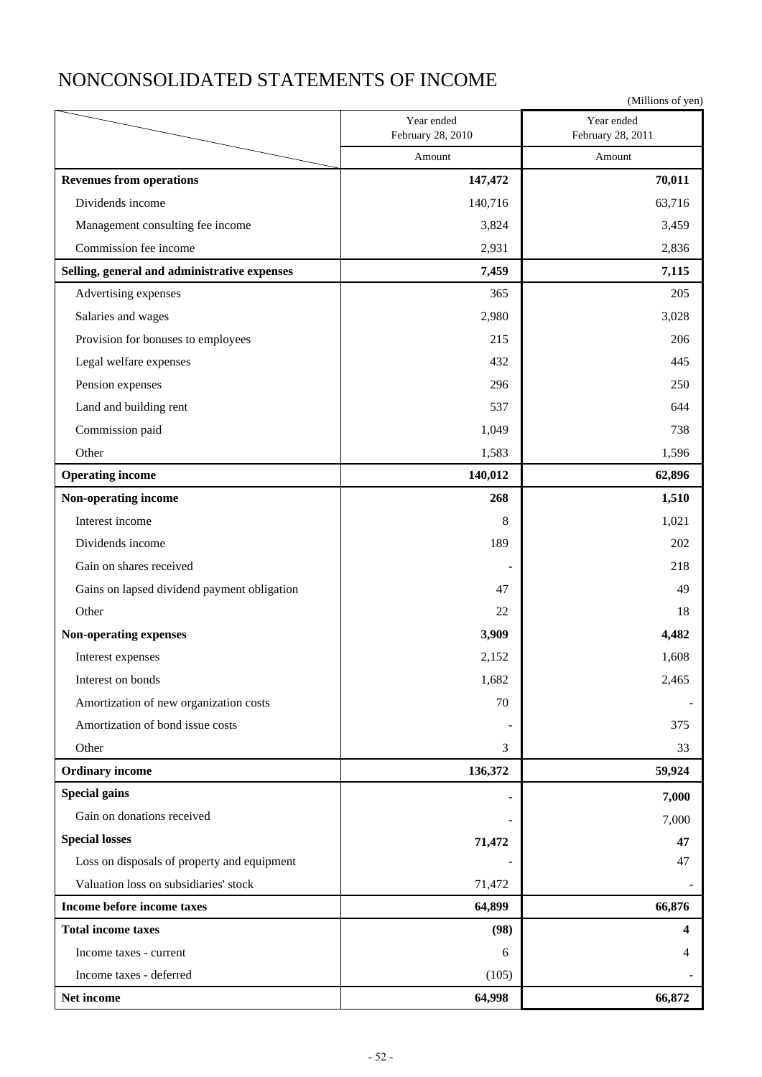### NONCONSOLIDATED STATEMENTS OF INCOME

|                                              |                                 | (Millions of yen)               |
|----------------------------------------------|---------------------------------|---------------------------------|
|                                              | Year ended<br>February 28, 2010 | Year ended<br>February 28, 2011 |
|                                              | Amount                          | Amount                          |
| <b>Revenues from operations</b>              | 147,472                         | 70,011                          |
| Dividends income                             | 140,716                         | 63,716                          |
| Management consulting fee income             | 3,824                           | 3,459                           |
| Commission fee income                        | 2,931                           | 2,836                           |
| Selling, general and administrative expenses | 7,459                           | 7,115                           |
| Advertising expenses                         | 365                             | 205                             |
| Salaries and wages                           | 2,980                           | 3,028                           |
| Provision for bonuses to employees           | 215                             | 206                             |
| Legal welfare expenses                       | 432                             | 445                             |
| Pension expenses                             | 296                             | 250                             |
| Land and building rent                       | 537                             | 644                             |
| Commission paid                              | 1,049                           | 738                             |
| Other                                        | 1,583                           | 1,596                           |
| <b>Operating income</b>                      | 140,012                         | 62,896                          |
| Non-operating income                         | 268                             | 1,510                           |
| Interest income                              | 8                               | 1,021                           |
| Dividends income                             | 189                             | 202                             |
| Gain on shares received                      |                                 | 218                             |
| Gains on lapsed dividend payment obligation  | 47                              | 49                              |
| Other                                        | 22                              | 18                              |
| Non-operating expenses                       | 3,909                           | 4,482                           |
| Interest expenses                            | 2,152                           | 1,608                           |
| Interest on bonds                            | 1,682                           | 2,465                           |
| Amortization of new organization costs       | 70                              |                                 |
| Amortization of bond issue costs             |                                 | 375                             |
| Other                                        | 3                               | 33                              |
| <b>Ordinary income</b>                       | 136,372                         | 59,924                          |
| <b>Special gains</b>                         |                                 | 7,000                           |
| Gain on donations received                   |                                 | 7,000                           |
| <b>Special losses</b>                        | 71,472                          | 47                              |
| Loss on disposals of property and equipment  |                                 | 47                              |
| Valuation loss on subsidiaries' stock        | 71,472                          |                                 |
| Income before income taxes                   | 64,899                          | 66,876                          |
| <b>Total income taxes</b>                    | (98)                            | 4                               |
| Income taxes - current                       | 6                               | 4                               |
| Income taxes - deferred                      | (105)                           |                                 |
| Net income                                   | 64,998                          | 66,872                          |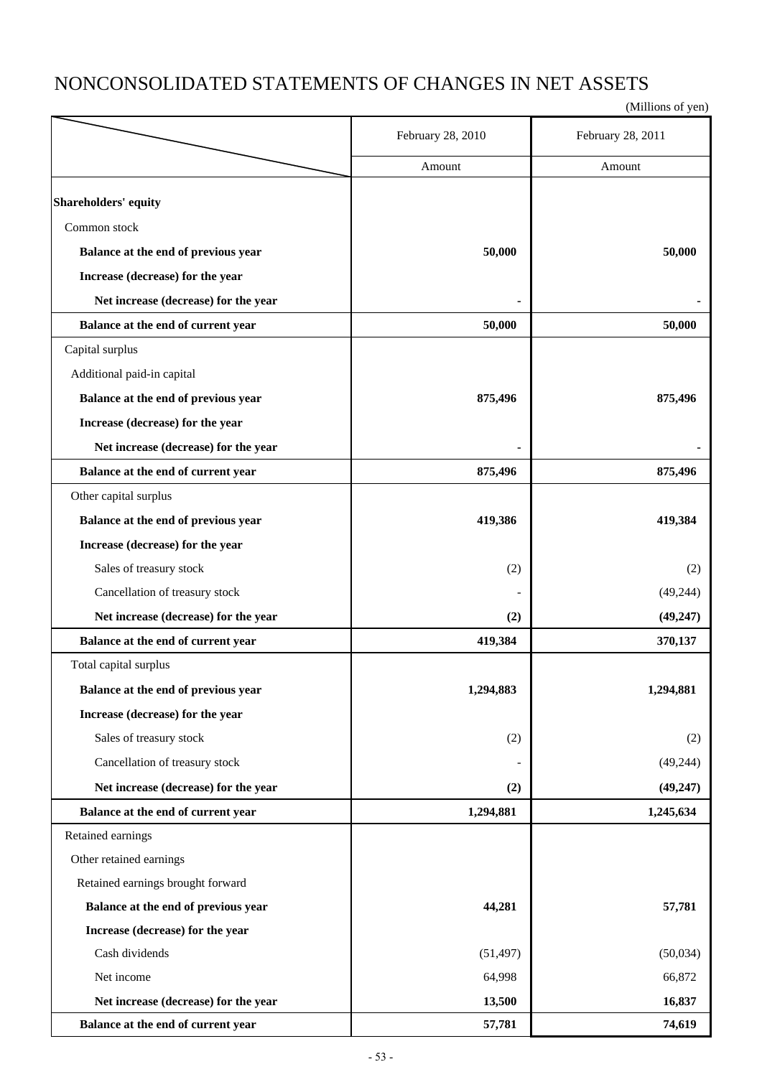### NONCONSOLIDATED STATEMENTS OF CHANGES IN NET ASSETS

|                                      | February 28, 2010 | February 28, 2011 |
|--------------------------------------|-------------------|-------------------|
|                                      | Amount            | Amount            |
| Shareholders' equity                 |                   |                   |
| Common stock                         |                   |                   |
| Balance at the end of previous year  | 50,000            | 50,000            |
| Increase (decrease) for the year     |                   |                   |
| Net increase (decrease) for the year |                   |                   |
| Balance at the end of current year   | 50,000            | 50,000            |
| Capital surplus                      |                   |                   |
| Additional paid-in capital           |                   |                   |
|                                      |                   |                   |
| Balance at the end of previous year  | 875,496           | 875,496           |
| Increase (decrease) for the year     |                   |                   |
| Net increase (decrease) for the year |                   |                   |
| Balance at the end of current year   | 875,496           | 875,496           |
| Other capital surplus                |                   |                   |
| Balance at the end of previous year  | 419,386           | 419,384           |
| Increase (decrease) for the year     |                   |                   |
| Sales of treasury stock              | (2)               | (2)               |
| Cancellation of treasury stock       |                   | (49, 244)         |
| Net increase (decrease) for the year | (2)               | (49, 247)         |
| Balance at the end of current year   | 419,384           | 370,137           |
| Total capital surplus                |                   |                   |
| Balance at the end of previous year  | 1,294,883         | 1,294,881         |
| Increase (decrease) for the year     |                   |                   |
| Sales of treasury stock              | (2)               | (2)               |
| Cancellation of treasury stock       |                   | (49, 244)         |
| Net increase (decrease) for the year | (2)               | (49, 247)         |
| Balance at the end of current year   | 1,294,881         | 1,245,634         |
| Retained earnings                    |                   |                   |
| Other retained earnings              |                   |                   |
| Retained earnings brought forward    |                   |                   |
| Balance at the end of previous year  | 44,281            | 57,781            |
| Increase (decrease) for the year     |                   |                   |
| Cash dividends                       | (51, 497)         | (50,034)          |
| Net income                           | 64,998            | 66,872            |
| Net increase (decrease) for the year | 13,500            | 16,837            |
| Balance at the end of current year   | 57,781            | 74,619            |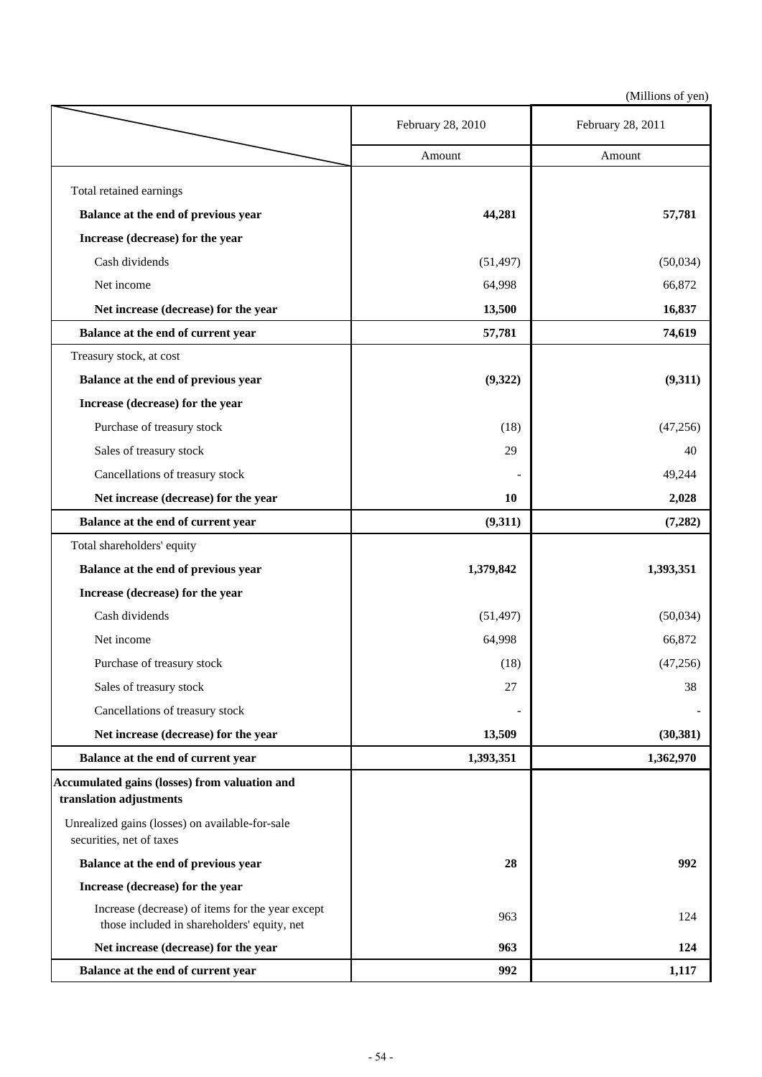|                                                                                                 | February 28, 2010 | February 28, 2011 |
|-------------------------------------------------------------------------------------------------|-------------------|-------------------|
|                                                                                                 | Amount            | Amount            |
| Total retained earnings                                                                         |                   |                   |
| Balance at the end of previous year                                                             | 44,281            | 57,781            |
| Increase (decrease) for the year                                                                |                   |                   |
| Cash dividends                                                                                  | (51, 497)         | (50,034)          |
| Net income                                                                                      | 64,998            | 66,872            |
| Net increase (decrease) for the year                                                            | 13,500            | 16,837            |
| Balance at the end of current year                                                              | 57,781            | 74,619            |
| Treasury stock, at cost                                                                         |                   |                   |
| Balance at the end of previous year                                                             | (9, 322)          | (9,311)           |
| Increase (decrease) for the year                                                                |                   |                   |
| Purchase of treasury stock                                                                      | (18)              | (47, 256)         |
| Sales of treasury stock                                                                         | 29                | 40                |
| Cancellations of treasury stock                                                                 |                   | 49,244            |
| Net increase (decrease) for the year                                                            | 10                | 2,028             |
| Balance at the end of current year                                                              | (9,311)           | (7,282)           |
| Total shareholders' equity                                                                      |                   |                   |
| Balance at the end of previous year                                                             | 1,379,842         | 1,393,351         |
| Increase (decrease) for the year                                                                |                   |                   |
| Cash dividends                                                                                  | (51, 497)         | (50,034)          |
| Net income                                                                                      | 64,998            | 66,872            |
| Purchase of treasury stock                                                                      | (18)              | (47,256)          |
| Sales of treasury stock                                                                         | 27                | 38                |
| Cancellations of treasury stock                                                                 |                   |                   |
| Net increase (decrease) for the year                                                            | 13,509            | (30, 381)         |
| Balance at the end of current year                                                              | 1,393,351         | 1,362,970         |
| <b>Accumulated gains (losses) from valuation and</b><br>translation adjustments                 |                   |                   |
| Unrealized gains (losses) on available-for-sale<br>securities, net of taxes                     |                   |                   |
| Balance at the end of previous year                                                             | 28                | 992               |
| Increase (decrease) for the year                                                                |                   |                   |
| Increase (decrease) of items for the year except<br>those included in shareholders' equity, net | 963               | 124               |
| Net increase (decrease) for the year                                                            | 963               | 124               |
| Balance at the end of current year                                                              | 992               | 1,117             |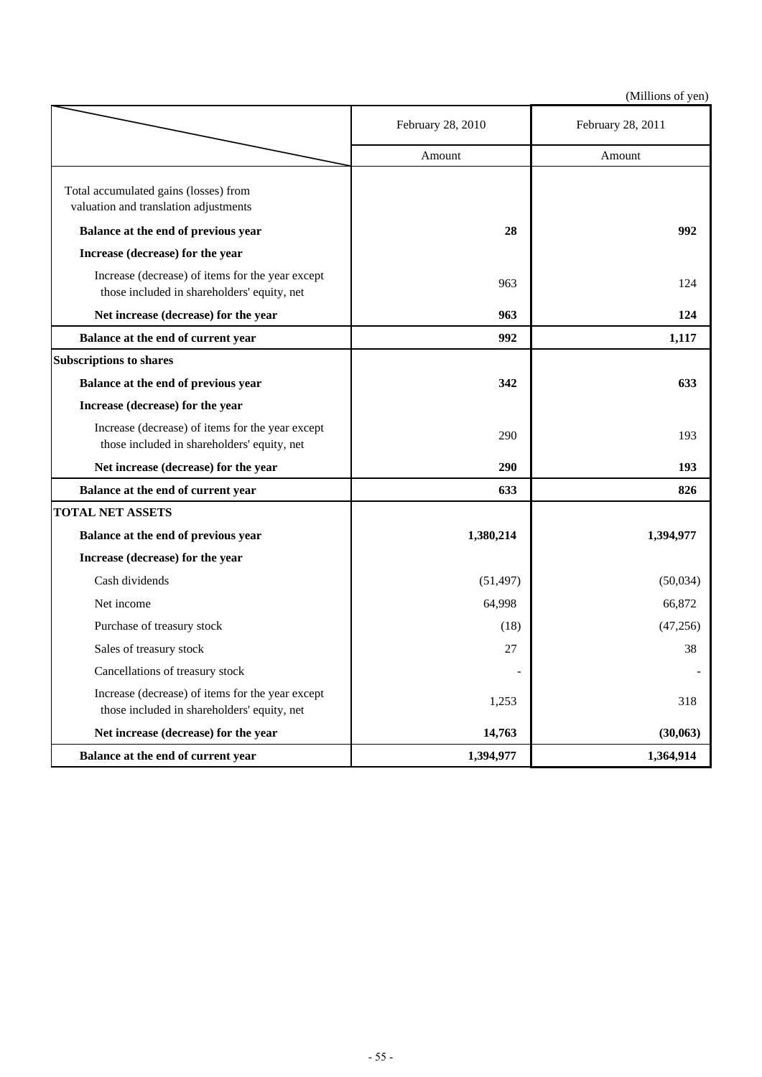|                                                                                                 | February 28, 2010 | February 28, 2011 |
|-------------------------------------------------------------------------------------------------|-------------------|-------------------|
|                                                                                                 | Amount            | Amount            |
| Total accumulated gains (losses) from<br>valuation and translation adjustments                  |                   |                   |
| Balance at the end of previous year                                                             | 28                | 992               |
| Increase (decrease) for the year                                                                |                   |                   |
| Increase (decrease) of items for the year except<br>those included in shareholders' equity, net | 963               | 124               |
| Net increase (decrease) for the year                                                            | 963               | 124               |
| Balance at the end of current year                                                              | 992               | 1,117             |
| <b>Subscriptions to shares</b>                                                                  |                   |                   |
| Balance at the end of previous year                                                             | 342               | 633               |
| Increase (decrease) for the year                                                                |                   |                   |
| Increase (decrease) of items for the year except<br>those included in shareholders' equity, net | 290               | 193               |
| Net increase (decrease) for the year                                                            | 290               | 193               |
| Balance at the end of current year                                                              | 633               | 826               |
| <b>TOTAL NET ASSETS</b>                                                                         |                   |                   |
| Balance at the end of previous year                                                             | 1,380,214         | 1,394,977         |
| Increase (decrease) for the year                                                                |                   |                   |
| Cash dividends                                                                                  | (51, 497)         | (50,034)          |
| Net income                                                                                      | 64,998            | 66,872            |
| Purchase of treasury stock                                                                      | (18)              | (47,256)          |
| Sales of treasury stock                                                                         | 27                | 38                |
| Cancellations of treasury stock                                                                 |                   |                   |
| Increase (decrease) of items for the year except<br>those included in shareholders' equity, net | 1,253             | 318               |
| Net increase (decrease) for the year                                                            | 14,763            | (30,063)          |
| Balance at the end of current year                                                              | 1,394,977         | 1,364,914         |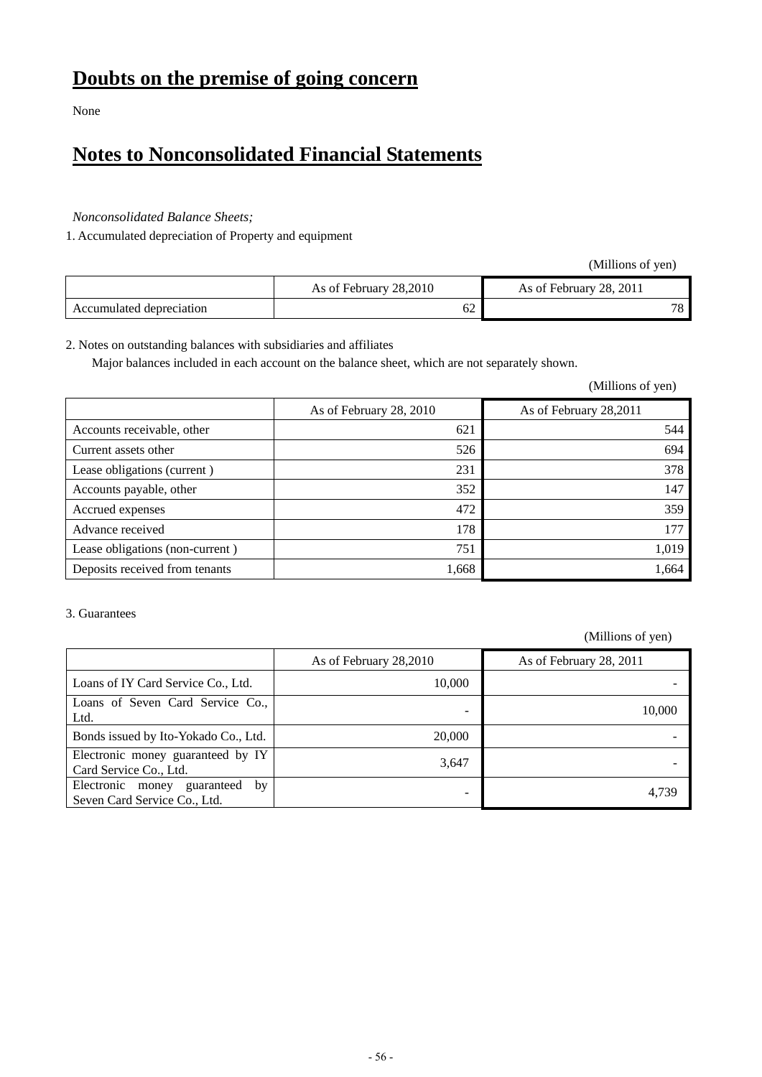None

### **Notes to Nonconsolidated Financial Statements**

#### *Nonconsolidated Balance Sheets;*

1. Accumulated depreciation of Property and equipment

(Millions of yen)

|                          | As of February 28,2010 | As of February 28, 2011 |
|--------------------------|------------------------|-------------------------|
| Accumulated depreciation | - ^<br>ΟZ              |                         |

#### 2. Notes on outstanding balances with subsidiaries and affiliates

Major balances included in each account on the balance sheet, which are not separately shown.

(Millions of yen)

|                                 | As of February 28, 2010 | As of February 28,2011 |
|---------------------------------|-------------------------|------------------------|
| Accounts receivable, other      | 621                     | 544                    |
| Current assets other            | 526                     | 694                    |
| Lease obligations (current)     | 231                     | 378                    |
| Accounts payable, other         | 352                     | 147                    |
| Accrued expenses                | 472                     | 359                    |
| Advance received                | 178                     | 177                    |
| Lease obligations (non-current) | 751                     | 1,019                  |
| Deposits received from tenants  | 1,668                   | 1,664                  |

#### 3. Guarantees

|                                                                   | As of February 28,2010 | As of February 28, 2011 |
|-------------------------------------------------------------------|------------------------|-------------------------|
| Loans of IY Card Service Co., Ltd.                                | 10,000                 |                         |
| Loans of Seven Card Service Co.,<br>Ltd.                          |                        | 10.000                  |
| Bonds issued by Ito-Yokado Co., Ltd.                              | 20,000                 |                         |
| Electronic money guaranteed by IY<br>Card Service Co., Ltd.       | 3,647                  |                         |
| Electronic money guaranteed<br>by<br>Seven Card Service Co., Ltd. |                        | 4.739                   |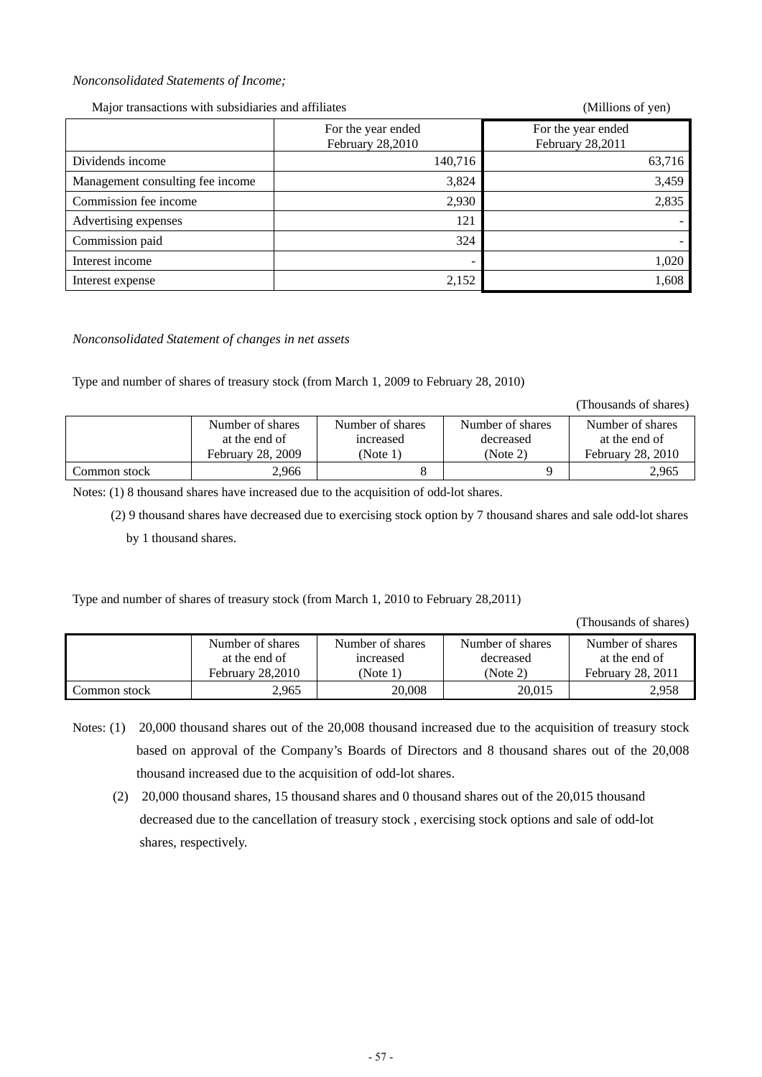#### *Nonconsolidated Statements of Income;*

Major transactions with subsidiaries and affiliates (Millions of yen)

|                                  | For the year ended<br>February 28,2010 | For the year ended<br>February 28,2011 |
|----------------------------------|----------------------------------------|----------------------------------------|
| Dividends income                 | 140,716                                | 63,716                                 |
| Management consulting fee income | 3,824                                  | 3,459                                  |
| Commission fee income            | 2,930                                  | 2,835                                  |
| Advertising expenses             | 121                                    |                                        |
| Commission paid                  | 324                                    |                                        |
| Interest income                  | $\overline{\phantom{0}}$               | 1,020                                  |
| Interest expense                 | 2,152                                  | 1,608                                  |

#### *Nonconsolidated Statement of changes in net assets*

Type and number of shares of treasury stock (from March 1, 2009 to February 28, 2010)

(Thousands of shares)

|              | Number of shares<br>at the end of | Number of shares<br>increased | Number of shares<br>decreased | Number of shares<br>at the end of |
|--------------|-----------------------------------|-------------------------------|-------------------------------|-----------------------------------|
|              | February 28, 2009                 | (Note $1$ )                   | (Note 2)                      | February 28, 2010                 |
| Common stock | 2.966                             |                               |                               | 2,965                             |

Notes: (1) 8 thousand shares have increased due to the acquisition of odd-lot shares.

 (2) 9 thousand shares have decreased due to exercising stock option by 7 thousand shares and sale odd-lot shares by 1 thousand shares.

Type and number of shares of treasury stock (from March 1, 2010 to February 28,2011)

(Thousands of shares)

|              | Number of shares | Number of shares | Number of shares | Number of shares  |
|--------------|------------------|------------------|------------------|-------------------|
|              | at the end of    | increased        | decreased        | at the end of     |
|              | February 28,2010 | (Note 1)         | (Note 2)         | February 28, 2011 |
| Common stock | 2,965            | 20,008           | 20.015           | 2,958             |

- Notes: (1) 20,000 thousand shares out of the 20,008 thousand increased due to the acquisition of treasury stock based on approval of the Company's Boards of Directors and 8 thousand shares out of the 20,008 thousand increased due to the acquisition of odd-lot shares.
	- (2) 20,000 thousand shares, 15 thousand shares and 0 thousand shares out of the 20,015 thousand decreased due to the cancellation of treasury stock , exercising stock options and sale of odd-lot shares, respectively.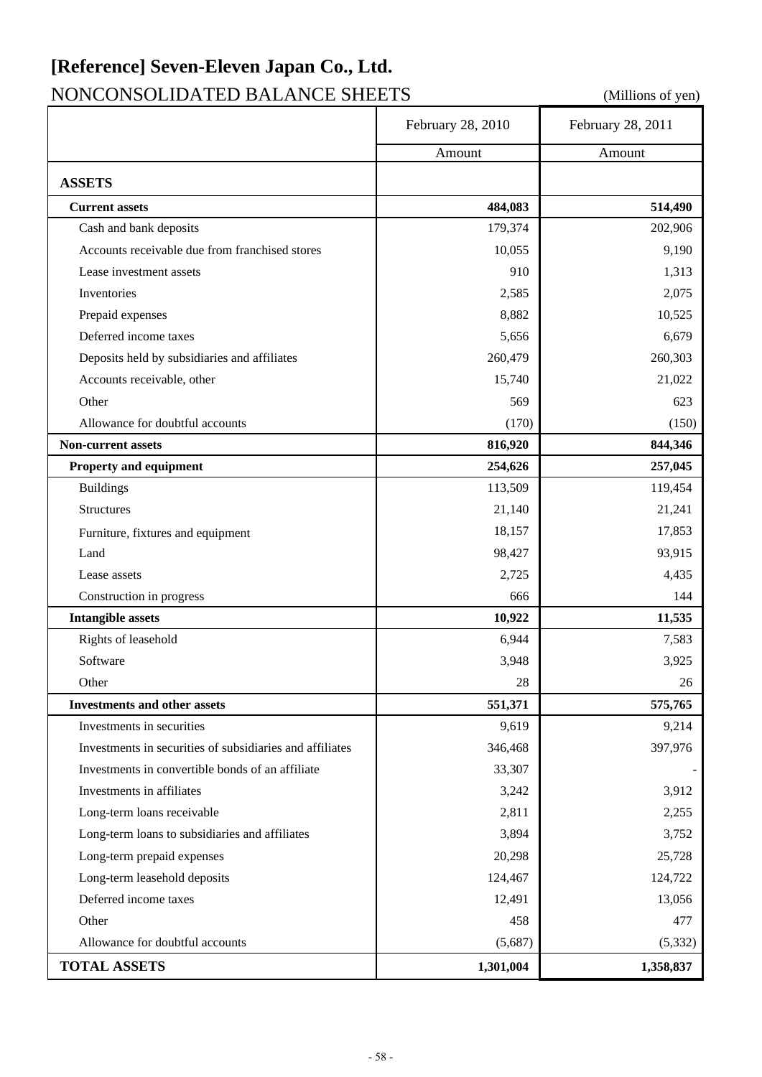# **[Reference] Seven-Eleven Japan Co., Ltd.**

### NONCONSOLIDATED BALANCE SHEETS (Millions of yen)

|                                                          | February 28, 2010 | February 28, 2011 |
|----------------------------------------------------------|-------------------|-------------------|
|                                                          | Amount            | Amount            |
| <b>ASSETS</b>                                            |                   |                   |
| <b>Current assets</b>                                    | 484,083           | 514,490           |
| Cash and bank deposits                                   | 179,374           | 202,906           |
| Accounts receivable due from franchised stores           | 10,055            | 9,190             |
| Lease investment assets                                  | 910               | 1,313             |
| Inventories                                              | 2,585             | 2,075             |
| Prepaid expenses                                         | 8,882             | 10,525            |
| Deferred income taxes                                    | 5,656             | 6,679             |
| Deposits held by subsidiaries and affiliates             | 260,479           | 260,303           |
| Accounts receivable, other                               | 15,740            | 21,022            |
| Other                                                    | 569               | 623               |
| Allowance for doubtful accounts                          | (170)             | (150)             |
| <b>Non-current assets</b>                                | 816,920           | 844,346           |
| Property and equipment                                   | 254,626           | 257,045           |
| <b>Buildings</b>                                         | 113,509           | 119,454           |
| Structures                                               | 21,140            | 21,241            |
| Furniture, fixtures and equipment                        | 18,157            | 17,853            |
| Land                                                     | 98,427            | 93,915            |
| Lease assets                                             | 2,725             | 4,435             |
| Construction in progress                                 | 666               | 144               |
| <b>Intangible assets</b>                                 | 10,922            | 11,535            |
| Rights of leasehold                                      | 6,944             | 7,583             |
| Software                                                 | 3,948             | 3,925             |
| Other                                                    | 28                | 26                |
| <b>Investments and other assets</b>                      | 551,371           | 575,765           |
| Investments in securities                                | 9,619             | 9,214             |
| Investments in securities of subsidiaries and affiliates | 346,468           | 397,976           |
| Investments in convertible bonds of an affiliate         | 33,307            |                   |
| Investments in affiliates                                | 3,242             | 3,912             |
| Long-term loans receivable                               | 2,811             | 2,255             |
| Long-term loans to subsidiaries and affiliates           | 3,894             | 3,752             |
| Long-term prepaid expenses                               | 20,298            | 25,728            |
| Long-term leasehold deposits                             | 124,467           | 124,722           |
| Deferred income taxes                                    | 12,491            | 13,056            |
| Other                                                    | 458               | 477               |
| Allowance for doubtful accounts                          | (5,687)           | (5, 332)          |
| <b>TOTAL ASSETS</b>                                      | 1,301,004         | 1,358,837         |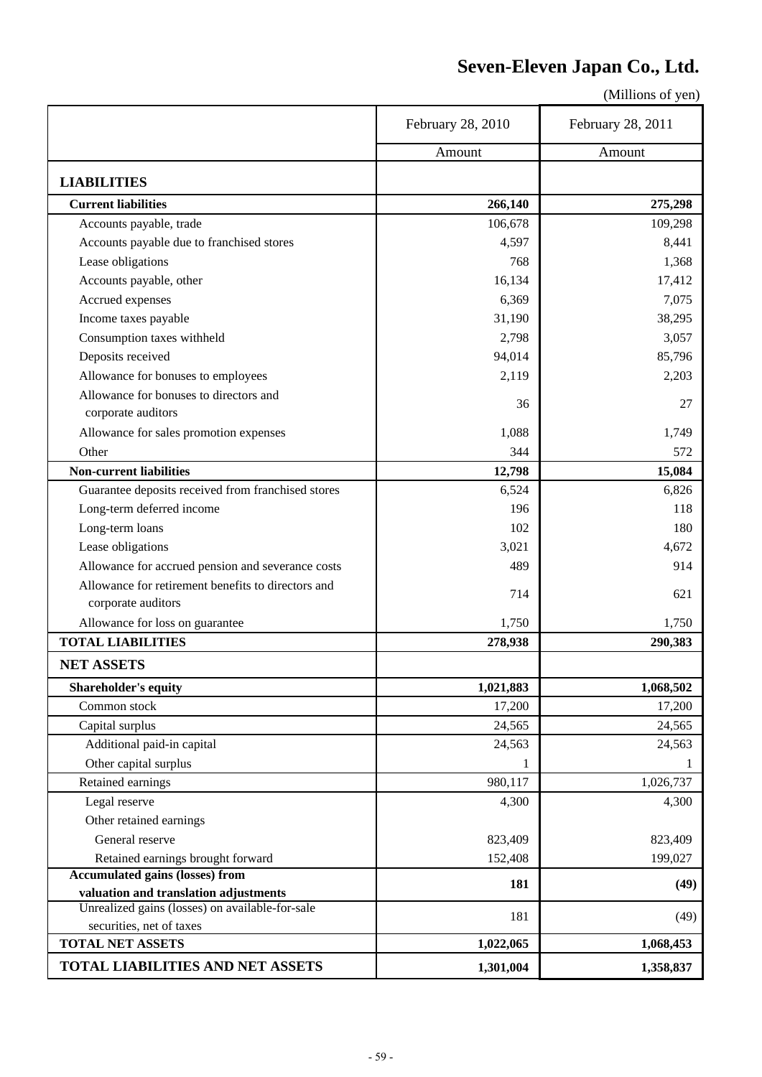### **Seven-Eleven Japan Co., Ltd.**

|                                                     | February 28, 2010 | February 28, 2011 |
|-----------------------------------------------------|-------------------|-------------------|
|                                                     | Amount            | Amount            |
| <b>LIABILITIES</b>                                  |                   |                   |
| <b>Current liabilities</b>                          | 266,140           | 275,298           |
| Accounts payable, trade                             | 106,678           | 109,298           |
| Accounts payable due to franchised stores           | 4,597             | 8,441             |
| Lease obligations                                   | 768               | 1,368             |
| Accounts payable, other                             | 16,134            | 17,412            |
| Accrued expenses                                    | 6,369             | 7,075             |
| Income taxes payable                                | 31,190            | 38,295            |
| Consumption taxes withheld                          | 2,798             | 3,057             |
| Deposits received                                   | 94,014            | 85,796            |
| Allowance for bonuses to employees                  | 2,119             | 2,203             |
| Allowance for bonuses to directors and              |                   |                   |
| corporate auditors                                  | 36                | 27                |
| Allowance for sales promotion expenses              | 1,088             | 1,749             |
| Other                                               | 344               | 572               |
| <b>Non-current liabilities</b>                      | 12,798            | 15,084            |
| Guarantee deposits received from franchised stores  | 6,524             | 6,826             |
| Long-term deferred income                           | 196               | 118               |
| Long-term loans                                     | 102               | 180               |
| Lease obligations                                   | 3,021             | 4,672             |
| Allowance for accrued pension and severance costs   | 489               | 914               |
| Allowance for retirement benefits to directors and  |                   |                   |
| corporate auditors                                  | 714               | 621               |
| Allowance for loss on guarantee                     | 1,750             | 1,750             |
| <b>TOTAL LIABILITIES</b>                            | 278,938           | 290,383           |
| <b>NET ASSETS</b>                                   |                   |                   |
| <b>Shareholder's equity</b>                         | 1,021,883         | 1,068,502         |
| Common stock                                        | 17,200            | 17,200            |
| Capital surplus                                     | 24,565            | 24,565            |
| Additional paid-in capital                          | 24,563            | 24,563            |
| Other capital surplus                               | 1                 |                   |
| Retained earnings                                   | 980,117           | 1,026,737         |
| Legal reserve                                       | 4,300             | 4,300             |
| Other retained earnings                             |                   |                   |
| General reserve                                     | 823,409           | 823,409           |
| Retained earnings brought forward                   | 152,408           | 199,027           |
| <b>Accumulated gains (losses) from</b>              | 181               | (49)              |
| valuation and translation adjustments               |                   |                   |
| Unrealized gains (losses) on available-for-sale     | 181               | (49)              |
| securities, net of taxes<br><b>TOTAL NET ASSETS</b> |                   |                   |
|                                                     | 1,022,065         | 1,068,453         |
| <b>TOTAL LIABILITIES AND NET ASSETS</b>             | 1,301,004         | 1,358,837         |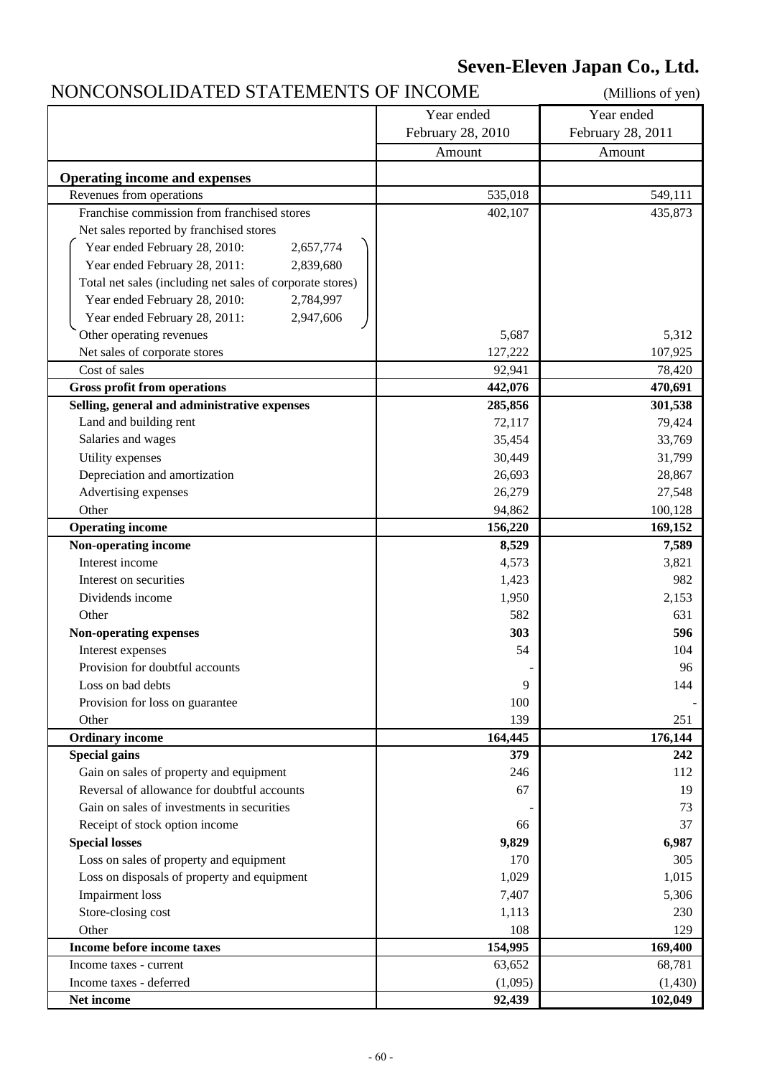### **Seven-Eleven Japan Co., Ltd.**

### NONCONSOLIDATED STATEMENTS OF INCOME (Millions of yen)

|                                                                                                         | Year ended         | Year ended         |
|---------------------------------------------------------------------------------------------------------|--------------------|--------------------|
|                                                                                                         | February 28, 2010  | February 28, 2011  |
|                                                                                                         | Amount             | Amount             |
|                                                                                                         |                    |                    |
| <b>Operating income and expenses</b>                                                                    |                    |                    |
| Revenues from operations<br>Franchise commission from franchised stores                                 | 535,018<br>402,107 | 549,111<br>435,873 |
| Net sales reported by franchised stores                                                                 |                    |                    |
|                                                                                                         |                    |                    |
| Year ended February 28, 2010:<br>2,657,774                                                              |                    |                    |
| Year ended February 28, 2011:<br>2,839,680<br>Total net sales (including net sales of corporate stores) |                    |                    |
| 2,784,997<br>Year ended February 28, 2010:                                                              |                    |                    |
| 2,947,606                                                                                               |                    |                    |
| Year ended February 28, 2011:                                                                           |                    |                    |
| Other operating revenues                                                                                | 5,687              | 5,312              |
| Net sales of corporate stores                                                                           | 127,222            | 107,925            |
| Cost of sales                                                                                           | 92,941             | 78,420             |
| <b>Gross profit from operations</b>                                                                     | 442,076            | 470,691            |
| Selling, general and administrative expenses                                                            | 285,856            | 301,538            |
| Land and building rent                                                                                  | 72,117             | 79,424             |
| Salaries and wages                                                                                      | 35,454             | 33,769             |
| Utility expenses                                                                                        | 30,449             | 31,799             |
| Depreciation and amortization                                                                           | 26,693             | 28,867             |
| Advertising expenses                                                                                    | 26,279             | 27,548             |
| Other                                                                                                   | 94,862             | 100,128            |
| <b>Operating income</b>                                                                                 | 156,220            | 169,152            |
| Non-operating income                                                                                    | 8,529              | 7,589              |
| Interest income                                                                                         | 4,573              | 3,821              |
| Interest on securities                                                                                  | 1,423              | 982                |
| Dividends income                                                                                        | 1,950              | 2,153              |
| Other                                                                                                   | 582                | 631                |
| <b>Non-operating expenses</b>                                                                           | 303                | 596                |
| Interest expenses                                                                                       | 54                 | 104                |
| Provision for doubtful accounts                                                                         |                    | 96                 |
| Loss on bad debts                                                                                       | 9                  | 144                |
| Provision for loss on guarantee                                                                         | 100                |                    |
| Other                                                                                                   | 139                | 251                |
| <b>Ordinary income</b>                                                                                  | 164,445            | 176,144            |
| <b>Special gains</b>                                                                                    | 379                | 242                |
| Gain on sales of property and equipment                                                                 | 246                | 112                |
| Reversal of allowance for doubtful accounts                                                             | 67                 | 19                 |
| Gain on sales of investments in securities                                                              |                    | 73                 |
| Receipt of stock option income                                                                          | 66                 | 37                 |
| <b>Special losses</b>                                                                                   | 9,829              | 6,987              |
| Loss on sales of property and equipment                                                                 | 170                | 305                |
| Loss on disposals of property and equipment                                                             | 1,029              | 1,015              |
| Impairment loss                                                                                         | 7,407              | 5,306              |
| Store-closing cost                                                                                      | 1,113              | 230                |
| Other                                                                                                   | 108                | 129                |
| Income before income taxes                                                                              | 154,995            | 169,400            |
| Income taxes - current                                                                                  | 63,652             | 68,781             |
| Income taxes - deferred                                                                                 | (1,095)            | (1,430)            |
| Net income                                                                                              | 92,439             | 102,049            |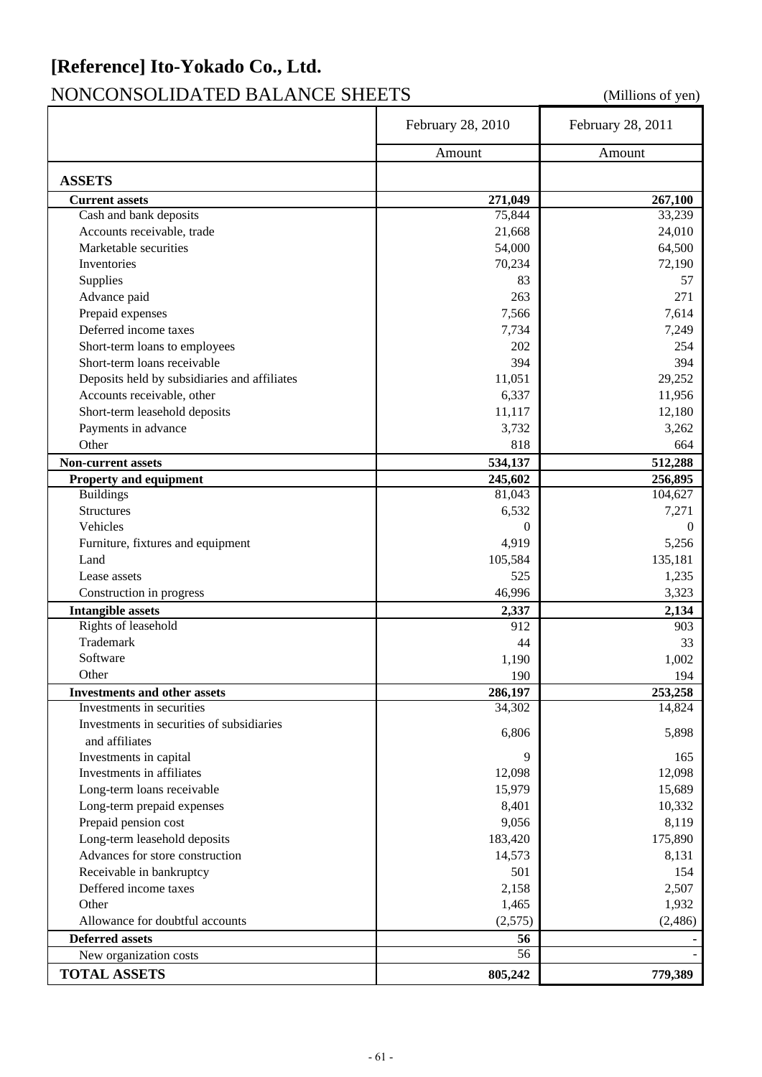### **[Reference] Ito-Yokado Co., Ltd.**

### NONCONSOLIDATED BALANCE SHEETS (Millions of yen)

|                                                                  | February 28, 2010 | February 28, 2011 |
|------------------------------------------------------------------|-------------------|-------------------|
|                                                                  | Amount            | Amount            |
|                                                                  |                   |                   |
| <b>ASSETS</b><br><b>Current assets</b>                           |                   |                   |
| Cash and bank deposits                                           | 271,049<br>75,844 | 267,100<br>33,239 |
| Accounts receivable, trade                                       | 21,668            | 24,010            |
| Marketable securities                                            | 54,000            | 64,500            |
| Inventories                                                      | 70,234            | 72,190            |
| Supplies                                                         | 83                | 57                |
| Advance paid                                                     | 263               | 271               |
| Prepaid expenses                                                 | 7,566             | 7,614             |
| Deferred income taxes                                            | 7,734             | 7,249             |
| Short-term loans to employees                                    | 202               | 254               |
| Short-term loans receivable                                      | 394               | 394               |
| Deposits held by subsidiaries and affiliates                     | 11,051            | 29,252            |
| Accounts receivable, other                                       | 6,337             | 11,956            |
| Short-term leasehold deposits                                    | 11,117            | 12,180            |
| Payments in advance                                              | 3,732             | 3,262             |
| Other                                                            | 818               | 664               |
|                                                                  |                   |                   |
| <b>Non-current assets</b>                                        | 534,137           | 512,288           |
| Property and equipment                                           | 245,602           | 256,895           |
| <b>Buildings</b>                                                 | 81,043            | 104,627           |
| <b>Structures</b><br>Vehicles                                    | 6,532<br>$\Omega$ | 7,271<br>0        |
|                                                                  |                   |                   |
| Furniture, fixtures and equipment<br>Land                        | 4,919             | 5,256             |
|                                                                  | 105,584           | 135,181           |
| Lease assets                                                     | 525               | 1,235             |
| Construction in progress                                         | 46,996            | 3,323             |
| <b>Intangible assets</b>                                         | 2,337             | 2,134             |
| Rights of leasehold<br>Trademark                                 | 912               | 903               |
|                                                                  | 44                | 33                |
| Software                                                         | 1,190             | 1,002             |
| Other                                                            | 190               | 194               |
| <b>Investments and other assets</b><br>Investments in securities | 286,197           | 253,258           |
|                                                                  | 34,302            | 14,824            |
| Investments in securities of subsidiaries                        | 6,806             | 5,898             |
| and affiliates                                                   |                   |                   |
| Investments in capital                                           | 9                 | 165               |
| Investments in affiliates                                        | 12,098            | 12,098            |
| Long-term loans receivable                                       | 15,979            | 15,689            |
| Long-term prepaid expenses                                       | 8,401             | 10,332            |
| Prepaid pension cost                                             | 9,056             | 8,119             |
| Long-term leasehold deposits                                     | 183,420           | 175,890           |
| Advances for store construction                                  | 14,573            | 8,131             |
| Receivable in bankruptcy                                         | 501               | 154               |
| Deffered income taxes                                            | 2,158             | 2,507             |
| Other                                                            | 1,465             | 1,932             |
| Allowance for doubtful accounts                                  | (2,575)           | (2, 486)          |
| <b>Deferred assets</b>                                           | 56                |                   |
| New organization costs                                           | 56                |                   |
| <b>TOTAL ASSETS</b>                                              | 805,242           | 779,389           |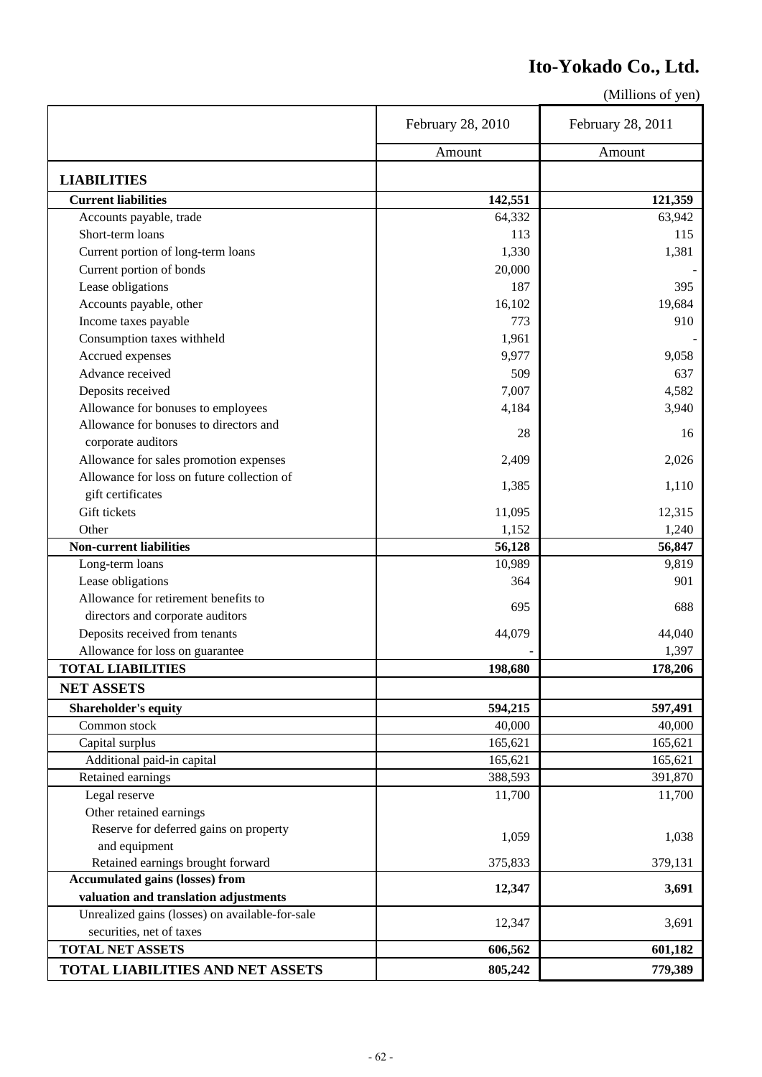### **Ito-Yokado Co., Ltd.**

|                                                       | February 28, 2010 | February 28, 2011 |
|-------------------------------------------------------|-------------------|-------------------|
|                                                       | Amount            | Amount            |
|                                                       |                   |                   |
| <b>LIABILITIES</b>                                    |                   |                   |
| <b>Current liabilities</b><br>Accounts payable, trade | 142,551<br>64,332 | 121,359<br>63,942 |
| Short-term loans                                      | 113               | 115               |
|                                                       |                   |                   |
| Current portion of long-term loans                    | 1,330             | 1,381             |
| Current portion of bonds                              | 20,000            |                   |
| Lease obligations                                     | 187               | 395               |
| Accounts payable, other                               | 16,102            | 19,684            |
| Income taxes payable                                  | 773               | 910               |
| Consumption taxes withheld                            | 1,961             |                   |
| Accrued expenses                                      | 9,977             | 9,058             |
| Advance received                                      | 509               | 637               |
| Deposits received                                     | 7,007             | 4,582             |
| Allowance for bonuses to employees                    | 4,184             | 3,940             |
| Allowance for bonuses to directors and                | 28                | 16                |
| corporate auditors                                    |                   |                   |
| Allowance for sales promotion expenses                | 2,409             | 2,026             |
| Allowance for loss on future collection of            |                   |                   |
| gift certificates                                     | 1,385             | 1,110             |
| Gift tickets                                          | 11,095            | 12,315            |
| Other                                                 | 1,152             | 1,240             |
| <b>Non-current liabilities</b>                        | 56,128            | 56,847            |
| Long-term loans                                       | 10,989            | 9,819             |
| Lease obligations                                     | 364               | 901               |
| Allowance for retirement benefits to                  |                   |                   |
| directors and corporate auditors                      | 695               | 688               |
| Deposits received from tenants                        | 44,079            | 44,040            |
| Allowance for loss on guarantee                       |                   | 1,397             |
| <b>TOTAL LIABILITIES</b>                              | 198,680           | 178,206           |
| <b>NET ASSETS</b>                                     |                   |                   |
| Shareholder's equity                                  | 594,215           | 597,491           |
| Common stock                                          | 40,000            | 40,000            |
| Capital surplus                                       | 165,621           | 165,621           |
| Additional paid-in capital                            | 165,621           | 165,621           |
| Retained earnings                                     | 388,593           | 391,870           |
| Legal reserve                                         | 11,700            | 11,700            |
| Other retained earnings                               |                   |                   |
| Reserve for deferred gains on property                |                   |                   |
| and equipment                                         | 1,059             | 1,038             |
| Retained earnings brought forward                     | 375,833           | 379,131           |
| <b>Accumulated gains (losses) from</b>                |                   |                   |
| valuation and translation adjustments                 | 12,347            | 3,691             |
| Unrealized gains (losses) on available-for-sale       |                   |                   |
| securities, net of taxes                              | 12,347            | 3,691             |
| <b>TOTAL NET ASSETS</b>                               | 606,562           | 601,182           |
| TOTAL LIABILITIES AND NET ASSETS                      | 805,242           | 779,389           |
|                                                       |                   |                   |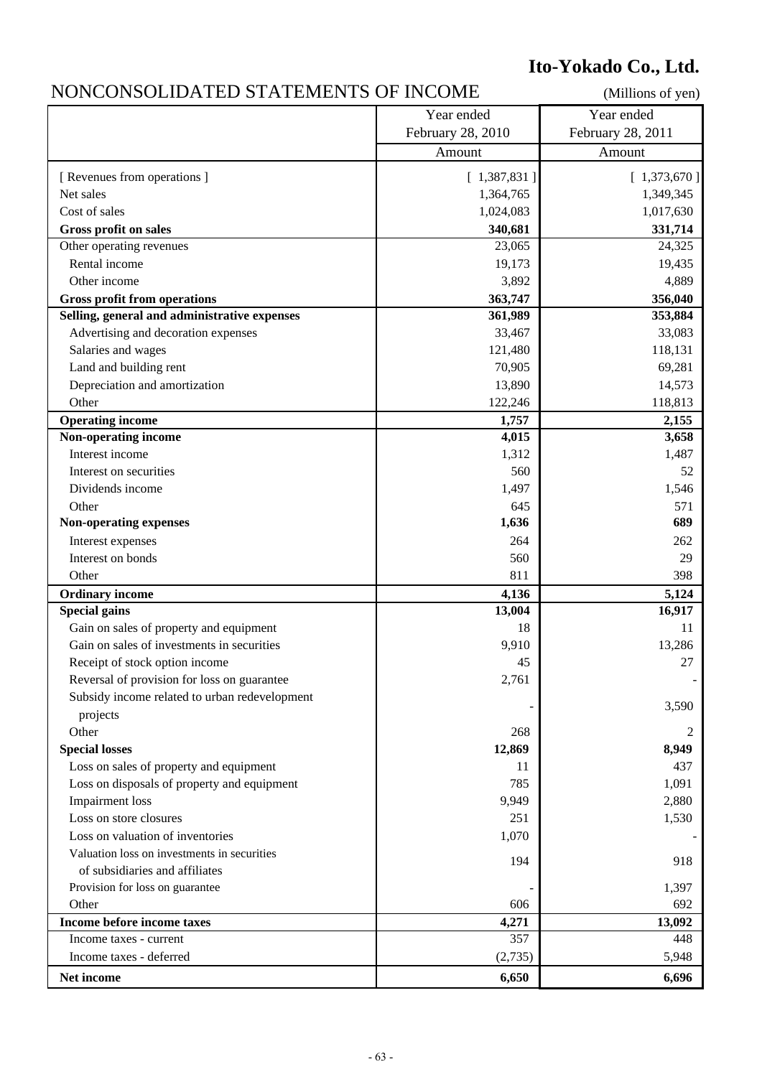### **Ito-Yokado Co., Ltd.**

#### NONCONSOLIDATED STATEMENTS OF INCOME (Millions of yen)

|                                               | Year ended        | Year ended        |
|-----------------------------------------------|-------------------|-------------------|
|                                               | February 28, 2010 | February 28, 2011 |
|                                               | Amount            | Amount            |
| [ Revenues from operations ]                  | [1,387,831]       | [1,373,670]       |
| Net sales                                     | 1,364,765         | 1,349,345         |
| Cost of sales                                 | 1,024,083         | 1,017,630         |
| Gross profit on sales                         | 340,681           | 331,714           |
| Other operating revenues                      | 23,065            | 24,325            |
| Rental income                                 | 19,173            | 19,435            |
| Other income                                  | 3,892             | 4,889             |
| <b>Gross profit from operations</b>           | 363,747           | 356,040           |
| Selling, general and administrative expenses  | 361,989           | 353,884           |
| Advertising and decoration expenses           | 33,467            | 33,083            |
| Salaries and wages                            | 121,480           | 118,131           |
| Land and building rent                        | 70,905            | 69,281            |
| Depreciation and amortization                 | 13,890            | 14,573            |
| Other                                         | 122,246           | 118,813           |
| <b>Operating income</b>                       | 1,757             | 2,155             |
| Non-operating income                          | 4,015             | 3,658             |
| Interest income                               | 1,312             | 1,487             |
| Interest on securities                        | 560               | 52                |
| Dividends income                              | 1,497             | 1,546             |
| Other                                         | 645               | 571               |
| Non-operating expenses                        | 1,636             | 689               |
| Interest expenses                             | 264               | 262               |
| Interest on bonds                             | 560               | 29                |
| Other                                         | 811               | 398               |
| <b>Ordinary income</b>                        | 4,136             | 5,124             |
| <b>Special gains</b>                          | 13,004            | 16,917            |
| Gain on sales of property and equipment       | 18                | 11                |
| Gain on sales of investments in securities    | 9,910             | 13,286            |
| Receipt of stock option income                | 45                | 27                |
| Reversal of provision for loss on guarantee   | 2,761             |                   |
| Subsidy income related to urban redevelopment |                   |                   |
| projects                                      |                   | 3,590             |
| Other                                         | 268               | 2                 |
| <b>Special losses</b>                         | 12,869            | 8,949             |
| Loss on sales of property and equipment       | 11                | 437               |
| Loss on disposals of property and equipment   | 785               | 1,091             |
| Impairment loss                               | 9,949             | 2,880             |
| Loss on store closures                        | 251               | 1,530             |
| Loss on valuation of inventories              | 1,070             |                   |
| Valuation loss on investments in securities   |                   |                   |
| of subsidiaries and affiliates                | 194               | 918               |
| Provision for loss on guarantee               |                   | 1,397             |
| Other                                         | 606               | 692               |
| Income before income taxes                    | 4,271             | 13,092            |
| Income taxes - current                        | 357               | 448               |
| Income taxes - deferred                       | (2,735)           | 5,948             |
| Net income                                    | 6,650             | 6,696             |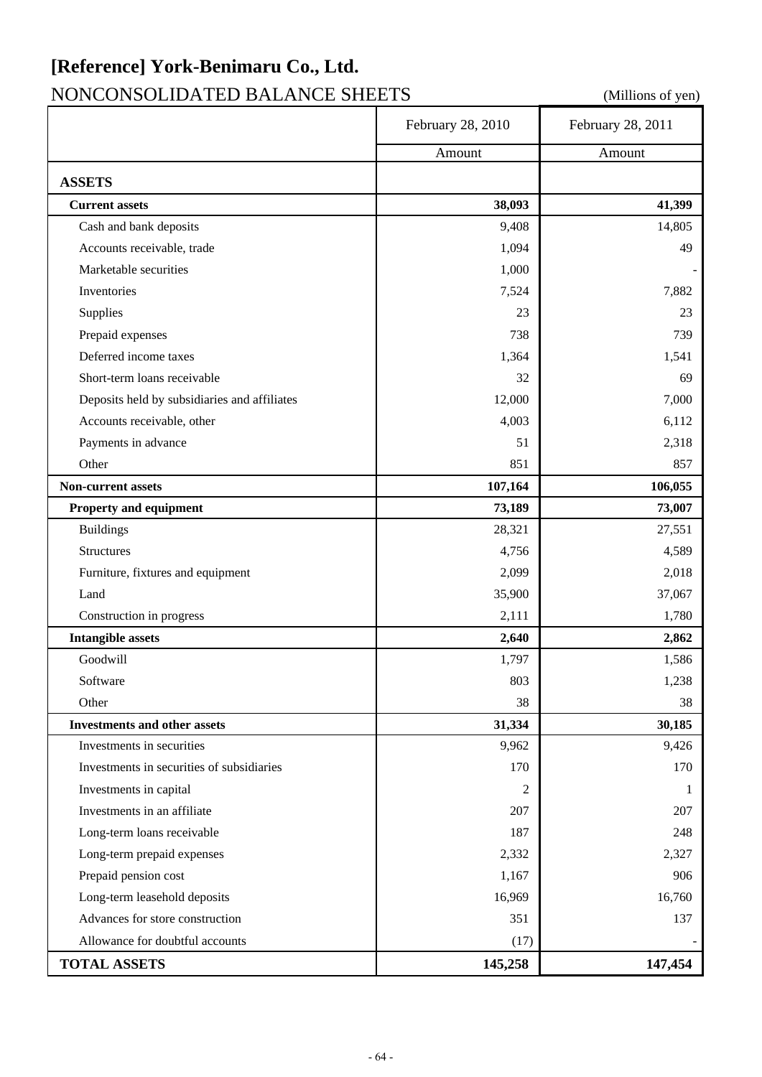# **[Reference] York-Benimaru Co., Ltd.**

### NONCONSOLIDATED BALANCE SHEETS (Millions of yen)

|                                              | February 28, 2010 | February 28, 2011 |
|----------------------------------------------|-------------------|-------------------|
|                                              | Amount            | Amount            |
| <b>ASSETS</b>                                |                   |                   |
| <b>Current assets</b>                        | 38,093            | 41,399            |
| Cash and bank deposits                       | 9,408             | 14,805            |
| Accounts receivable, trade                   | 1,094             | 49                |
| Marketable securities                        | 1,000             |                   |
| Inventories                                  | 7,524             | 7,882             |
| Supplies                                     | 23                | 23                |
| Prepaid expenses                             | 738               | 739               |
| Deferred income taxes                        | 1,364             | 1,541             |
| Short-term loans receivable                  | 32                | 69                |
| Deposits held by subsidiaries and affiliates | 12,000            | 7,000             |
| Accounts receivable, other                   | 4,003             | 6,112             |
| Payments in advance                          | 51                | 2,318             |
| Other                                        | 851               | 857               |
| Non-current assets                           | 107,164           | 106,055           |
| Property and equipment                       | 73,189            | 73,007            |
| <b>Buildings</b>                             | 28,321            | 27,551            |
| <b>Structures</b>                            | 4,756             | 4,589             |
| Furniture, fixtures and equipment            | 2,099             | 2,018             |
| Land                                         | 35,900            | 37,067            |
| Construction in progress                     | 2,111             | 1,780             |
| <b>Intangible assets</b>                     | 2,640             | 2,862             |
| Goodwill                                     | 1,797             | 1,586             |
| Software                                     | 803               | 1,238             |
| Other                                        | 38                | 38                |
| <b>Investments and other assets</b>          | 31,334            | 30,185            |
| Investments in securities                    | 9,962             | 9,426             |
| Investments in securities of subsidiaries    | 170               | 170               |
| Investments in capital                       | $\overline{2}$    | 1                 |
| Investments in an affiliate                  | 207               | 207               |
| Long-term loans receivable                   | 187               | 248               |
| Long-term prepaid expenses                   | 2,332             | 2,327             |
| Prepaid pension cost                         | 1,167             | 906               |
| Long-term leasehold deposits                 | 16,969            | 16,760            |
| Advances for store construction              | 351               | 137               |
| Allowance for doubtful accounts              | (17)              |                   |
| <b>TOTAL ASSETS</b>                          | 145,258           | 147,454           |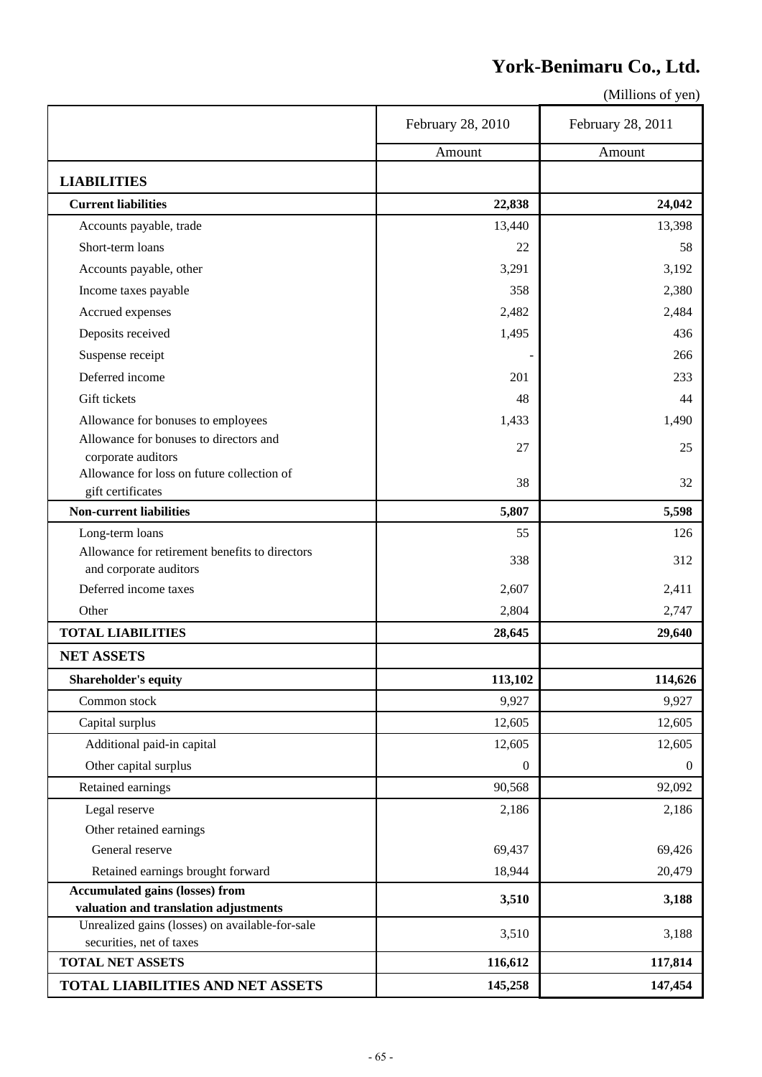### **York-Benimaru Co., Ltd.**

|                                                                             | February 28, 2010 | February 28, 2011 |
|-----------------------------------------------------------------------------|-------------------|-------------------|
|                                                                             | Amount            | Amount            |
| <b>LIABILITIES</b>                                                          |                   |                   |
| <b>Current liabilities</b>                                                  | 22,838            | 24,042            |
| Accounts payable, trade                                                     | 13,440            | 13,398            |
| Short-term loans                                                            | 22                | 58                |
| Accounts payable, other                                                     | 3,291             | 3,192             |
| Income taxes payable                                                        | 358               | 2,380             |
| Accrued expenses                                                            | 2,482             | 2,484             |
| Deposits received                                                           | 1,495             | 436               |
| Suspense receipt                                                            |                   | 266               |
| Deferred income                                                             | 201               | 233               |
| Gift tickets                                                                | 48                | 44                |
| Allowance for bonuses to employees                                          | 1,433             | 1,490             |
| Allowance for bonuses to directors and                                      | 27                | 25                |
| corporate auditors                                                          |                   |                   |
| Allowance for loss on future collection of                                  | 38                | 32                |
| gift certificates                                                           |                   |                   |
| <b>Non-current liabilities</b>                                              | 5,807             | 5,598             |
| Long-term loans<br>Allowance for retirement benefits to directors           | 55                | 126               |
| and corporate auditors                                                      | 338               | 312               |
| Deferred income taxes                                                       | 2,607             | 2,411             |
| Other                                                                       | 2,804             | 2,747             |
| <b>TOTAL LIABILITIES</b>                                                    | 28,645            | 29,640            |
| <b>NET ASSETS</b>                                                           |                   |                   |
| <b>Shareholder's equity</b>                                                 | 113,102           | 114,626           |
| Common stock                                                                | 9,927             | 9,927             |
| Capital surplus                                                             | 12,605            | 12,605            |
| Additional paid-in capital                                                  | 12,605            | 12,605            |
| Other capital surplus                                                       | $\boldsymbol{0}$  | $\overline{0}$    |
| Retained earnings                                                           | 90,568            | 92,092            |
| Legal reserve                                                               | 2,186             | 2,186             |
| Other retained earnings                                                     |                   |                   |
| General reserve                                                             | 69,437            | 69,426            |
| Retained earnings brought forward                                           | 18,944            | 20,479            |
| <b>Accumulated gains (losses) from</b>                                      | 3,510             | 3,188             |
| valuation and translation adjustments                                       |                   |                   |
| Unrealized gains (losses) on available-for-sale<br>securities, net of taxes | 3,510             | 3,188             |
| <b>TOTAL NET ASSETS</b>                                                     | 116,612           | 117,814           |
| TOTAL LIABILITIES AND NET ASSETS                                            | 145,258           | 147,454           |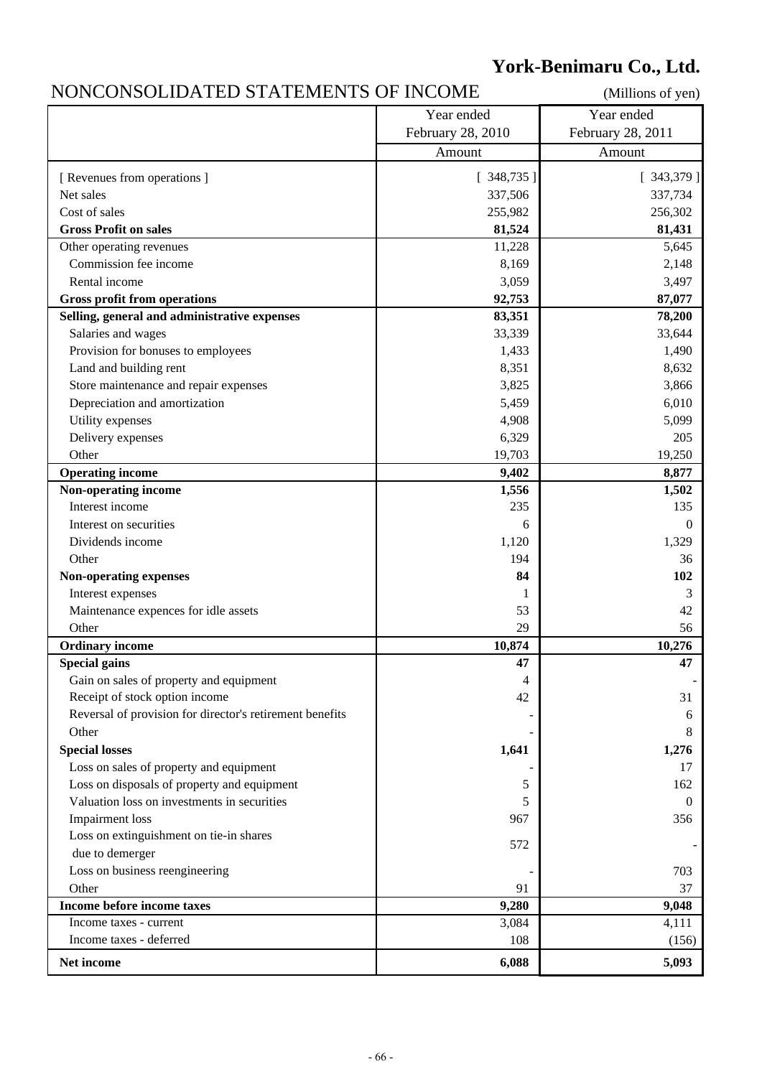### **York-Benimaru Co., Ltd.**

### NONCONSOLIDATED STATEMENTS OF INCOME (Millions of yen)

|                                                          | Year ended        | Year ended        |
|----------------------------------------------------------|-------------------|-------------------|
|                                                          | February 28, 2010 | February 28, 2011 |
|                                                          | Amount            | Amount            |
| [ Revenues from operations ]                             | [348, 735]        | [343,379]         |
| Net sales                                                | 337,506           | 337,734           |
| Cost of sales                                            | 255,982           | 256,302           |
| <b>Gross Profit on sales</b>                             | 81,524            | 81,431            |
| Other operating revenues                                 | 11,228            | 5,645             |
| Commission fee income                                    | 8,169             | 2,148             |
| Rental income                                            | 3,059             | 3,497             |
| <b>Gross profit from operations</b>                      | 92,753            | 87,077            |
| Selling, general and administrative expenses             | 83,351            | 78,200            |
| Salaries and wages                                       | 33,339            | 33,644            |
| Provision for bonuses to employees                       | 1,433             | 1,490             |
| Land and building rent                                   | 8,351             | 8,632             |
| Store maintenance and repair expenses                    | 3,825             | 3,866             |
| Depreciation and amortization                            | 5,459             | 6,010             |
| Utility expenses                                         | 4,908             | 5,099             |
| Delivery expenses                                        | 6,329             | 205               |
| Other                                                    | 19,703            | 19,250            |
| <b>Operating income</b>                                  | 9,402             | 8,877             |
| Non-operating income                                     | 1,556             | 1,502             |
| Interest income                                          | 235               | 135               |
| Interest on securities                                   | 6                 | $\Omega$          |
| Dividends income                                         | 1,120             | 1,329             |
| Other                                                    | 194               | 36                |
| Non-operating expenses                                   | 84                | 102               |
| Interest expenses                                        | 1                 | 3                 |
| Maintenance expences for idle assets                     | 53                | 42                |
| Other                                                    | 29                | 56                |
| <b>Ordinary income</b>                                   | 10,874            | 10,276            |
| <b>Special gains</b>                                     | 47                | 47                |
| Gain on sales of property and equipment                  |                   |                   |
| Receipt of stock option income                           | 4<br>42           | 31                |
| Reversal of provision for director's retirement benefits |                   | 6                 |
| Other                                                    |                   | 8                 |
| <b>Special losses</b>                                    | 1,641             | 1,276             |
| Loss on sales of property and equipment                  |                   | 17                |
| Loss on disposals of property and equipment              | 5                 | 162               |
| Valuation loss on investments in securities              | 5                 | $\overline{0}$    |
| Impairment loss                                          | 967               | 356               |
| Loss on extinguishment on tie-in shares                  |                   |                   |
| due to demerger                                          | 572               |                   |
| Loss on business reengineering                           |                   | 703               |
| Other                                                    | 91                | 37                |
| Income before income taxes                               | 9,280             | 9,048             |
| Income taxes - current                                   | 3,084             | 4,111             |
| Income taxes - deferred                                  | 108               | (156)             |
|                                                          |                   |                   |
| Net income                                               | 6,088             | 5,093             |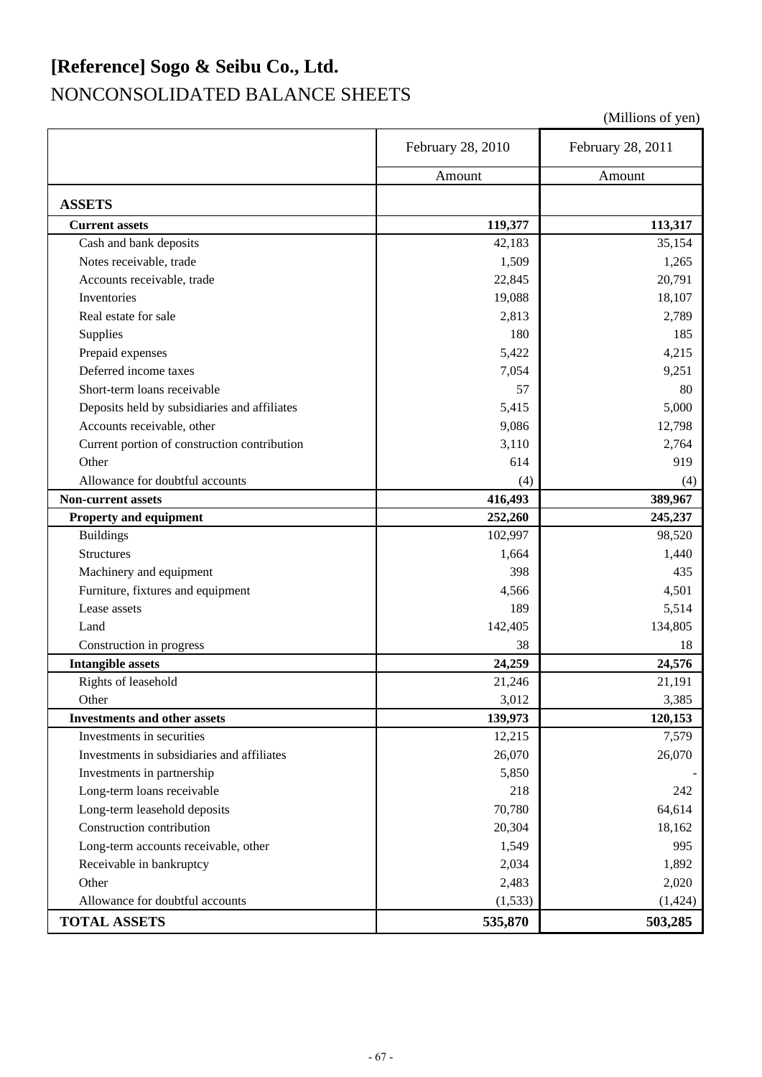### **[Reference] Sogo & Seibu Co., Ltd.** NONCONSOLIDATED BALANCE SHEETS

|                                              | February 28, 2010 | February 28, 2011 |
|----------------------------------------------|-------------------|-------------------|
|                                              | Amount            | Amount            |
| <b>ASSETS</b>                                |                   |                   |
| <b>Current assets</b>                        | 119,377           | 113,317           |
| Cash and bank deposits                       | 42,183            | 35,154            |
| Notes receivable, trade                      | 1,509             | 1,265             |
| Accounts receivable, trade                   | 22,845            | 20,791            |
| Inventories                                  | 19,088            | 18,107            |
| Real estate for sale                         | 2,813             | 2,789             |
| Supplies                                     | 180               | 185               |
| Prepaid expenses                             | 5,422             | 4,215             |
| Deferred income taxes                        | 7,054             | 9,251             |
| Short-term loans receivable                  | 57                | 80                |
| Deposits held by subsidiaries and affiliates | 5,415             | 5,000             |
| Accounts receivable, other                   | 9,086             | 12,798            |
| Current portion of construction contribution | 3,110             | 2,764             |
| Other                                        | 614               | 919               |
| Allowance for doubtful accounts              | (4)               | (4)               |
| <b>Non-current assets</b>                    | 416,493           | 389,967           |
| <b>Property and equipment</b>                | 252,260           | 245,237           |
| <b>Buildings</b>                             | 102,997           | 98,520            |
| <b>Structures</b>                            | 1,664             | 1,440             |
| Machinery and equipment                      | 398               | 435               |
| Furniture, fixtures and equipment            | 4,566             | 4,501             |
| Lease assets                                 | 189               | 5,514             |
| Land                                         | 142,405           | 134,805           |
| Construction in progress                     | 38                | 18                |
| <b>Intangible assets</b>                     | 24,259            | 24,576            |
| Rights of leasehold                          | 21,246            | 21,191            |
| Other                                        | 3,012             | 3,385             |
| <b>Investments and other assets</b>          | 139,973           | 120,153           |
| Investments in securities                    | 12,215            | 7,579             |
| Investments in subsidiaries and affiliates   | 26,070            | 26,070            |
| Investments in partnership                   | 5,850             |                   |
| Long-term loans receivable                   | 218               | 242               |
| Long-term leasehold deposits                 | 70,780            | 64,614            |
| Construction contribution                    | 20,304            | 18,162            |
| Long-term accounts receivable, other         | 1,549             | 995               |
| Receivable in bankruptcy                     | 2,034             | 1,892             |
| Other                                        | 2,483             | 2,020             |
| Allowance for doubtful accounts              | (1, 533)          | (1, 424)          |
| <b>TOTAL ASSETS</b>                          | 535,870           | 503,285           |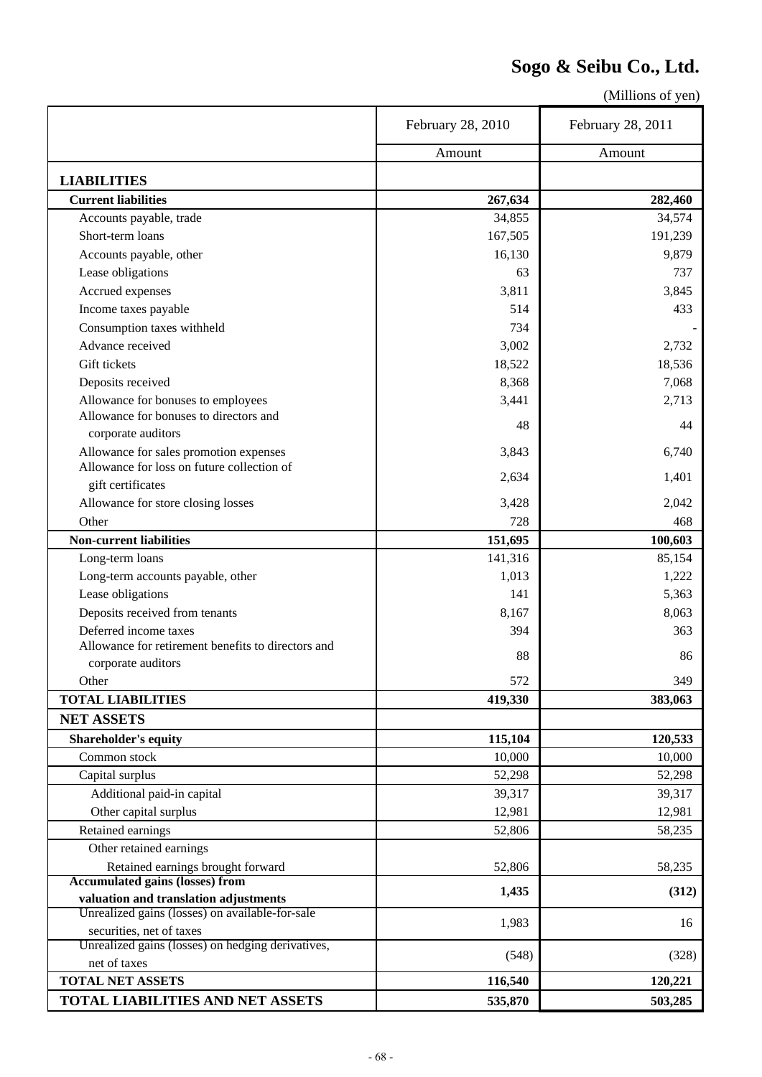### **Sogo & Seibu Co., Ltd.**

|                                                                                          | February 28, 2010 | February 28, 2011 |
|------------------------------------------------------------------------------------------|-------------------|-------------------|
|                                                                                          | Amount            | Amount            |
| <b>LIABILITIES</b>                                                                       |                   |                   |
| <b>Current liabilities</b>                                                               | 267,634           | 282,460           |
| Accounts payable, trade                                                                  | 34,855            | 34,574            |
| Short-term loans                                                                         | 167,505           | 191,239           |
| Accounts payable, other                                                                  | 16,130            | 9,879             |
| Lease obligations                                                                        | 63                | 737               |
| Accrued expenses                                                                         | 3,811             | 3,845             |
| Income taxes payable                                                                     | 514               | 433               |
| Consumption taxes withheld                                                               | 734               |                   |
| Advance received                                                                         | 3,002             |                   |
|                                                                                          |                   | 2,732             |
| Gift tickets                                                                             | 18,522            | 18,536            |
| Deposits received                                                                        | 8,368             | 7,068             |
| Allowance for bonuses to employees                                                       | 3,441             | 2,713             |
| Allowance for bonuses to directors and<br>corporate auditors                             | 48                | 44                |
| Allowance for sales promotion expenses                                                   | 3,843             | 6,740             |
| Allowance for loss on future collection of                                               | 2,634             | 1,401             |
| gift certificates                                                                        |                   |                   |
| Allowance for store closing losses                                                       | 3,428             | 2,042             |
| Other                                                                                    | 728               | 468               |
| <b>Non-current liabilities</b>                                                           | 151,695           | 100,603           |
| Long-term loans                                                                          | 141,316           | 85,154            |
| Long-term accounts payable, other                                                        | 1,013             | 1,222             |
| Lease obligations                                                                        | 141               | 5,363             |
| Deposits received from tenants                                                           | 8,167             | 8,063             |
| Deferred income taxes                                                                    | 394               | 363               |
| Allowance for retirement benefits to directors and                                       |                   |                   |
| corporate auditors                                                                       | 88                | 86                |
| Other                                                                                    | 572               | 349               |
| <b>TOTAL LIABILITIES</b>                                                                 | 419,330           | 383,063           |
| <b>NET ASSETS</b>                                                                        |                   |                   |
| <b>Shareholder's equity</b>                                                              | 115,104           | 120,533           |
| Common stock                                                                             | 10,000            | 10,000            |
| Capital surplus                                                                          | 52,298            | 52,298            |
| Additional paid-in capital                                                               | 39,317            | 39,317            |
|                                                                                          |                   |                   |
| Other capital surplus                                                                    | 12,981            | 12,981            |
| Retained earnings                                                                        | 52,806            | 58,235            |
| Other retained earnings                                                                  |                   |                   |
| Retained earnings brought forward                                                        | 52,806            | 58,235            |
| <b>Accumulated gains (losses) from</b>                                                   | 1,435             | (312)             |
| valuation and translation adjustments<br>Unrealized gains (losses) on available-for-sale |                   |                   |
| securities, net of taxes                                                                 | 1,983             | 16                |
| Unrealized gains (losses) on hedging derivatives,                                        |                   |                   |
| net of taxes                                                                             | (548)             | (328)             |
| <b>TOTAL NET ASSETS</b>                                                                  | 116,540           | 120,221           |
|                                                                                          | 535,870           | 503,285           |
| TOTAL LIABILITIES AND NET ASSETS                                                         |                   |                   |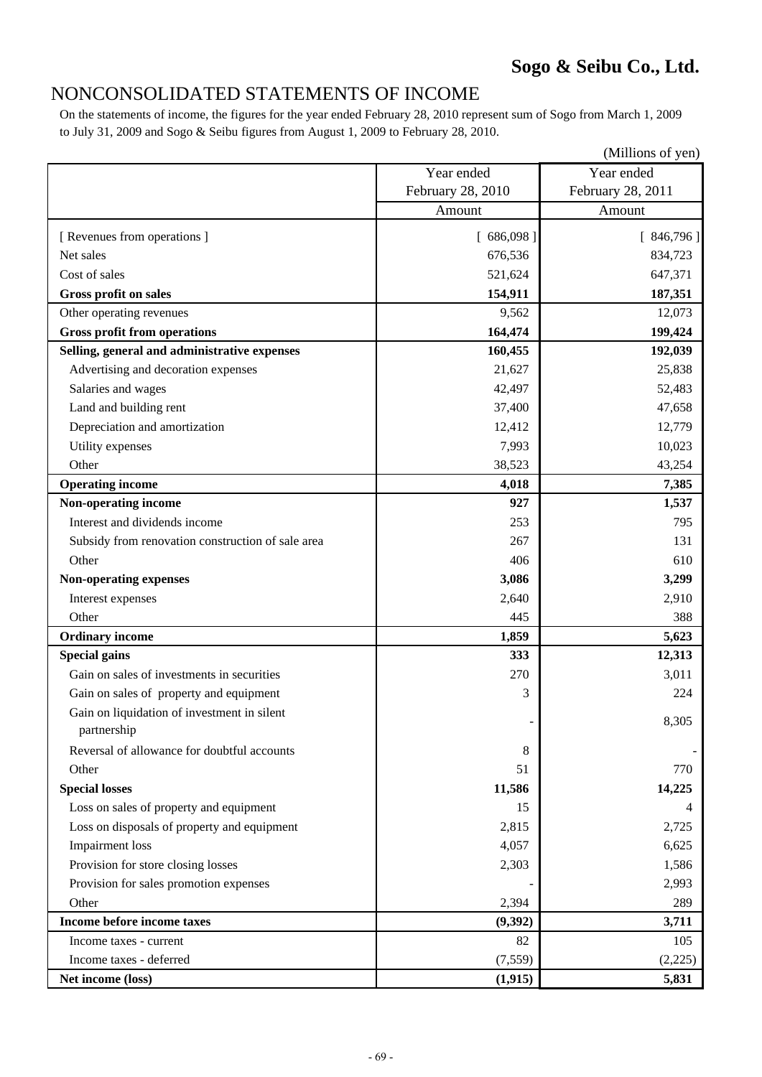#### NONCONSOLIDATED STATEMENTS OF INCOME

On the statements of income, the figures for the year ended February 28, 2010 represent sum of Sogo from March 1, 2009 to July 31, 2009 and Sogo & Seibu figures from August 1, 2009 to February 28, 2010.

|                                                   |                   | (Millions of yen) |
|---------------------------------------------------|-------------------|-------------------|
|                                                   | Year ended        | Year ended        |
|                                                   | February 28, 2010 | February 28, 2011 |
|                                                   | Amount            | Amount            |
| [ Revenues from operations ]                      | [686,098]         | [846,796]         |
| Net sales                                         | 676,536           | 834,723           |
| Cost of sales                                     | 521,624           | 647,371           |
| <b>Gross profit on sales</b>                      | 154,911           | 187,351           |
| Other operating revenues                          | 9,562             | 12,073            |
| <b>Gross profit from operations</b>               | 164,474           | 199,424           |
| Selling, general and administrative expenses      | 160,455           | 192,039           |
| Advertising and decoration expenses               | 21,627            | 25,838            |
| Salaries and wages                                | 42,497            | 52,483            |
| Land and building rent                            | 37,400            | 47,658            |
| Depreciation and amortization                     | 12,412            | 12,779            |
| Utility expenses                                  | 7,993             | 10,023            |
| Other                                             | 38,523            | 43,254            |
| <b>Operating income</b>                           | 4,018             | 7,385             |
| Non-operating income                              | 927               | 1,537             |
| Interest and dividends income                     | 253               | 795               |
| Subsidy from renovation construction of sale area | 267               | 131               |
| Other                                             | 406               | 610               |
| <b>Non-operating expenses</b>                     | 3,086             | 3,299             |
| Interest expenses                                 | 2,640             | 2,910             |
| Other                                             | 445               | 388               |
| <b>Ordinary income</b>                            | 1,859             | 5,623             |
| <b>Special gains</b>                              | 333               | 12,313            |
| Gain on sales of investments in securities        | 270               | 3,011             |
| Gain on sales of property and equipment           | 3                 | 224               |
| Gain on liquidation of investment in silent       |                   |                   |
| partnership                                       |                   | 8,305             |
| Reversal of allowance for doubtful accounts       | 8                 |                   |
| Other                                             | 51                | 770               |
| <b>Special losses</b>                             | 11,586            | 14,225            |
| Loss on sales of property and equipment           | 15                |                   |
| Loss on disposals of property and equipment       | 2,815             | 2,725             |
| <b>Impairment</b> loss                            | 4,057             | 6,625             |
| Provision for store closing losses                | 2,303             | 1,586             |
| Provision for sales promotion expenses            |                   | 2,993             |
| Other                                             | 2,394             | 289               |
| Income before income taxes                        | (9, 392)          | 3,711             |
| Income taxes - current                            | 82                | 105               |
| Income taxes - deferred                           | (7, 559)          | (2,225)           |
| Net income (loss)                                 | (1, 915)          | 5,831             |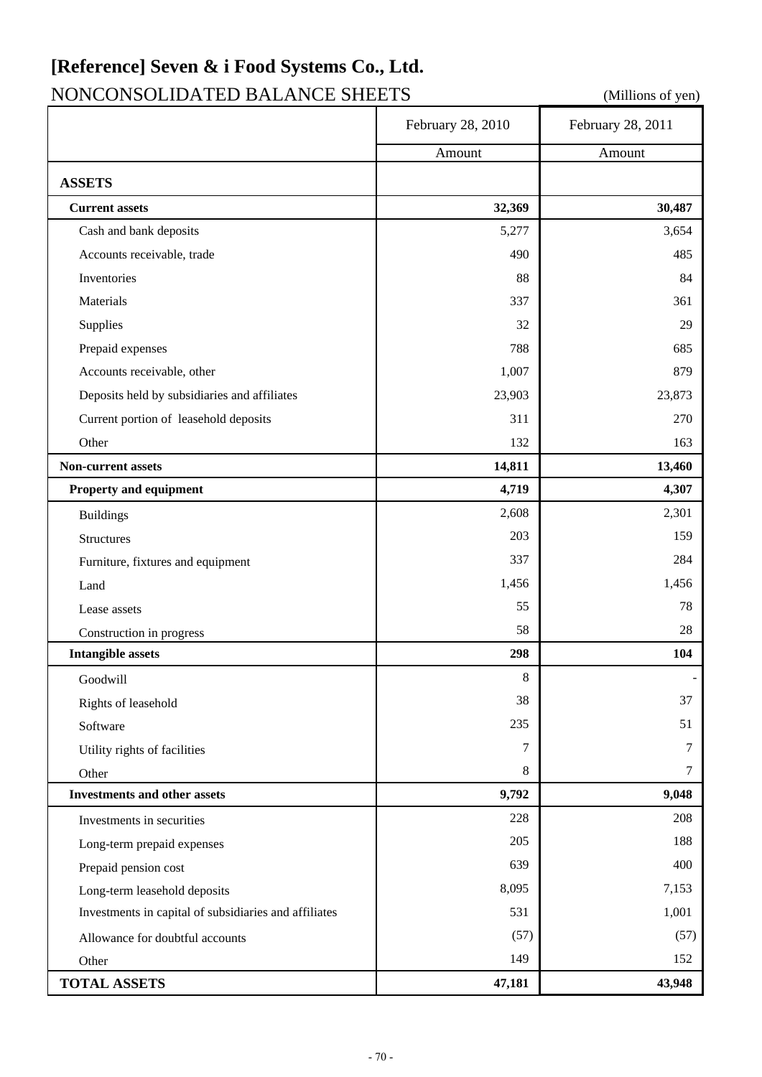# **[Reference] Seven & i Food Systems Co., Ltd.**

# NONCONSOLIDATED BALANCE SHEETS (Millions of yen)

|                                                       | February 28, 2010 | February 28, 2011 |
|-------------------------------------------------------|-------------------|-------------------|
|                                                       | Amount            | Amount            |
| <b>ASSETS</b>                                         |                   |                   |
| <b>Current assets</b>                                 | 32,369            | 30,487            |
| Cash and bank deposits                                | 5,277             | 3,654             |
| Accounts receivable, trade                            | 490               | 485               |
| Inventories                                           | 88                | 84                |
| Materials                                             | 337               | 361               |
| Supplies                                              | 32                | 29                |
| Prepaid expenses                                      | 788               | 685               |
| Accounts receivable, other                            | 1,007             | 879               |
| Deposits held by subsidiaries and affiliates          | 23,903            | 23,873            |
| Current portion of leasehold deposits                 | 311               | 270               |
| Other                                                 | 132               | 163               |
| Non-current assets                                    | 14,811            | 13,460            |
| Property and equipment                                | 4,719             | 4,307             |
| <b>Buildings</b>                                      | 2,608             | 2,301             |
| <b>Structures</b>                                     | 203               | 159               |
| Furniture, fixtures and equipment                     | 337               | 284               |
| Land                                                  | 1,456             | 1,456             |
| Lease assets                                          | 55                | 78                |
| Construction in progress                              | 58                | 28                |
| <b>Intangible assets</b>                              | 298               | 104               |
| Goodwill                                              | 8                 |                   |
| Rights of leasehold                                   | 38                | 37                |
| Software                                              | 235               | 51                |
| Utility rights of facilities                          | 7                 | 7                 |
| Other                                                 | 8                 | 7                 |
| <b>Investments and other assets</b>                   | 9,792             | 9,048             |
| Investments in securities                             | 228               | 208               |
| Long-term prepaid expenses                            | 205               | 188               |
| Prepaid pension cost                                  | 639               | 400               |
| Long-term leasehold deposits                          | 8,095             | 7,153             |
| Investments in capital of subsidiaries and affiliates | 531               | 1,001             |
| Allowance for doubtful accounts                       | (57)              | (57)              |
| Other                                                 | 149               | 152               |
| <b>TOTAL ASSETS</b>                                   | 47,181            | 43,948            |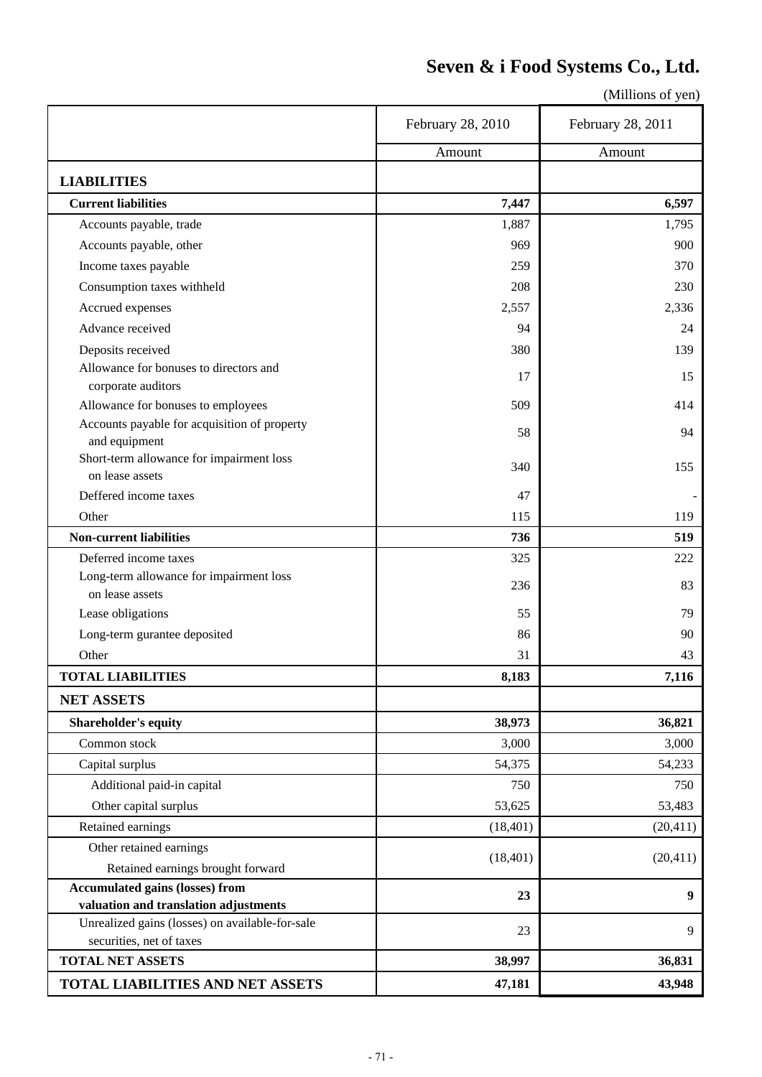### **Seven & i Food Systems Co., Ltd.**

|                                                                             | February 28, 2010 | February 28, 2011 |
|-----------------------------------------------------------------------------|-------------------|-------------------|
|                                                                             | Amount            | Amount            |
| <b>LIABILITIES</b>                                                          |                   |                   |
| <b>Current liabilities</b>                                                  | 7,447             | 6,597             |
| Accounts payable, trade                                                     | 1,887             | 1,795             |
| Accounts payable, other                                                     | 969               | 900               |
| Income taxes payable                                                        | 259               | 370               |
| Consumption taxes withheld                                                  | 208               | 230               |
| Accrued expenses                                                            | 2,557             | 2,336             |
| Advance received                                                            | 94                | 24                |
| Deposits received                                                           | 380               | 139               |
| Allowance for bonuses to directors and<br>corporate auditors                | 17                | 15                |
| Allowance for bonuses to employees                                          | 509               | 414               |
| Accounts payable for acquisition of property                                |                   |                   |
| and equipment                                                               | 58                | 94                |
| Short-term allowance for impairment loss                                    | 340               | 155               |
| on lease assets                                                             |                   |                   |
| Deffered income taxes                                                       | 47                |                   |
| Other                                                                       | 115               | 119               |
| <b>Non-current liabilities</b>                                              | 736               | 519               |
| Deferred income taxes                                                       | 325               | 222               |
| Long-term allowance for impairment loss<br>on lease assets                  | 236               | 83                |
| Lease obligations                                                           | 55                | 79                |
| Long-term gurantee deposited                                                | 86                | 90                |
| Other                                                                       |                   |                   |
|                                                                             | 31<br>8,183       | 43                |
| <b>TOTAL LIABILITIES</b>                                                    |                   | 7,116             |
| <b>NET ASSETS</b>                                                           |                   |                   |
| Shareholder's equity                                                        | 38,973            | 36,821            |
| Common stock                                                                | 3,000             | 3,000             |
| Capital surplus                                                             | 54,375            | 54,233            |
| Additional paid-in capital                                                  | 750               | 750               |
| Other capital surplus                                                       | 53,625            | 53,483            |
| Retained earnings                                                           | (18, 401)         | (20, 411)         |
| Other retained earnings                                                     | (18, 401)         | (20, 411)         |
| Retained earnings brought forward                                           |                   |                   |
| <b>Accumulated gains (losses) from</b>                                      | 23                | 9                 |
| valuation and translation adjustments                                       |                   |                   |
| Unrealized gains (losses) on available-for-sale<br>securities, net of taxes | 23                | 9                 |
| <b>TOTAL NET ASSETS</b>                                                     | 38,997            | 36,831            |
|                                                                             |                   |                   |
| TOTAL LIABILITIES AND NET ASSETS                                            | 47,181            | 43,948            |